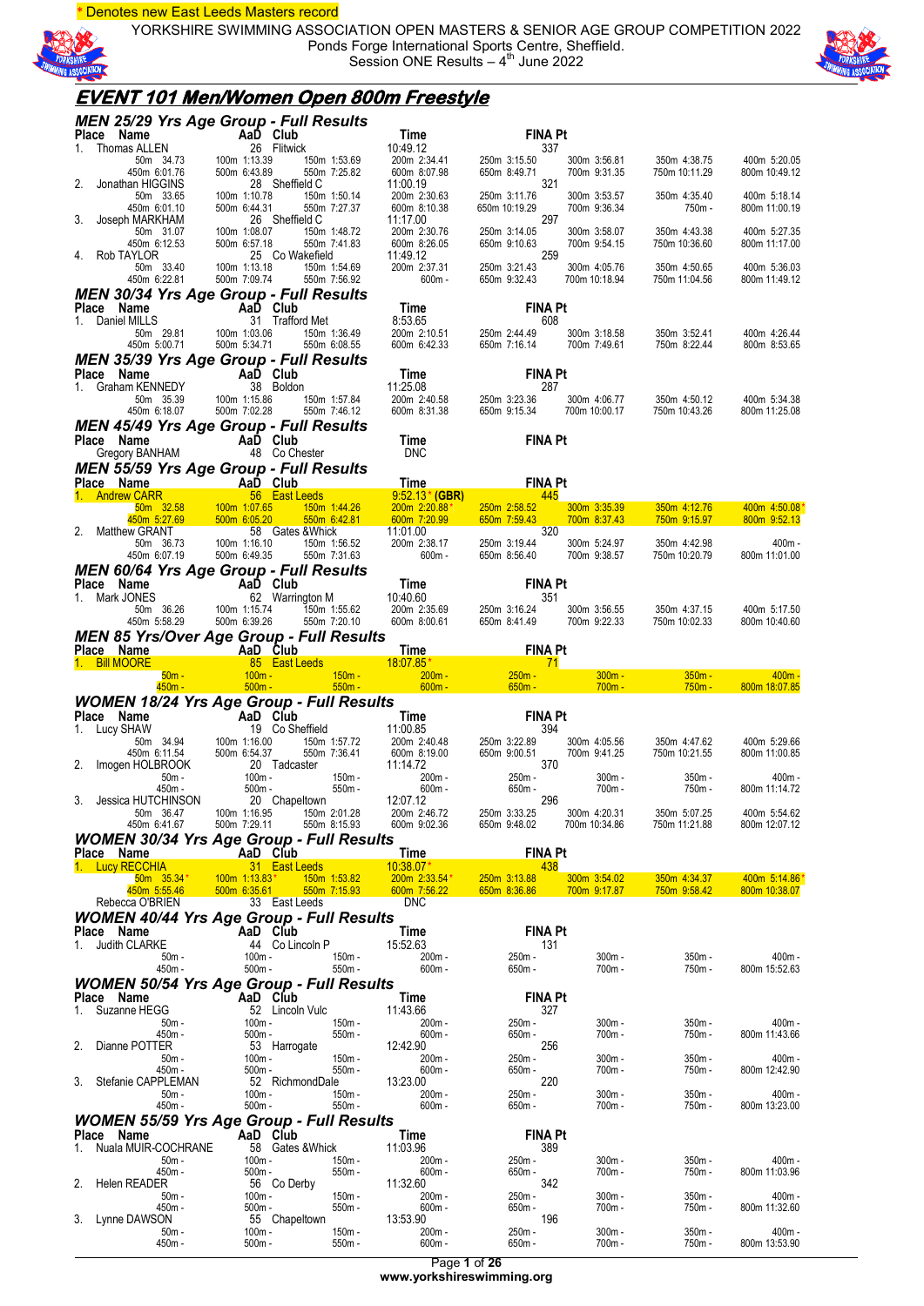\* Denotes new East Leeds Masters record

YORKSHIRE SWIMMING ASSOCIATION OPEN MASTERS & SENIOR AGE GROUP COMPETITION 2022 Ponds Forge International Sports Centre, Sheffield. Session ONE Results  $-4$ <sup>th</sup> June 2022



### **EVENT 101 Men/Women Open 800m Freestyle**

|             | MEN 25/29 Yrs Age Group - Full Results                                                                                                                                                                                                                                                   |                                              |                                                                                                                                                                                                                                                                                                                   |                                                                                              |                                                                                                                           |                              |                                                         |                               |
|-------------|------------------------------------------------------------------------------------------------------------------------------------------------------------------------------------------------------------------------------------------------------------------------------------------|----------------------------------------------|-------------------------------------------------------------------------------------------------------------------------------------------------------------------------------------------------------------------------------------------------------------------------------------------------------------------|----------------------------------------------------------------------------------------------|---------------------------------------------------------------------------------------------------------------------------|------------------------------|---------------------------------------------------------|-------------------------------|
|             |                                                                                                                                                                                                                                                                                          |                                              |                                                                                                                                                                                                                                                                                                                   | Time<br>10:49.12                                                                             | <b>FINA Pt</b><br>337                                                                                                     |                              |                                                         |                               |
|             |                                                                                                                                                                                                                                                                                          |                                              | 150m 1:53.69<br>550m 7:25.82                                                                                                                                                                                                                                                                                      | 200m 2:34.41<br>600m 8:07.98                                                                 | 250m 3:15.50<br>650m 8:49.71                                                                                              | 300m 3:56.81<br>700m 9:31.35 | 350m 4:38.75<br>750m 10:11.29                           | 400m 5:20.05<br>800m 10:49.12 |
|             | <b>INEN 23/29 TFS Age Group - Full<br/> Place Name<br/> 1. Thomas ALLEN<br/> 50m 34.73<br/> 450m 6:01.76<br/> 450m 6:01.76<br/> 450m 6:01.76<br/> 450m 6:01.76<br/> 2. Jonathan HIGGINS<br/> 2. Jonathan HIGGINS<br/> 450m 6:01.10<br/> 450m 6:01.10<br/> 450m 6:12.53<br/> 4. Rob T</b> |                                              | 28 Sheffield C<br>150m 1:50.14<br>550m 7:27.37                                                                                                                                                                                                                                                                    | 1.41 250m<br>7.98 650m<br>0.63 250m<br>0.38 650m<br>11:00.19<br>200m 2:30.63<br>600m 8:10.38 | 321<br>250m 3:11.76<br>650m 10:19.29                                                                                      | 300m 3:53.57<br>700m 9:36.34 | 350m 4:35.40<br>750m -                                  | 400m 5:18.14<br>800m 11:00.19 |
|             |                                                                                                                                                                                                                                                                                          |                                              | 26 Sheffield C<br>150m 1:48.72                                                                                                                                                                                                                                                                                    | 11:17.00<br>200m 2:30.76                                                                     | 297<br>250m 3:14.05                                                                                                       | 300m 3:58.07                 | 350m 4:43.38                                            | 400m 5:27.35                  |
|             | 50m 33.40                                                                                                                                                                                                                                                                                |                                              | 550m 7:41.83<br>25 Co Wakefield<br>150m 1:54.69                                                                                                                                                                                                                                                                   | 600m 8:26.05<br>11:49.12                                                                     | 650m 9:10.63<br>259 250m 3:21.43<br>650m 9:32.43                                                                          | 700m 9:54.15<br>300m 4:05.76 | 750m 10:36.60<br>350m 4:50.65                           | 800m 11:17.00<br>400m 5:36.03 |
|             | 450m 6:22.81<br><b>MEN 30/34 Yrs Age Group - Full Results</b>                                                                                                                                                                                                                            | 100m 1:13.18<br>500m 7:09.74<br>500m 7:09.74 | 550m 7:56.92                                                                                                                                                                                                                                                                                                      | 200m 2:37.31<br>- 600m                                                                       | 250m 3:21.43<br>650m 9:32.43                                                                                              | 700m 10:18.94                | 750m 11:04.56                                           | 800m 11:49.12                 |
|             | Place Name                                                                                                                                                                                                                                                                               |                                              |                                                                                                                                                                                                                                                                                                                   |                                                                                              | <b>FINA Pt</b>                                                                                                            |                              |                                                         |                               |
|             | 1. Daniel MILLS                                                                                                                                                                                                                                                                          |                                              | <b>ame</b><br><b>AaD Club</b><br><b>AaD Club</b><br><b>AaD Club</b><br><b>AaD Club</b><br><b>AaD Club</b><br><b>AaD Club</b><br><b>AaD Club</b><br><b>AaD Club</b><br><b>AaD Club</b><br><b>50m</b> 29.81<br><b>50m</b> 29.81<br><b>50m</b> 5:00.71<br><b>500m</b> 5:34.71<br><b>550m</b> 6:08.55<br>550m 6:08.55 | Time<br>8:53.65 FINA Pt<br>200m 2:10.51 250m 2:44.49<br>600m 6:42.33 650m 7:16.14            | 250m 2:44.49 300m 3:18.58<br>650m 7:16.14 700m 7:49.61                                                                    |                              | 350m 3:52.41<br>750m 8:22.44                            | 400m 4:26.44<br>800m 8:53.65  |
|             | <b>MEN 35/39 Yrs Age Group - Full Results</b>                                                                                                                                                                                                                                            |                                              |                                                                                                                                                                                                                                                                                                                   |                                                                                              |                                                                                                                           |                              |                                                         |                               |
|             | Place Name AaD Club<br>1. Graham KENNEDY 38 Boldon<br>50m 35.39 100m 1:15.86 150m 1:57.84<br>450m 6:18.07 500m 7:02.28 550m 7:46.12                                                                                                                                                      |                                              |                                                                                                                                                                                                                                                                                                                   |                                                                                              | <b>Time</b><br>11:25.08<br>200m 2:40.58<br>200m 2:40.58<br>650m 9:15.34<br>650m 9:15.34<br>700m 10:00.17<br>750m 10:43.26 |                              |                                                         |                               |
|             |                                                                                                                                                                                                                                                                                          |                                              |                                                                                                                                                                                                                                                                                                                   |                                                                                              |                                                                                                                           |                              |                                                         | 400m 5:34.38                  |
|             |                                                                                                                                                                                                                                                                                          |                                              |                                                                                                                                                                                                                                                                                                                   |                                                                                              |                                                                                                                           |                              |                                                         | 800m 11:25.08                 |
|             | <b>MEN 45/49 Yrs Age Group - Full Results</b><br>Place Name                                                                                                                                                                                                                              |                                              |                                                                                                                                                                                                                                                                                                                   | <b>Time</b>                                                                                  | <b>FINA Pt</b>                                                                                                            |                              |                                                         |                               |
|             | Ce Name AaD Club<br>Gregory BANHAM 48 Co Chester                                                                                                                                                                                                                                         |                                              |                                                                                                                                                                                                                                                                                                                   | <b>DNC</b>                                                                                   |                                                                                                                           |                              |                                                         |                               |
|             | MEN 55/59 Yrs Age Group - Full Results                                                                                                                                                                                                                                                   |                                              |                                                                                                                                                                                                                                                                                                                   | Results<br>Time                                                                              |                                                                                                                           |                              |                                                         |                               |
|             |                                                                                                                                                                                                                                                                                          |                                              |                                                                                                                                                                                                                                                                                                                   |                                                                                              | <b>EINA Pt</b>                                                                                                            |                              |                                                         |                               |
|             | <b>MEN 55/59 Yrs Age Group - Function Case of the Case of the Case of the Case of the Case of the Case of the Case of the Case of the Samma 2.58 100m 1:07.65 150m 1:44.26 200m 2:20.88° 250m 2:58.52<br/> 2. Matthew GRANT 58 Gates</b>                                                 |                                              |                                                                                                                                                                                                                                                                                                                   |                                                                                              |                                                                                                                           |                              |                                                         | 350m 4:12.76 400m 4:50.08     |
|             |                                                                                                                                                                                                                                                                                          |                                              |                                                                                                                                                                                                                                                                                                                   |                                                                                              |                                                                                                                           |                              |                                                         | 800m 9:52.13                  |
|             |                                                                                                                                                                                                                                                                                          |                                              |                                                                                                                                                                                                                                                                                                                   |                                                                                              |                                                                                                                           |                              | 350m 4:42.98                                            | $400m -$                      |
|             |                                                                                                                                                                                                                                                                                          |                                              |                                                                                                                                                                                                                                                                                                                   |                                                                                              | 250m 3:19.44 300m 5:24.97<br>650m 8:56.40 700m 9:38.57                                                                    |                              | 750m 10:20.79                                           | 800m 11:01.00                 |
|             | <b>MEN 60/64 Yrs Age Group - Full Results<br/> Place Name Mand Club<br/> 1. Mark JONES 62 Warrington M<br/> 50m 36.26 100m 1:15.74 150m 1:55.62 200m 2:35.69 250m 3:16.24 300m 3:56.55 350m 4:37.15<br/> 450m 5:58.29 500m 6:39.26 550m 7:20.10 </b>                                     |                                              |                                                                                                                                                                                                                                                                                                                   |                                                                                              |                                                                                                                           |                              |                                                         |                               |
|             |                                                                                                                                                                                                                                                                                          |                                              |                                                                                                                                                                                                                                                                                                                   |                                                                                              |                                                                                                                           |                              |                                                         |                               |
|             |                                                                                                                                                                                                                                                                                          |                                              |                                                                                                                                                                                                                                                                                                                   |                                                                                              |                                                                                                                           |                              |                                                         | 400m 5:17.50                  |
|             |                                                                                                                                                                                                                                                                                          |                                              |                                                                                                                                                                                                                                                                                                                   |                                                                                              |                                                                                                                           |                              | 750m 10:02.33                                           | 800m 10:40.60                 |
|             | <b>MEN 85 Yrs/Over Age Group - Full Results</b>                                                                                                                                                                                                                                          |                                              |                                                                                                                                                                                                                                                                                                                   |                                                                                              |                                                                                                                           |                              |                                                         |                               |
|             | Place Name New York Apple 200 and Club Time FINA Pt<br>1. Bill MOORE 85 East Leeds 18:07.85 <sup>*</sup><br>50m - 100m - 550m - 600m - 650m - 660m - 660m - 660m - 660m - 660m - 660m - 660m - 660m - 660m - 71                                                                          |                                              |                                                                                                                                                                                                                                                                                                                   |                                                                                              |                                                                                                                           |                              |                                                         |                               |
|             |                                                                                                                                                                                                                                                                                          |                                              |                                                                                                                                                                                                                                                                                                                   |                                                                                              |                                                                                                                           |                              | $300m - 350m -$                                         | $\sim$ 400m -                 |
|             |                                                                                                                                                                                                                                                                                          |                                              |                                                                                                                                                                                                                                                                                                                   |                                                                                              |                                                                                                                           | $700m -$                     | $750m -$                                                | 800m 18:07.85                 |
|             |                                                                                                                                                                                                                                                                                          |                                              |                                                                                                                                                                                                                                                                                                                   |                                                                                              |                                                                                                                           |                              |                                                         |                               |
|             |                                                                                                                                                                                                                                                                                          |                                              |                                                                                                                                                                                                                                                                                                                   |                                                                                              |                                                                                                                           |                              |                                                         |                               |
|             |                                                                                                                                                                                                                                                                                          |                                              |                                                                                                                                                                                                                                                                                                                   |                                                                                              |                                                                                                                           |                              |                                                         | 400m 5:29.66                  |
|             |                                                                                                                                                                                                                                                                                          |                                              |                                                                                                                                                                                                                                                                                                                   |                                                                                              |                                                                                                                           |                              | 300m 4:05.56 350m 4:47.62<br>700m 9:41.25 750m 10:21.55 | 800m 11:00.85                 |
|             |                                                                                                                                                                                                                                                                                          |                                              |                                                                                                                                                                                                                                                                                                                   |                                                                                              |                                                                                                                           | $300m -$                     | $350m -$                                                | $400m -$                      |
|             |                                                                                                                                                                                                                                                                                          |                                              |                                                                                                                                                                                                                                                                                                                   |                                                                                              |                                                                                                                           | 700m -                       | 750m -                                                  | 800m 11:14.72                 |
|             | <b>WOMEN 18/24 Yrs Age Group - Full Results<br/> Time FINA Pt<br/> 1. Lucy SHAW 19 Co Sheffield<br/> 50m 34.94 100m 1:16.00 150m 1:57.72 200m 2:40.48 250m 3:22.89 300m<br/> 450m 6:11.54 500m 6:54.37 550m 7:36.41 600m 8:19.00 650m 9:00.51 70</b><br>50m 36.47                        | 100m 1:16.95                                 | 150m 2:01.28                                                                                                                                                                                                                                                                                                      | 200m 2:46.72 250m 3:33.25                                                                    |                                                                                                                           |                              | 300m 4:20.31 350m 5:07.25                               | 400m 5:54.62                  |
|             | 450m 6:41.67                                                                                                                                                                                                                                                                             | 500m 7:29.11                                 | 550m 8:15.93                                                                                                                                                                                                                                                                                                      | 600m 9:02.36                                                                                 | 650m 9:48.02                                                                                                              | 700m 10:34.86                | 750m 11:21.88                                           | 800m 12:07.12                 |
|             | <b>WOMEN 30/34 Yrs Age Group - Full Results</b><br>Place Name                                                                                                                                                                                                                            | AaD Club                                     |                                                                                                                                                                                                                                                                                                                   | Time                                                                                         | <b>FINA Pt</b>                                                                                                            |                              |                                                         |                               |
|             | 1. Lucy RECCHIA                                                                                                                                                                                                                                                                          |                                              | 31 East Leeds                                                                                                                                                                                                                                                                                                     | $10:38.07*$                                                                                  | 438                                                                                                                       |                              |                                                         |                               |
|             | $50m$ $35.34*$<br>450m 5:55.46                                                                                                                                                                                                                                                           | $100m$ 1:13.83*<br>500m 6:35.61              | 150m 1:53.82<br>550m 7:15.93                                                                                                                                                                                                                                                                                      | $200m$ 2:33.54 $*$<br>600m 7:56.22                                                           | 250m 3:13.88<br>650m 8:36.86                                                                                              | 300m 3:54.02<br>700m 9:17.87 | 350m 4:34.37<br>750m 9:58.42                            | 400m 5:14.86<br>800m 10:38.07 |
|             | Rebecca O'BRIEN                                                                                                                                                                                                                                                                          |                                              | 33 East Leeds                                                                                                                                                                                                                                                                                                     | <b>DNC</b>                                                                                   |                                                                                                                           |                              |                                                         |                               |
|             | <i>WOMEN 40/44 Yrs Age Group - Full Results</i><br>Place Name                                                                                                                                                                                                                            |                                              |                                                                                                                                                                                                                                                                                                                   |                                                                                              | <b>FINA Pt</b>                                                                                                            |                              |                                                         |                               |
| 1.          | Judith CLARKE                                                                                                                                                                                                                                                                            | AaD Club                                     | 44 Co Lincoln P                                                                                                                                                                                                                                                                                                   | Time<br>15:52.63                                                                             | 131                                                                                                                       |                              |                                                         |                               |
|             | $50m -$                                                                                                                                                                                                                                                                                  | $100m -$                                     | $150m -$                                                                                                                                                                                                                                                                                                          | 200m-                                                                                        | 250m -                                                                                                                    | $300m -$                     | 350m -                                                  | 400m -                        |
|             | 450m -<br><b>WOMEN 50/54 Yrs Age Group - Full Results</b>                                                                                                                                                                                                                                | $500m -$                                     | $550m -$                                                                                                                                                                                                                                                                                                          | $600m -$                                                                                     | 650m -                                                                                                                    | 700m -                       | 750m -                                                  | 800m 15:52.63                 |
|             | Place Name                                                                                                                                                                                                                                                                               | AaD Club                                     |                                                                                                                                                                                                                                                                                                                   | Time                                                                                         | <b>FINA Pt</b>                                                                                                            |                              |                                                         |                               |
| 1.          | Suzanne HEGG                                                                                                                                                                                                                                                                             |                                              | 52 Lincoln Vulc                                                                                                                                                                                                                                                                                                   | 11:43.66                                                                                     | 327                                                                                                                       |                              |                                                         |                               |
|             | $50m -$<br>450m -                                                                                                                                                                                                                                                                        | $100m -$<br>$500m -$                         | $150m -$<br>550m -                                                                                                                                                                                                                                                                                                | 200m -<br>$600m -$                                                                           | 250m -<br>650m -                                                                                                          | $300m -$<br>700m-            | $350m -$<br>750m -                                      | $400m -$<br>800m 11:43.66     |
| 2.          | Dianne POTTER                                                                                                                                                                                                                                                                            |                                              | 53 Harrogate                                                                                                                                                                                                                                                                                                      | 12:42.90                                                                                     | 256                                                                                                                       |                              |                                                         |                               |
|             | $50m -$<br>450m -                                                                                                                                                                                                                                                                        | $100m -$<br>$500m -$                         | 150m -<br>$550m -$                                                                                                                                                                                                                                                                                                | 200m -<br>$600m -$                                                                           | 250m -<br>$650m -$                                                                                                        | 300m -<br>700m -             | $350m -$<br>750m -                                      | $400m -$<br>800m 12:42.90     |
| 3.          | Stefanie CAPPLEMAN<br>$50m -$                                                                                                                                                                                                                                                            | $100m -$                                     | 52 RichmondDale<br>150m -                                                                                                                                                                                                                                                                                         | 13:23.00<br>200m -                                                                           | 220<br>250m -                                                                                                             | 300m -                       | $350m -$                                                | $400m -$                      |
|             | 450m -                                                                                                                                                                                                                                                                                   | $500m -$                                     | $550m -$                                                                                                                                                                                                                                                                                                          | $600m -$                                                                                     | 650m -                                                                                                                    | 700m-                        | 750m -                                                  | 800m 13:23.00                 |
|             | <b>WOMEN 55/59 Yrs Age Group - Full Results</b>                                                                                                                                                                                                                                          |                                              |                                                                                                                                                                                                                                                                                                                   |                                                                                              |                                                                                                                           |                              |                                                         |                               |
| $1_{\cdot}$ | Place Name<br>Nuala MUIR-COCHRANE                                                                                                                                                                                                                                                        | AaD Club                                     | 58 Gates & Whick                                                                                                                                                                                                                                                                                                  | Time<br>11:03.96                                                                             | <b>FINA Pt</b><br>389                                                                                                     |                              |                                                         |                               |
|             | $50m -$                                                                                                                                                                                                                                                                                  | $100m -$                                     | $150m -$                                                                                                                                                                                                                                                                                                          | 200m-                                                                                        | 250m -                                                                                                                    | $300m -$                     | $350m -$                                                | $400m -$                      |
| 2.          | 450m -<br>Helen READER                                                                                                                                                                                                                                                                   | $500m -$                                     | $550m -$<br>56 Co Derby                                                                                                                                                                                                                                                                                           | $600m -$<br>11:32.60                                                                         | 650m -<br>342                                                                                                             | 700m -                       | 750m -                                                  | 800m 11:03.96                 |
|             | $50m -$                                                                                                                                                                                                                                                                                  | $100m -$                                     | 150m -                                                                                                                                                                                                                                                                                                            | 200m-                                                                                        | 250m -                                                                                                                    | $300m -$                     | 350m -                                                  | $400m -$                      |
| 3.          | 450m -<br>Lynne DAWSON                                                                                                                                                                                                                                                                   | $500m -$                                     | 550m -<br>55 Chapeltown                                                                                                                                                                                                                                                                                           | $600m -$<br>13:53.90                                                                         | 650m -<br>196                                                                                                             | 700m-                        | 750m -                                                  | 800m 11:32.60                 |
|             | $50m -$<br>$450m -$                                                                                                                                                                                                                                                                      | 100m -<br>$500m -$                           | 150m -<br>$550m -$                                                                                                                                                                                                                                                                                                | 200m -<br>$600m -$                                                                           | 250m -<br>$650m -$                                                                                                        | $300m -$<br>$700m -$         | 350m -<br>750m -                                        | $400m -$<br>800m 13:53.90     |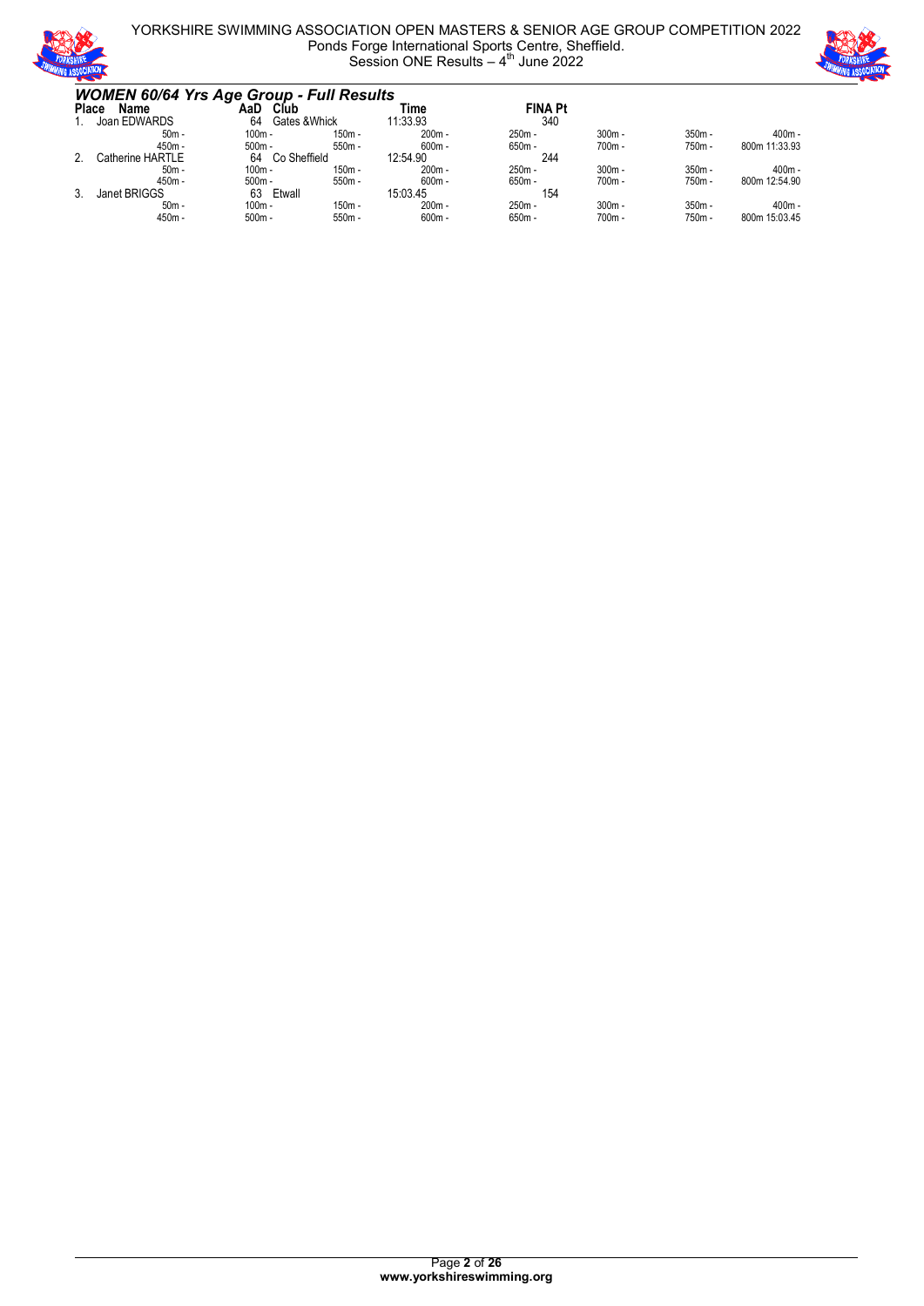

#### YORKSHIRE SWIMMING ASSOCIATION OPEN MASTERS & SENIOR AGE GROUP COMPETITION 2022 Ponds Forge International Sports Centre, Sheffield. Session ONE Results  $-4$ <sup>th</sup> June 2022



| <b>WOMEN 60/64 Yrs Age Group - Full Results</b> |                     |          |              |                |          |          |               |
|-------------------------------------------------|---------------------|----------|--------------|----------------|----------|----------|---------------|
| <b>Place</b><br>Name                            | AaD<br>Club         |          | Time         | <b>FINA Pt</b> |          |          |               |
| Joan EDWARDS                                    | Gates & Whick<br>64 |          | 11:33.93     | 340            |          |          |               |
| $50m -$                                         | $100m -$            | $150m -$ | $200m -$     | $250m -$       | $300m -$ | $350m -$ | $400m -$      |
| 450m -                                          | $500m -$            | $550m -$ | $600m -$     | $650m -$       | $700m -$ | 750m -   | 800m 11:33.93 |
| Catherine HARTLE                                | Co Sheffield<br>64  |          | 12:54.90     | 244            |          |          |               |
| $50m -$                                         | $100m -$            | $150m -$ | $200m -$     | $250m -$       | $300m -$ | $350m -$ | $400m -$      |
| 450m -                                          | $500m -$            | $550m -$ | $600m -$     | $650m -$       | $700m -$ | 750m -   | 800m 12:54.90 |
| Janet BRIGGS                                    | Etwall<br>63        |          | 15:03.45     | 154            |          |          |               |
| $50m -$                                         | $100m -$            | $150m -$ | 200m -       | $250m -$       | $300m -$ | $350m -$ | $400m -$      |
| 450m -                                          | $500m -$            | $550m -$ | $600m \cdot$ | 650m -         | 700m -   | 750m -   | 800m 15:03.45 |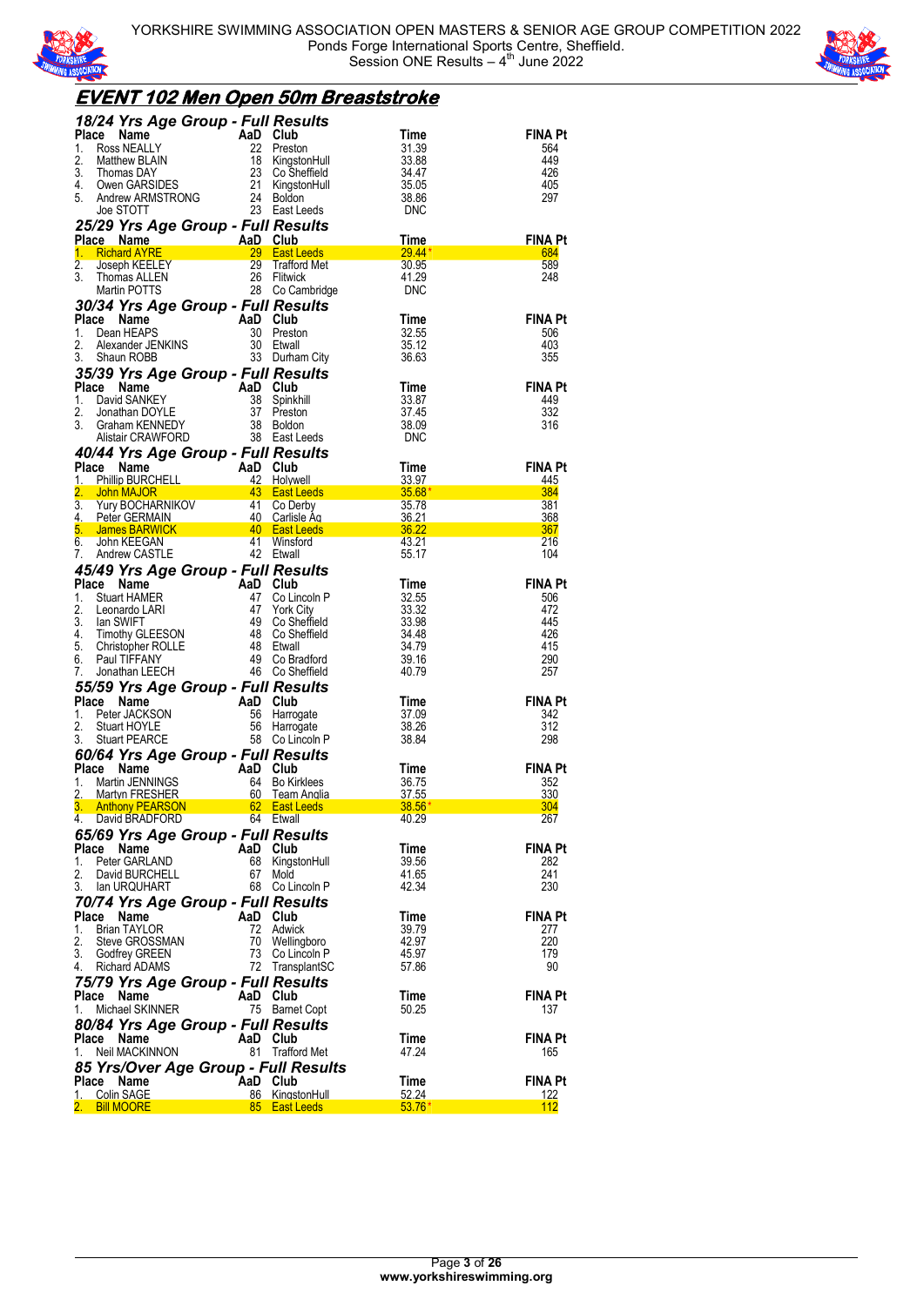



#### **EVENT 102 Men Open 50m Breaststroke** *18/24 Yrs Age Group - Full Results* **Place Name AaD Club Time FINA Pt** 1. Ross NEALLY 22 Preston 31.39 564<br>
2. Matthew BLAIN 18 KingstonHull 33.88 449<br>
3. Thomas DAY 23 Co Sheffield 34.47 426 Matthew BLAIN 18 KingstonHull 33.88 449<br>
2. Thomas DAY 2.3 Co Sheffield 34.47 426<br>
2.1 KingstonHull 35.05 405 3. Thomas DAY 23 Co Sheffield 34.47 426 4. Owen GARSIDES 21 KingstonHull 35.05 405 4. Owen GARMSTRONG 24 Boldon Inii 33.86 297<br>5. Andrew ARMSTRONG 24 Boldon 33.86 36.86 297<br>Joe STOTT 23 East Leeds DNC East Leeds *25/29 Yrs Age Group - Full Results* **Place Name AaD Club Time FINA Pt** 1. Richard AYRE 29 East Leeds 29.44\* 684 1. RICHAR ATRELEY 29 Trafford Met 29.444<br>
2. Joseph KEELEY 29 Trafford Met 30.95 589<br>
3. Thomas ALLEN 26 Flitwick 31.29 589<br>
Martin POTTS 28 Co Cambridge DNC 3. Thomas ALLEN 26 Flitwick 41.29 248 Martin POTTS 28 Co Cambridge DNC *30/34 Yrs Age Group - Full Results* **Place Name AaD Club Time FINA Pt** 1. Dean HEAPS 30 Preston 32.55 506 2. Alexander JENKINS 1. Dean HEAPS<br>
2. Alexander JENKINS 30 Etwall 35.12 35.12 403<br>
3. Shaun ROBB 33 Durham City 36.63 355 3. Shaun ROBB 33 Durham City *35/39 Yrs Age Group - Full Results* **Place Name AaD Club Time FINA Pt**<br>1. David SANKEY 38 Spinkhill 33.87 449 49 1. David SANKEY 38 Spinkhill 33.87 449<br>
2. Jonathan DOYLE 37 Preston 37.45 332<br>
3. Graham KENNEDY 38 Boldon 38.09 316 2. Jonathan DOYLE 37 Preston 37.45 332 3. Graham KENNEDY 38 Boldon 38.09 316 Alistair CRAWFORD 38 East Leeds DNC *40/44 Yrs Age Group - Full Results*

| <b>Place Name <math>\begin{array}{cccc}\n\text{1.} &amp; \text{Phillo BURCHELL} &amp; \text{42} &amp; \text{Holywell} &amp; \text{33.97} \\ \text{2.} &amp; \text{John MAJOR} &amp; \text{43} &amp; \text{East Leeds} &amp; \text{35.68*} \\ \text{3.} &amp; \text{Yury BOCHARNIKOV} &amp; \text{41 Co Derby} &amp; \text{35.78} \\ \text{4. Peter GEERMAN} &amp; \text{40} &amp; \text{Casities Aq} &amp; \text{55.72} \\ \text{5. James BARNUCK} &amp; \text{40} &amp; \text{Cast Leeds} &amp; \text{36.22} \\ </math></b> |                                                         |                 |                                | <b>FINA Pt</b><br>445 |
|------------------------------------------------------------------------------------------------------------------------------------------------------------------------------------------------------------------------------------------------------------------------------------------------------------------------------------------------------------------------------------------------------------------------------------------------------------------------------------------------------------------------------|---------------------------------------------------------|-----------------|--------------------------------|-----------------------|
|                                                                                                                                                                                                                                                                                                                                                                                                                                                                                                                              |                                                         |                 |                                | 384                   |
|                                                                                                                                                                                                                                                                                                                                                                                                                                                                                                                              |                                                         |                 |                                | 381                   |
|                                                                                                                                                                                                                                                                                                                                                                                                                                                                                                                              |                                                         |                 |                                | 368                   |
|                                                                                                                                                                                                                                                                                                                                                                                                                                                                                                                              |                                                         |                 |                                | 367                   |
|                                                                                                                                                                                                                                                                                                                                                                                                                                                                                                                              |                                                         |                 |                                | 216                   |
|                                                                                                                                                                                                                                                                                                                                                                                                                                                                                                                              |                                                         |                 |                                | 104                   |
| 45/49 Yrs Age Group - Full Results                                                                                                                                                                                                                                                                                                                                                                                                                                                                                           |                                                         |                 |                                |                       |
| <b>Place Name Many And Club</b><br><b>Place Name</b> Aan Club<br>1. Stuart HAMER 47 Co Lincoln P<br>2. Leonardo LARI 47 York City<br>3. Ian SWIFT 49 Co Sheffield<br>5. Christopher ROLLE 48 Etwall<br>6. Paul TIFFANY 49 Co Bradford<br>7. Jonathan L                                                                                                                                                                                                                                                                       |                                                         |                 | Time                           | <b>FINA Pt</b>        |
|                                                                                                                                                                                                                                                                                                                                                                                                                                                                                                                              |                                                         |                 | 32.55                          | 506                   |
|                                                                                                                                                                                                                                                                                                                                                                                                                                                                                                                              |                                                         |                 | 33.32                          | 472                   |
|                                                                                                                                                                                                                                                                                                                                                                                                                                                                                                                              |                                                         |                 | 33.98                          | 445                   |
|                                                                                                                                                                                                                                                                                                                                                                                                                                                                                                                              |                                                         |                 | 34.48                          | 426                   |
|                                                                                                                                                                                                                                                                                                                                                                                                                                                                                                                              |                                                         |                 | 34.79<br>39.16                 | 415<br>290            |
|                                                                                                                                                                                                                                                                                                                                                                                                                                                                                                                              |                                                         |                 | 40.79                          | 257                   |
|                                                                                                                                                                                                                                                                                                                                                                                                                                                                                                                              |                                                         |                 |                                |                       |
| 55/59 Yrs Age Group - Full Results                                                                                                                                                                                                                                                                                                                                                                                                                                                                                           |                                                         |                 |                                |                       |
| Place Name<br>Ce Name<br>Peter JACKSON<br>Stuart HOYLE<br>Stuart PEARCE<br>Stuart PEARCE<br>Stuart PEARCE<br>Stuart PEARCE<br>Stuart PEARCE<br>Stuart PEARCE<br>Stuart PEARCE<br>Stuart PEARCE<br>Stuart PEARCE<br>Stuart PEARCE<br>Stuart PEARCE<br>Stuart PEARCE<br>1.                                                                                                                                                                                                                                                     |                                                         |                 | Time                           | FINA Pt               |
| 2.                                                                                                                                                                                                                                                                                                                                                                                                                                                                                                                           |                                                         |                 | 37.09<br>38.26                 | 342<br>312            |
| 3.                                                                                                                                                                                                                                                                                                                                                                                                                                                                                                                           |                                                         |                 | 38.84                          | 298                   |
|                                                                                                                                                                                                                                                                                                                                                                                                                                                                                                                              |                                                         |                 |                                |                       |
| 60/64 Yrs Age Group - Full Results                                                                                                                                                                                                                                                                                                                                                                                                                                                                                           |                                                         |                 |                                |                       |
| Place Name<br>1. Martin JENNINGS<br>2. Martyn FRESHER<br>3. Anthony PEARSON<br>4. David BRADFORD<br>4. David BRADFORD<br>4. 2. Martyn FRESHER<br>4. 2. Martyn PEARSON<br>4. 2. Martyn PEARSON<br>4. 2. Martyn PEARSON<br>4. 2. Martyn PEARSON<br>4.                                                                                                                                                                                                                                                                          |                                                         |                 |                                | <b>FINA Pt</b><br>352 |
|                                                                                                                                                                                                                                                                                                                                                                                                                                                                                                                              |                                                         |                 |                                | 330                   |
|                                                                                                                                                                                                                                                                                                                                                                                                                                                                                                                              |                                                         |                 |                                | 304                   |
|                                                                                                                                                                                                                                                                                                                                                                                                                                                                                                                              |                                                         |                 |                                | 267                   |
|                                                                                                                                                                                                                                                                                                                                                                                                                                                                                                                              |                                                         |                 |                                |                       |
| 65/69 Yrs Age Group - Full Results<br>Place Name                                                                                                                                                                                                                                                                                                                                                                                                                                                                             |                                                         |                 | Time                           | <b>FINA Pt</b>        |
| Ce Name AaD Club<br>Peter GARLAND 68 KingstonHull<br>David BURCHELL 67 Mold<br>Ian LIROLIHART 68 Co Lincoln P<br>1.                                                                                                                                                                                                                                                                                                                                                                                                          |                                                         |                 | 39.56                          | 282                   |
| 2.                                                                                                                                                                                                                                                                                                                                                                                                                                                                                                                           |                                                         |                 | 41.65                          | 241                   |
| 3. Ian URQUHART                                                                                                                                                                                                                                                                                                                                                                                                                                                                                                              |                                                         | 68 Co Lincoln P | 42.34                          | 230                   |
|                                                                                                                                                                                                                                                                                                                                                                                                                                                                                                                              |                                                         |                 |                                |                       |
|                                                                                                                                                                                                                                                                                                                                                                                                                                                                                                                              |                                                         |                 | Time                           | <b>FINA Pt</b>        |
|                                                                                                                                                                                                                                                                                                                                                                                                                                                                                                                              |                                                         |                 | 39.79                          | 277                   |
|                                                                                                                                                                                                                                                                                                                                                                                                                                                                                                                              |                                                         |                 | 42.97                          | 220                   |
| Place Name<br>1. Brian TAYLOR (1997)<br>2. Steve GROSSMAN (1997)<br>3. Godfrey GREEN (1997)<br>4. Richard ADAMS (1997)<br>2. TransplantSC                                                                                                                                                                                                                                                                                                                                                                                    |                                                         |                 | 45.97                          | 179                   |
|                                                                                                                                                                                                                                                                                                                                                                                                                                                                                                                              |                                                         |                 | 57.86                          | 90                    |
| 75/79 Yrs Age Group - Full Results                                                                                                                                                                                                                                                                                                                                                                                                                                                                                           |                                                         |                 |                                |                       |
| Place                                                                                                                                                                                                                                                                                                                                                                                                                                                                                                                        |                                                         |                 | Time                           | <b>FINA Pt</b>        |
| Ce Name AaD Club<br>Michael SKINNER 75 Barnet Copt<br>1.                                                                                                                                                                                                                                                                                                                                                                                                                                                                     |                                                         |                 | 50.25                          | 137                   |
|                                                                                                                                                                                                                                                                                                                                                                                                                                                                                                                              |                                                         |                 |                                |                       |
| 80/84 Yrs Age Group - Full Results                                                                                                                                                                                                                                                                                                                                                                                                                                                                                           |                                                         |                 |                                | <b>FINA Pt</b>        |
| Place Name AaD Club<br>1. Neil MACKINNON 81 Trafford Met                                                                                                                                                                                                                                                                                                                                                                                                                                                                     |                                                         |                 | Time<br>47.24                  | 165                   |
|                                                                                                                                                                                                                                                                                                                                                                                                                                                                                                                              |                                                         |                 |                                |                       |
| 85 Yrs/Over Age Group - Full Results                                                                                                                                                                                                                                                                                                                                                                                                                                                                                         |                                                         |                 |                                |                       |
| Place<br>Name                                                                                                                                                                                                                                                                                                                                                                                                                                                                                                                | AaD Club<br>AaD Club<br>86 KingstonHul<br>85 East Leeds |                 | Time<br>Time<br>52.24<br>53.76 | <b>FINA Pt</b>        |
| 1. Colin SAGE                                                                                                                                                                                                                                                                                                                                                                                                                                                                                                                |                                                         | 86 KingstonHull |                                | 122                   |
| 2.<br><b>Bill MOORE</b>                                                                                                                                                                                                                                                                                                                                                                                                                                                                                                      |                                                         |                 | $53.76*$                       | 112                   |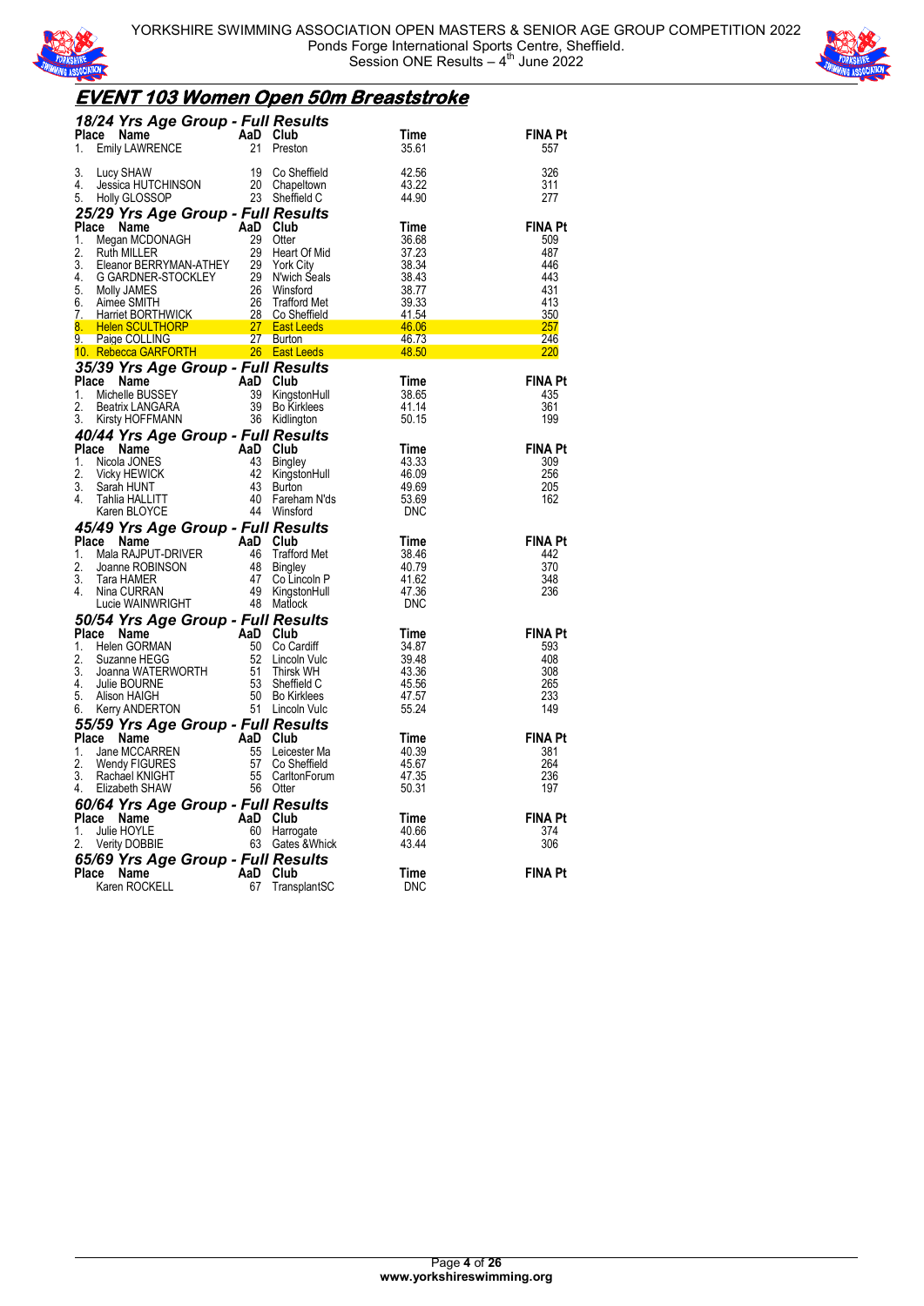



# **EVENT 103 Women Open 50m Breaststroke**

| <b>18/24 Yrs Age Group - Full Results<br/>Place Name AaD Club<br/>1. Emily LAWRENCE 21 Preston</b>                                                                                                                                                                               |                 | Time           | <b>FINA Pt</b>        |
|----------------------------------------------------------------------------------------------------------------------------------------------------------------------------------------------------------------------------------------------------------------------------------|-----------------|----------------|-----------------------|
|                                                                                                                                                                                                                                                                                  |                 | 35.61          | 557                   |
| 3.                                                                                                                                                                                                                                                                               |                 | 42.56          | 326                   |
| 4.                                                                                                                                                                                                                                                                               |                 | 43.22          | 311                   |
| Lucy SHAW 19 Co Sheffield<br>Jessica HUTCHINSON 20 Chapeltown<br>Holly GLOSSOP 23 Sheffield C<br>5.                                                                                                                                                                              |                 | 44.90          | 277                   |
|                                                                                                                                                                                                                                                                                  |                 |                |                       |
|                                                                                                                                                                                                                                                                                  |                 |                | <b>FINA Pt</b><br>509 |
|                                                                                                                                                                                                                                                                                  |                 |                | 487                   |
|                                                                                                                                                                                                                                                                                  |                 |                | 446                   |
|                                                                                                                                                                                                                                                                                  |                 |                | 443                   |
|                                                                                                                                                                                                                                                                                  |                 |                | 431<br>413            |
|                                                                                                                                                                                                                                                                                  |                 |                | 350                   |
|                                                                                                                                                                                                                                                                                  |                 |                | 257                   |
|                                                                                                                                                                                                                                                                                  |                 |                | 246                   |
| 3. Holly GLOSSOP<br>1. Megan MCDONAGH<br>1. Megan MCDONAGH<br>1. Megan MCDONAGH<br>2. Ruth MILLER<br>2. Ruth MILLER<br>2. Ruth MILLER<br>2. Ruth MILLER<br>2. Ruth MILLER<br>2. Secarc Microsoft Cases<br>4. G GARDNES<br>6. Molly JAMES<br>5. Minee S                           |                 |                | <u> 220</u>           |
| <b>35/39 Yrs Age Group - Full Results<br/> Place Name AaD Club<br/> 1. Michelle BUSSEY 39 KingstonHull<br/> 2. Beatrix LANGARA 39 Bo Kirklees<br/> 3. Kirsty HOFFMANN 36 Kidlington</b>                                                                                          |                 | Time           | <b>FINA Pt</b>        |
|                                                                                                                                                                                                                                                                                  | 39 KingstonHull | 38.65          | 435                   |
|                                                                                                                                                                                                                                                                                  |                 | 41.14          | 361                   |
|                                                                                                                                                                                                                                                                                  |                 | 50.15          | 199                   |
| 40/44 Yrs Age Group - Full Results<br>Place Name<br>1. Nicola JONES<br>2. Vicky HEWICK<br>3. Sarah HUNT<br>4. Tahlia HALLITT<br>4. Tahlia HALLITT<br>4. Tahlia HALLITT<br>4. Tahlia HALLITT<br>4. Tahlia HALLITT<br>4. Tahlia HALLITT<br>4. Winsford                             |                 |                |                       |
|                                                                                                                                                                                                                                                                                  |                 | Time<br>43.33  | <b>FINA Pt</b><br>309 |
|                                                                                                                                                                                                                                                                                  |                 | 46.09          | 256                   |
|                                                                                                                                                                                                                                                                                  |                 | 49.69          | 205                   |
|                                                                                                                                                                                                                                                                                  |                 | 53.69          | 162                   |
|                                                                                                                                                                                                                                                                                  |                 | DNC            |                       |
| Additional <b>45/49 Yrs Age Group - Full Results<br/> Place Name ROBINSON<br/> 1. Mala RAJPUT-DRIVER<br/> 2. Joanne ROBINSON<br/> 3. Tara HAMER<br/> 4. Nina CURRAN<br/> 4. Nina CURRAN<br/> 4. Nina CURRAN<br/> 4. Nina CURRAN<br/> 4. Nina CURRAN<br/> 4. Nina CURRAN<br/></b> |                 | Time           | <b>FINA Pt</b>        |
|                                                                                                                                                                                                                                                                                  |                 | 38.46          | 442                   |
|                                                                                                                                                                                                                                                                                  |                 | 40.79          | 370                   |
|                                                                                                                                                                                                                                                                                  |                 | 41.62          | 348                   |
|                                                                                                                                                                                                                                                                                  |                 | 47.36<br>DNC   | 236                   |
| Lucie WAINWRIGHT<br>50/54 Yrs Age Group - Full Results<br>Place Name<br>1. Helen GORMAN<br>1. Helen GORMAN<br>2. Suzanne HEGG<br>3. Joanna WATERWORTH<br>51 Thirsk WH<br>5. Julie BOURNE<br>5. Alison HAIGH<br>6. Kerry ANDERTON<br>6. Kerry ANDERTO                             |                 |                |                       |
|                                                                                                                                                                                                                                                                                  |                 | Time           | <b>FINA Pt</b>        |
|                                                                                                                                                                                                                                                                                  |                 | 34.87          | 593                   |
|                                                                                                                                                                                                                                                                                  |                 | 39.48          | 408                   |
|                                                                                                                                                                                                                                                                                  |                 | 43.36<br>45.56 | 308<br>265            |
|                                                                                                                                                                                                                                                                                  |                 | 47.57          | 233                   |
|                                                                                                                                                                                                                                                                                  |                 | 55.24          | 149                   |
| 55/59 Yrs Age Group - Full Results                                                                                                                                                                                                                                               |                 |                |                       |
| Place<br>1.                                                                                                                                                                                                                                                                      |                 | Time<br>40.39  | <b>FINA Pt</b><br>381 |
| 2.                                                                                                                                                                                                                                                                               |                 | 45.67          | 264                   |
| 3.                                                                                                                                                                                                                                                                               |                 | 47.35          | 236                   |
| Comparison of the Manne MCCARREN<br>Jane MCCARREN<br>Mendy FIGURES<br>Rachael KNIGHT<br>Elizabeth SHAW<br>So Comparison of the MCCARREN<br>Elizabeth SHAW<br>So Otter<br>4.                                                                                                      |                 | 50.31          | 197                   |
|                                                                                                                                                                                                                                                                                  |                 |                |                       |
|                                                                                                                                                                                                                                                                                  |                 | Time<br>40.66  | <b>FINA Pt</b><br>374 |
| <b>60/64 Yrs Age Group - Full Results<br/>Place Name AaD Club<br/>1. Julie HOYLE 60 Harrogate<br/>2. Verity DOBBIE 63 Gates &amp;Whick</b>                                                                                                                                       |                 | 43.44          | 306                   |
| 65/69 Yrs Age Group - Full Results                                                                                                                                                                                                                                               |                 |                |                       |
| AaD Club<br>67 Transı<br>Place Name                                                                                                                                                                                                                                              |                 | Time           | <b>FINA Pt</b>        |
| Karen ROCKELL                                                                                                                                                                                                                                                                    | TransplantSC    | <b>DNC</b>     |                       |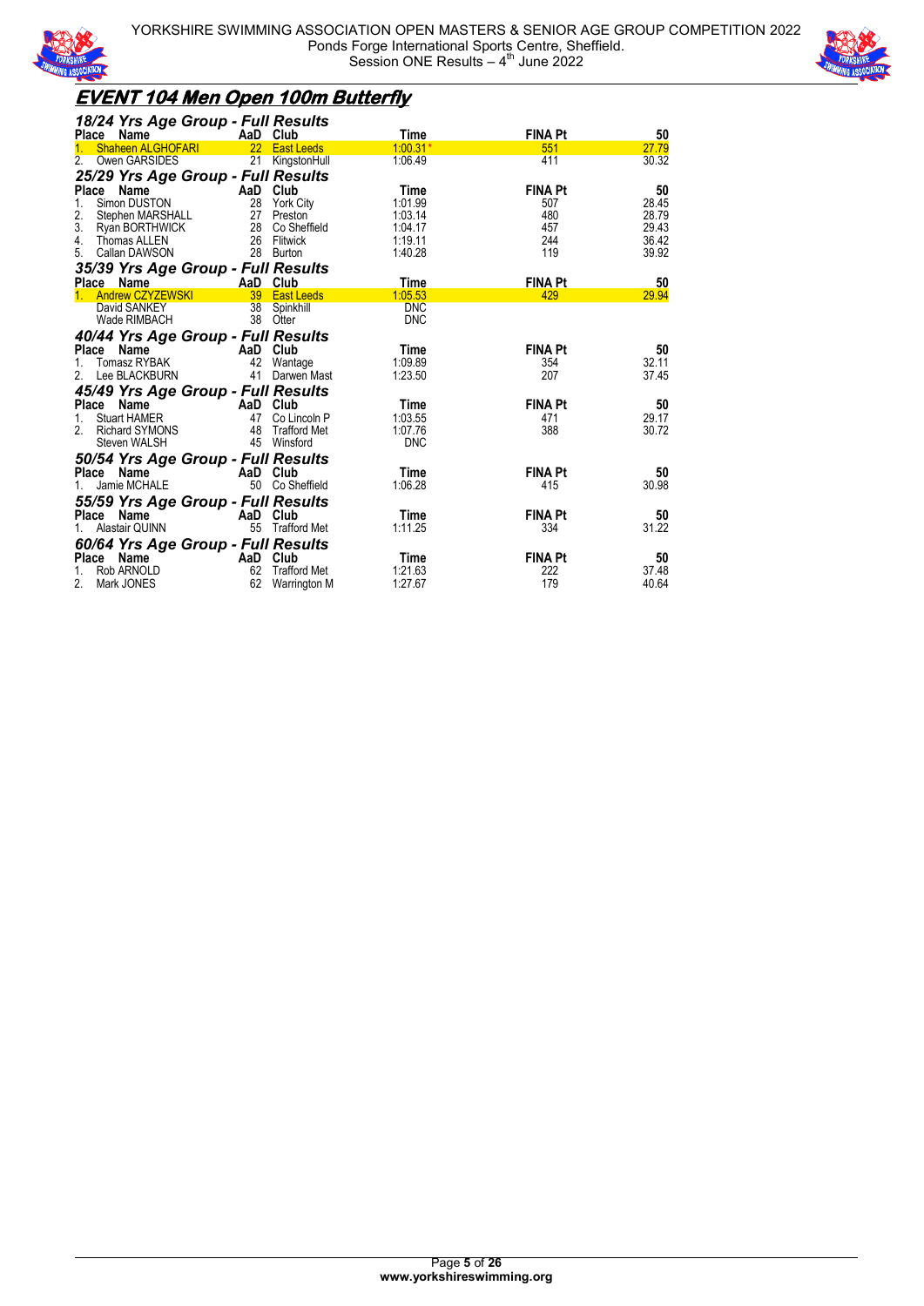



## **EVENT 104 Men Open 100m Butterfly**

| 18/24 Yrs Age Group - Full Results               |     |                      |            |                |       |
|--------------------------------------------------|-----|----------------------|------------|----------------|-------|
| Place<br>Name                                    |     | AaD Club             | Time       | <b>FINA Pt</b> | 50    |
| <b>Shaheen ALGHOFARI</b>                         |     | 22 East Leeds        | $1:00.31*$ | 551            | 27.79 |
| Owen GARSIDES<br>2.                              | 21  | KingstonHull         | 1.06.49    | 411            | 30.32 |
| 25/29 Yrs Age Group - Full Results               |     |                      |            |                |       |
| Place Name                                       |     | AaD Club             | Time       | <b>FINA Pt</b> | 50    |
| Simon DUSTON<br>1.                               | 28  | York City            | 1:01.99    | 507            | 28.45 |
| 2.<br>Stephen MARSHALL                           | 27  | Preston              | 1:03.14    | 480            | 28.79 |
| 3. Ryan BORTHWICK                                |     | 28 Co Sheffield      | 1:04.17    | 457            | 29.43 |
| 4.<br>Thomas ALLEN                               |     | 26 Flitwick          | 1:19.11    | 244            | 36.42 |
| Callan DAWSON<br>5.                              | 28  | Burton               | 1:40.28    | 119            | 39.92 |
| 35/39 Yrs Age Group - Full Results               |     |                      |            |                |       |
| <b>Place</b><br>Name                             |     | AaD Club             | Time       | <b>FINA Pt</b> | 50    |
| <b>Andrew CZYZEWSKI</b>                          |     | <b>39 East Leeds</b> | 1:05.53    | 429            | 29.94 |
| David SANKEY                                     | 38  | Spinkhill            | <b>DNC</b> |                |       |
| Wade RIMBACH                                     |     | 38 Otter             | <b>DNC</b> |                |       |
| 40/44 Yrs Age Group - Full Results               |     |                      |            |                |       |
| Place Name                                       |     | AaD Club             | Time       | <b>FINA Pt</b> | 50    |
| Tomasz RYBAK<br>1.                               |     | 42 Wantage           | 1:09.89    | 354            | 32.11 |
| 2.<br>Lee BLACKBURN                              | 41  | Darwen Mast          | 1:23.50    | 207            | 37.45 |
| 45/49 Yrs Age Group - Full Results               |     |                      |            |                |       |
| <b>Place</b><br>Name                             |     | AaD Club             | Time       | <b>FINA Pt</b> | 50    |
| <b>Stuart HAMER</b><br>1.                        |     | 47 Co Lincoln P      | 1:03.55    | 471            | 29.17 |
| 2.<br>Richard SYMONS                             | 48  | <b>Trafford Met</b>  | 1:07.76    | 388            | 30.72 |
| Steven WALSH                                     |     | 45 Winsford          | <b>DNC</b> |                |       |
| 50/54 Yrs Age Group - Full Results               |     |                      |            |                |       |
| Place<br>Name                                    |     | AaD Club             | Time       | <b>FINA Pt</b> | 50    |
| Jamie MCHALE<br>$1_{-}$                          |     | 50 Co Sheffield      | 1:06.28    | 415            | 30.98 |
| 55/59 Yrs Age Group - Full Results               |     |                      |            |                |       |
| <b>Place</b><br>Name                             | AaD | Club                 | Time       | <b>FINA Pt</b> | 50    |
| Alastair QUINN                                   |     | 55 Trafford Met      | 1:11.25    | 334            | 31.22 |
|                                                  |     |                      |            |                |       |
| 60/64 Yrs Age Group - Full Results<br>Place Name |     | AaD Club             | Time       | <b>FINA Pt</b> | 50    |
| Rob ARNOLD                                       | 62  | <b>Trafford Met</b>  | 1:21.63    | 222            | 37.48 |
| 2.<br>Mark JONES                                 | 62  | Warrington M         | 1:27.67    | 179            | 40.64 |
|                                                  |     |                      |            |                |       |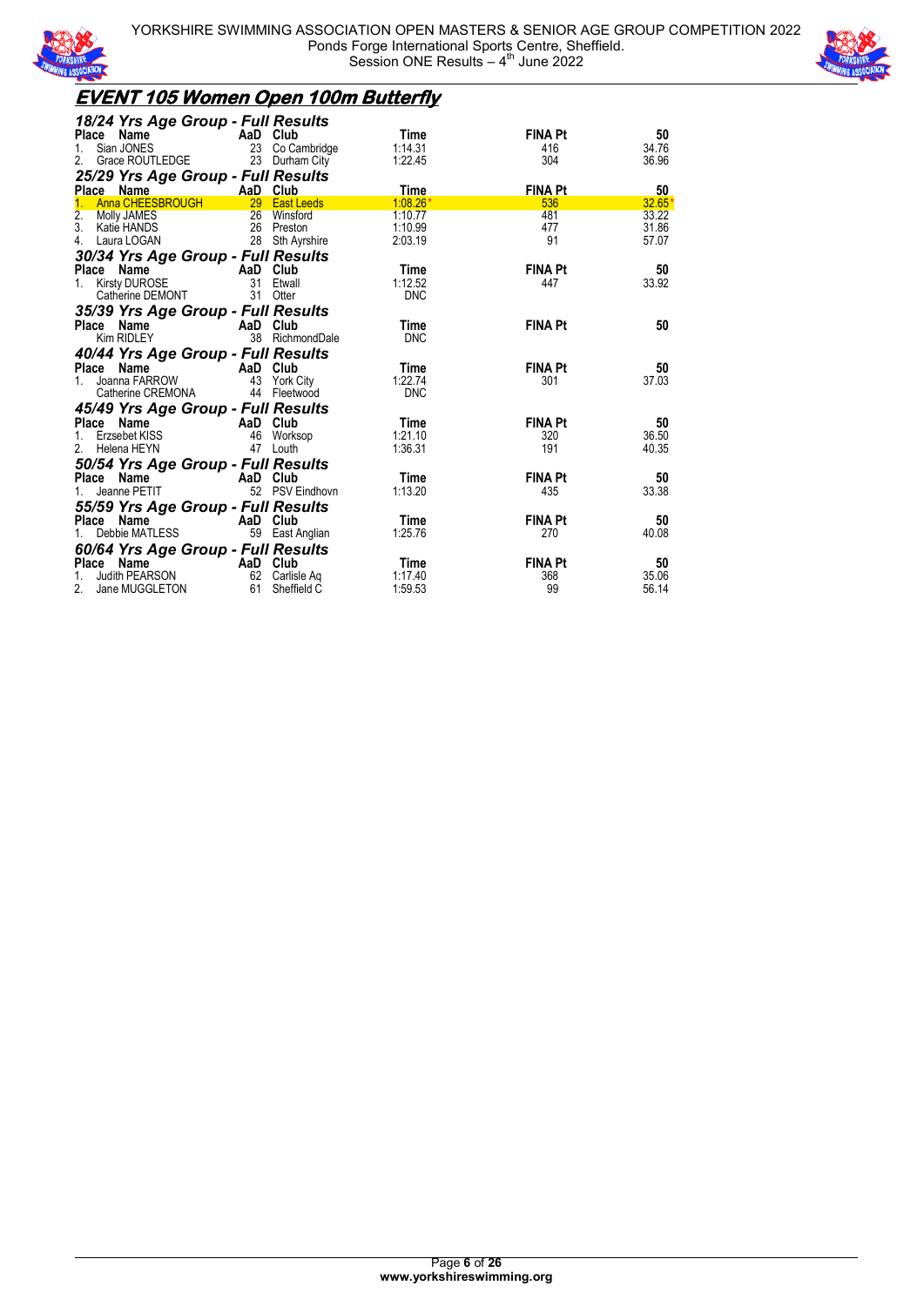



### **EVENT 105 Women Open 100m Butterfly**

| 18/24 Yrs Age Group - Full Results                                            |    |                 |            |                |          |
|-------------------------------------------------------------------------------|----|-----------------|------------|----------------|----------|
| Place Name                                                                    |    | AaD Club        | Time       | <b>FINA Pt</b> | 50       |
| Sian JONES<br>1.                                                              |    | 23 Co Cambridge | 1:14.31    | 416            | 34.76    |
| Grace ROUTLEDGE<br>2.                                                         |    | 23 Durham City  | 1:22.45    | 304            | 36.96    |
| 25/29 Yrs Age Group - Full Results                                            |    |                 |            |                |          |
| Place Name                                                                    |    | AaD Club        | Time       | <b>FINA Pt</b> | 50       |
| Anna CHEESBROUGH                                                              |    | 29 East Leeds   | $1:08.26*$ | 536            | $32.65*$ |
| 2. Molly JAMES                                                                |    | 26 Winsford     | 1:10.77    | 481            | 33.22    |
| 3.<br>Katie HANDS                                                             |    | 26 Preston      | 1:10.99    | 477            | 31.86    |
| 4.<br>Laura LOGAN                                                             |    | 28 Sth Ayrshire | 2:03.19    | 91             | 57.07    |
| 30/34 Yrs Age Group - Full Results                                            |    |                 |            |                |          |
| <b>Example 2</b> AaD Club<br>Place Name                                       |    |                 | Time       | <b>FINA Pt</b> | 50       |
| <b>Kirsty DUROSE</b><br>$1_{\ldots}$                                          |    | 31 Etwall       | 1:12.52    | 447            | 33.92    |
| Catherine DEMONT                                                              | 31 | Otter           | <b>DNC</b> |                |          |
| 35/39 Yrs Age Group - Full Results                                            |    |                 |            |                |          |
| Place Name                                                                    |    | AaD Club        | Time       | <b>FINA Pt</b> | 50       |
| Kim RIDLEY                                                                    |    | 38 RichmondDale | <b>DNC</b> |                |          |
| 40/44 Yrs Age Group - Full Results                                            |    |                 |            |                |          |
|                                                                               |    | AaD Club        | Time       | <b>FINA Pt</b> | 50       |
| <b>Place Name</b><br>1. Joanna FARROW                                         |    | 43 York City    | 1:22.74    | 301            | 37.03    |
| Catherine CREMONA                                                             |    | 44 Fleetwood    | <b>DNC</b> |                |          |
|                                                                               |    |                 |            |                |          |
| 45/49 Yrs Age Group - Full Results<br>Place Name<br><b>Example 2</b> AaD Club |    |                 | Time       | <b>FINA Pt</b> | 50       |
| Erzsebet KISS                                                                 |    | 46 Worksop      | 1:21.10    | 320            | 36.50    |
| 2 <sub>1</sub><br>Helena HEYN                                                 | 47 | Louth           | 1:36.31    | 191            | 40.35    |
|                                                                               |    |                 |            |                |          |
| 50/54 Yrs Age Group - Full Results                                            |    |                 |            |                |          |
| Place Name                                                                    |    | AaD Club        | Time       | <b>FINA Pt</b> | 50       |
| Jeanne PETIT                                                                  |    | 52 PSV Eindhovn | 1:13.20    | 435            | 33.38    |
| 55/59 Yrs Age Group - Full Results                                            |    |                 |            |                |          |
| Place Name                                                                    |    | AaD Club        | Time       | <b>FINA Pt</b> | 50       |
| Debbie MATLESS<br>1.                                                          |    | 59 East Anglian | 1:25.76    | 270            | 40.08    |
| 60/64 Yrs Age Group - Full Results                                            |    |                 |            |                |          |
| Place<br>Name                                                                 |    | AaD Club        | Time       | <b>FINA Pt</b> | 50       |
| Judith PEARSON                                                                | 62 | Carlisle Aq     | 1:17.40    | 368            | 35.06    |
| 2.<br>Jane MUGGLETON                                                          | 61 | Sheffield C     | 1:59.53    | 99             | 56.14    |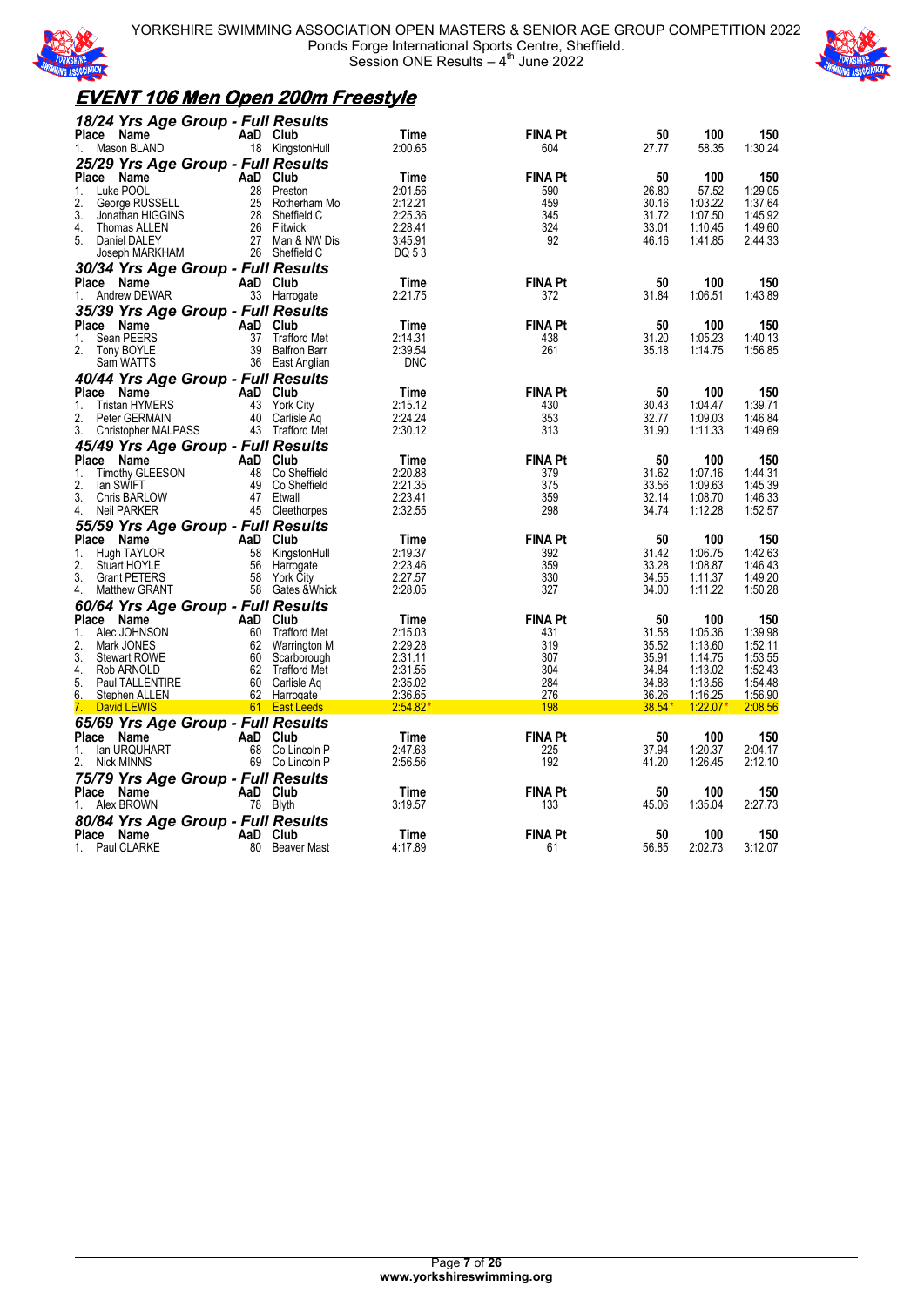



#### **EVENT 106 Men Open 200m Freestyle** *18/24 Yrs Age Group - Full Results* **Place Name 6. AaD Club 11. Time FINA Pt 50 100 150**<br>1. Mason BLAND 18 KingstonHull 2:00.65 604 27.77 58.35 1:30.24 1. Mason BLAND 18 KingstonHull 2:00.65 604 27.77 58.35 1:30.24 *25/29 Yrs Age Group - Full Results* Place Name **AaD Club** Time FINA Pt 50 100 150 1. Luke POOL 28 Preston 2:01.56 590 26.80 57.52 1:29.05 2. George RUSSELL 25 Rotherham Mo 2:12.21 459 30.16 1:03.22 1:37.64 3. Jonathan HIGGINS 28 Sheffield C 2:25.36 345 31.72 1:07.50 1:45.92 4. Thomas ALLEN 26 Flitwick 2:28.41 324 33.01 1:10.45 1:49.60 5. Daniel DALEY 27 Man & NW Dis 3:45.91 92 46.16 1:41.85 2:44.33 Joseph MARKHAM 26 Sheffield C DQ 5 3 *30/34 Yrs Age Group - Full Results* **Place Name AaD Club Time FINA Pt 50 100 150**<br>1. Andrew DEWAR 33 Harrogate 2:21.75 372 31.84 1:06.51 1:43.89 1. Andrew DEWAR *35/39 Yrs Age Group - Full Results* **Place Name AaD Club Time FINA Pt 50 100 150**<br>1. Sean PEERS 37 Trafford Met 2:14.31 438 31.20 1:05.23 1:40.13<br>2. Tony BOYLE 39 Balfron Barr 2:39.54 261 35.18 1:14.75 1:56.85 1. Sean PEERS 37 Trafford Met 2:14.31 438 31.20 1:05.23 1:40.13 2. Tony BOYLE 39 Balfron Barr 2:39.54 261 35.18 1:14.75 1:56.85 Sam WATTS 36 East Anglian DNC *40/44 Yrs Age Group - Full Results* **Place Name AaD Club Time FINA Pt 50 100 150** 1. Tristan HYMERS 43 York City 2:15.12 430 30.43 1:04.47 1:39.71 2. Peter GERMAIN 40 Carlisle Aq 2:24.24 353 32.77 1:09.03 1:46.84 3. Christopher MALPASS 43 Trafford Met 2:30.12 313 31.90 1:11.33 1:49.69 *45/49 Yrs Age Group - Full Results* **Place Name AaD Club Time FINA Pt 50 100 150**<br>1. Timothy GLEESON 48 Co Sheffield 2:20.88 379 31.62 1:07.16 1:44.31<br>2. Ian SWIFT 49 Co Sheffield 2:21.35 375 33.56 1:09.63 1:45.39 1. Timothy GLEESON 48 Co Sheffield 2:20.88 379 31.62 1:07.16 1:44.31 2. Ian SWIFT 49 Co Sheffield 2:21.35 375 33.56 1:09.63 1:45.39 3. Chris BARLOW 47 Etwall 2:23.41 359 32.14 1:08.70 1:46.33 4. Neil PARKER 45 Cleethorpes 2:32.55 298 34.74 1:12.28 1:52.57 *55/59 Yrs Age Group - Full Results* **Place Name AaD Club Time FINA Pt 50 100 150**<br>1. Hugh TAYLOR 58 KingstonHull 2:19.37 392 31.42 1:06.75 1:42.63 1. Hugh TAYLOR 58 KingstonHull 2:19.37 392 31.42 1:06.75 1:42.63 2. Stuart HOYLE 56 Harrogate 2:23.46 359 33.28 1:08.87 1:46.43 1. 33.28 1.08.87 1.46.43<br>
3. Grant PETERS 58 York City 2.27.57 330 34.55 1.11.37 1.49.20<br>
4. Matthew GRANT 58 Gates & Whick 2.28.05 327 34.00 1.11.22 1.50.28 Matthew GRANT *60/64 Yrs Age Group - Full Results* **Place Name AaD Club Time FINA Pt 50 100 150**<br>1. Alec JOHNSON 60 Trafford Met 2:15.03 431 431 31.58 1:05.36 1:39.98 1. Alec JOHNSON 60 Trafford Met 2:15.03 431 31.58 1:05.36 1:39.98 2. Mark JONES 62 Warrington M 2:29.28 319 35.52 1:13.60 1:52.11 3. Stewart ROWE 60 Scarborough 2:31.11 307 35.91 1:14.75 1:53.55 4. Rob ARNOLD 62 Trafford Met 2:31.55 304 34.84 1:13.02 1:52.43 5. Paul TALLENTIRE 60 Carlisle Aq 2:35.02 284 34.88 1:13.56 1:54.48 6. Stephen ALLEN 62 Harrogate 2:36.65 276 36.26 1:16.25 1:56.90 7. David LEWIS 61 East Leeds 2:54.82\* 198 38.54\* 1:22.07\* 2:08.56 *65/69 Yrs Age Group - Full Results* **Place Name 3 3 37.94 AaD Club Time FINA Pt 50 100 150**<br>1. Ian URQUHART 68 Co Lincoln P 2:47.63 225 37.94 1:20.37 2:04.17<br>2. Nick MINNS 69 Co Lincoln P 2:56.56 192 41.20 1:26.45 2:12.10 1. Ian URQUHART 68 Co Lincoln P 2:47.63 225 37.94 1:20.37 2:04.17 2. Nick MINNS 69 Co Lincoln P 2:56.56 192 41.20 1:26.45 2:12.10 *75/79 Yrs Age Group - Full Results* **Place Name 100 150 100 150**<br>1. Alex BROWN 100 178 Blyth 13:19.57 133 45.06 1:35.04 2:27.73 1. Alex BROWN 78 Blyth 3:19.57 133 *80/84 Yrs Age Group - Full Results* Place Name **AaD Club** Time FINA Pt 50 100 150 1. Paul CLARKE 80 Beaver Mast 4:17.89 61 56.85 2:02.73 3:12.07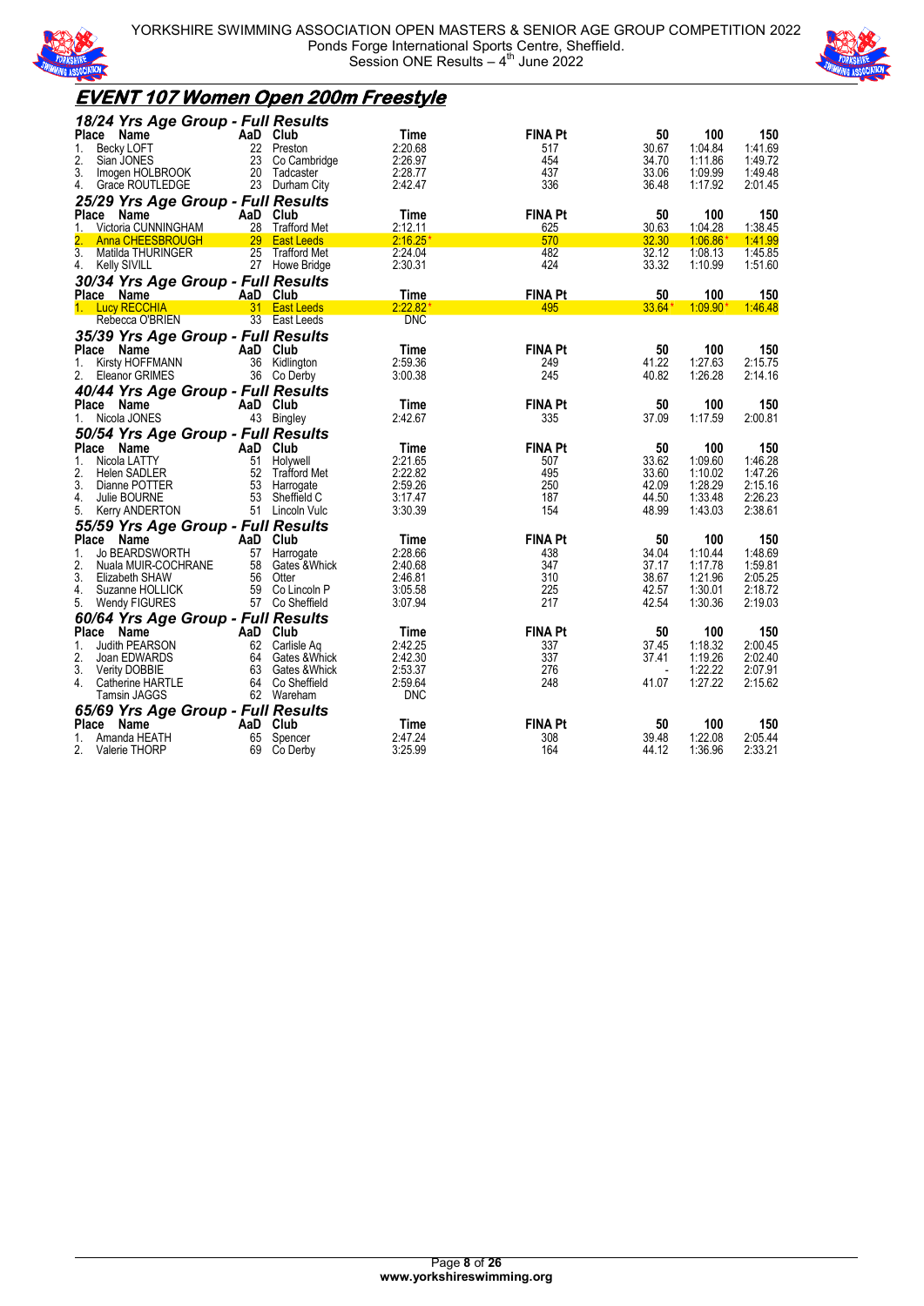



### **EVENT 107 Women Open 200m Freestyle**

| 18/24 Yrs Age Group - Full Results                 |          |                                |                        |                |                |                    |                    |
|----------------------------------------------------|----------|--------------------------------|------------------------|----------------|----------------|--------------------|--------------------|
| Name<br>Place                                      | AaD Club |                                | <b>Time</b>            | <b>FINA Pt</b> | 50             | 100                | 150                |
| <b>Becky LOFT</b><br>1.                            | 22       | Preston                        | 2:20.68                | 517            | 30.67          | 1:04.84            | 1:41.69            |
| 2.<br>Sian JONES                                   | 23       | Co Cambridge                   | 2:26.97                | 454            | 34.70          | 1:11.86            | 1:49.72            |
| 3.<br>Imogen HOLBROOK                              |          | 20 Tadcaster                   | 2:28.77                | 437            | 33.06          | 1:09.99            | 1:49.48            |
| 4.<br>Grace ROUTLEDGE                              |          | 23 Durham City                 | 2:42.47                | 336            | 36.48          | 1:17.92            | 2:01.45            |
| 25/29 Yrs Age Group - Full Results                 |          |                                |                        |                |                |                    |                    |
| <b>Place</b><br>Name                               | AaD Club |                                | Time                   | <b>FINA Pt</b> | 50             | 100                | 150                |
| Victoria CUNNINGHAM<br>1.                          |          | 28 Trafford Met                | 2:12.11                | 625            | 30.63          | 1:04.28            | 1:38.45            |
| <b>Anna CHEESBROUGH</b><br>$\overline{3}$ .        |          | 29 East Leeds                  | 2:16.25'               | 570            | 32.30          | 1:06.86            | 1:41.99            |
| Matilda THURINGER<br>4.                            |          | 25 Trafford Met                | 2:24.04<br>2:30.31     | 482<br>424     | 32.12<br>33.32 | 1:08.13<br>1:10.99 | 1:45.85<br>1:51.60 |
| <b>Kelly SIVILL</b>                                |          | 27 Howe Bridge                 |                        |                |                |                    |                    |
| 30/34 Yrs Age Group - Full Results                 |          |                                |                        |                |                |                    |                    |
| Place Name                                         |          | AaD Club                       | Time                   | <b>FINA Pt</b> | 50             | 100                | 150                |
| 1. Lucy RECCHIA<br>Rebecca O'BRIEN                 |          | 31 East Leeds<br>33 East Leeds | 2:22.82'<br><b>DNC</b> | 495            | $33.64*$       | $1:09.90*$         | 1:46.48            |
|                                                    |          |                                |                        |                |                |                    |                    |
| 35/39 Yrs Age Group - Full Results                 |          |                                |                        |                |                |                    |                    |
| <b>Place</b><br>Name                               |          | AaD Club                       | Time                   | <b>FINA Pt</b> | 50             | 100                | 150                |
| 1.<br>Kirsty HOFFMANN<br>2.                        |          | 36 Kidlington                  | 2:59.36<br>3:00.38     | 249<br>245     | 41.22<br>40.82 | 1:27.63<br>1:26.28 | 2:15.75<br>2:14.16 |
| Eleanor GRIMES                                     |          | 36 Co Derby                    |                        |                |                |                    |                    |
| 40/44 Yrs Age Group - Full Results                 |          |                                |                        |                |                |                    |                    |
| Place Name                                         | AaD Club |                                | Time                   | <b>FINA Pt</b> | 50             | 100                | 150                |
| 1.<br>Nicola JONES                                 |          | 43 Bingley                     | 2:42.67                | 335            | 37.09          | 1:17.59            | 2:00.81            |
| 50/54 Yrs Age Group - Full Results                 |          |                                |                        |                |                |                    |                    |
| Place<br>Name                                      | AaD Club |                                | Time                   | <b>FINA Pt</b> | 50             | 100                | 150                |
| 1.<br>Nicola LATTY                                 |          | 51 Holywell                    | 2:21.65                | 507            | 33.62          | 1:09.60            | 1:46.28            |
| 2.<br>Helen SADLER                                 |          | 52 Trafford Met                | 2:22.82                | 495            | 33.60          | 1:10.02            | 1:47.26            |
| 3.<br>Dianne POTTER<br>4.                          | 53<br>53 | Harrogate<br>Sheffield C       | 2:59.26                | 250<br>187     | 42.09<br>44.50 | 1:28.29            | 2:15.16<br>2:26.23 |
| Julie BOURNE<br>5.<br><b>Kerry ANDERTON</b>        |          | 51 Lincoln Vulc                | 3:17.47<br>3:30.39     | 154            | 48.99          | 1:33.48<br>1:43.03 | 2:38.61            |
|                                                    |          |                                |                        |                |                |                    |                    |
| 55/59 Yrs Age Group - Full Results<br><b>Place</b> |          |                                |                        | <b>FINA Pt</b> | 50             | 100                |                    |
| Name<br><b>Jo BEARDSWORTH</b>                      |          | AaD Club                       | Time                   |                |                |                    | 150<br>1:48.69     |
| 1.<br>2.<br>Nuala MUIR-COCHRANE                    | 58       | 57 Harrogate<br>Gates &Whick   | 2:28.66<br>2:40.68     | 438<br>347     | 34.04<br>37.17 | 1:10.44<br>1:17.78 | 1:59.81            |
| 3.<br>Elizabeth SHAW                               |          | 56 Otter                       | 2:46.81                | 310            | 38.67          | 1:21.96            | 2:05.25            |
| 4.<br>Suzanne HOLLICK                              |          | 59 Co Lincoln P                | 3:05.58                | 225            | 42.57          | 1:30.01            | 2:18.72            |
| 5.<br>Wendy FIGURES                                |          | 57 Co Sheffield                | 3:07.94                | 217            | 42.54          | 1:30.36            | 2:19.03            |
| 60/64 Yrs Age Group - Full Results                 |          |                                |                        |                |                |                    |                    |
| Place Name                                         | AaD Club |                                | Time                   | <b>FINA Pt</b> | 50             | 100                | 150                |
| 1.<br>Judith PEARSON                               |          | 62 Carlisle Aq                 | 2:42.25                | 337            | 37.45          | 1:18.32            | 2:00.45            |
| 2.<br>Joan EDWARDS                                 |          | 64 Gates & Whick               | 2:42.30                | 337            | 37.41          | 1:19.26            | 2:02.40            |
| 3.<br><b>Verity DOBBIE</b>                         |          | 63 Gates & Whick               | 2:53.37                | 276            |                | 1:22.22            | 2:07.91            |
| 4.<br>Catherine HARTLE                             |          | 64 Co Sheffield                | 2:59.64                | 248            | 41.07          | 1:27.22            | 2:15.62            |
| <b>Tamsin JAGGS</b>                                |          | 62 Wareham                     | <b>DNC</b>             |                |                |                    |                    |
| 65/69 Yrs Age Group - Full Results                 |          |                                |                        |                |                |                    |                    |
| <b>Place</b><br>Name                               | AaD Club |                                | Time                   | <b>FINA Pt</b> | 50             | 100                | 150                |
| 1.<br>Amanda HEATH                                 | 65       | Spencer                        | 2:47.24                | 308            | 39.48          | 1:22.08            | 2:05.44            |
| 2.<br>Valerie THORP                                | 69       | Co Derby                       | 3:25.99                | 164            | 44.12          | 1:36.96            | 2:33.21            |
|                                                    |          |                                |                        |                |                |                    |                    |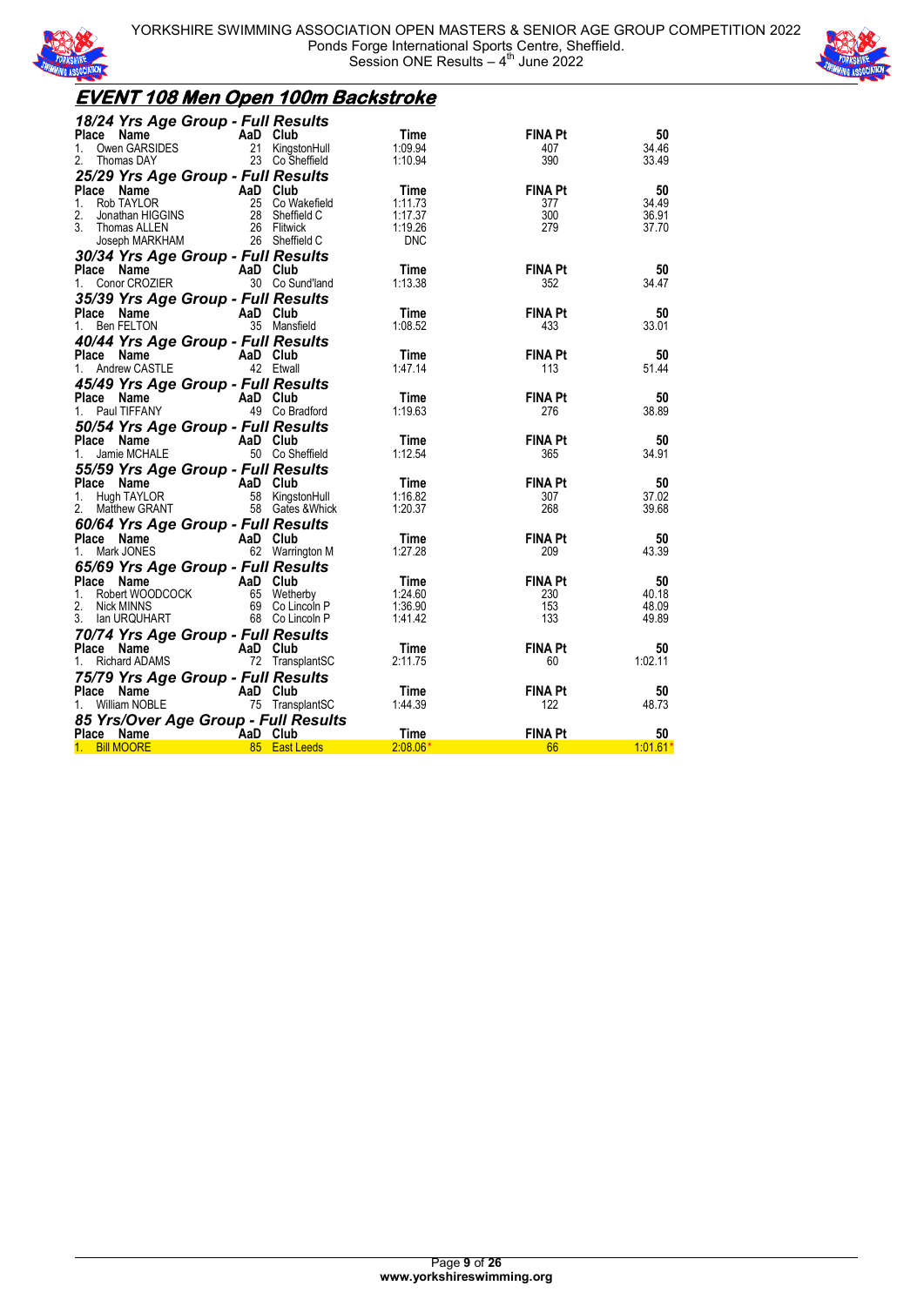



### **EVENT 108 Men Open 100m Backstroke**

| 18/24 Yrs Age Group - Full Results                                                                                                                                             |  |             |                |            |
|--------------------------------------------------------------------------------------------------------------------------------------------------------------------------------|--|-------------|----------------|------------|
| Place Name AaD Club<br>1. Owen GARSIDES 21 KingstonHull<br>2. Thomas DAY 23 Co Sheffield                                                                                       |  | Time        | <b>FINA Pt</b> | 50         |
|                                                                                                                                                                                |  | 1:09.94     | 407            | 34.46      |
|                                                                                                                                                                                |  | 1:10.94     | 390            | 33.49      |
| 25/29 Yrs Age Group - Full Results                                                                                                                                             |  |             |                |            |
| Place Name<br>1. Rob TAYLOR<br>2. Jonathan HIGGINS<br>3. Thomas ALLEN<br>3. Joseph MARKHAM<br>26 Sheffield C<br>26 Sheffield C<br>26 Sheffield C<br>26 Sheffield C             |  | Time        | <b>FINA Pt</b> | 50         |
|                                                                                                                                                                                |  | 1:11.73     | 377            | 34.49      |
|                                                                                                                                                                                |  | 1:17.37     | 300            | 36.91      |
|                                                                                                                                                                                |  | 1:19.26     | 279            | 37.70      |
|                                                                                                                                                                                |  | <b>DNC</b>  |                |            |
| JOSEPITE MINING LINES COUP - Full Results<br>30/34 Yrs Age Group - Full Results                                                                                                |  |             |                |            |
|                                                                                                                                                                                |  |             |                |            |
| <b>Place Name Carry AaD Club</b><br>1. Conor CROZIER 30 Co Sund'land                                                                                                           |  | <b>Time</b> | <b>FINA Pt</b> | 50         |
|                                                                                                                                                                                |  | 1:13.38     | 352            | 34.47      |
| 35/39 Yrs Age Group - Full Results                                                                                                                                             |  |             |                |            |
| <b>Place Name</b><br>1. Ben FELTON 35 Mansfield                                                                                                                                |  | Time        | FINA Pt        | 50         |
|                                                                                                                                                                                |  | 1:08.52     | 433            | 33.01      |
|                                                                                                                                                                                |  |             |                |            |
| <b>40/44 Yrs Age Group - Full Results<br/>Place Name AaD Club<br/>1. Andrew CASTLE 42 Etwall</b>                                                                               |  | Time        | <b>FINA Pt</b> | 50         |
|                                                                                                                                                                                |  | 1:47.14     | 113            | 51.44      |
|                                                                                                                                                                                |  |             |                |            |
| 45/49 Yrs Age Group - Full Results                                                                                                                                             |  |             |                |            |
|                                                                                                                                                                                |  | Time        | <b>FINA Pt</b> | 50         |
| <b>Place Name AaD Club</b><br>1. Paul TIFFANY 49 Co Bradford                                                                                                                   |  | 1:19.63     | 276            | 38.89      |
| 50/54 Yrs Age Group - Full Results<br>Place Name AaD Club<br>1. Jamie MCHALE 50 Co Sheffield                                                                                   |  |             |                |            |
|                                                                                                                                                                                |  | Time        | <b>FINA Pt</b> | 50         |
|                                                                                                                                                                                |  | 1:12.54     | 365            | 34.91      |
| 55/59 Yrs Age Group - Full Results                                                                                                                                             |  |             |                |            |
|                                                                                                                                                                                |  | Time        | <b>FINA Pt</b> | 50         |
|                                                                                                                                                                                |  | 1:16.82     | 307            | 37.02      |
| Place Name<br>1. Hugh TAYLOR<br>2. Matthew GRANT<br>2. Matthew GRANT<br>2. Matthew GRANT<br>2. Matthew GRANT<br>2. Matthew GRANT<br>2. Matthew GRANT                           |  | 1:20.37     | 268            | 39.68      |
|                                                                                                                                                                                |  |             |                |            |
| <b>60/64 Yrs Age Group - Full Results<br/>Place Name AaD Club<br/>1. Mark JONES 62 Warrington M</b>                                                                            |  |             |                |            |
|                                                                                                                                                                                |  | Time        | <b>FINA Pt</b> | 50         |
|                                                                                                                                                                                |  | 1:27.28     | 209            | 43.39      |
| <b>65/69 Yrs Age Group - Full Results<br/> Place Name AaD Club<br/> 1. Robert WOODCOCK 65 Wetherby<br/> 2. Nick MINNS 69 Co Lincoln P<br/> 3. Ian URQUHART 68 Co Lincoln P</b> |  |             |                |            |
|                                                                                                                                                                                |  | Time        | <b>FINA Pt</b> | 50         |
|                                                                                                                                                                                |  | 1:24.60     | 230            | 40.18      |
|                                                                                                                                                                                |  | 1:36.90     | 153            | 48.09      |
|                                                                                                                                                                                |  | 1:41.42     | 133            | 49.89      |
| 70/74 Yrs Age Group - Full Results                                                                                                                                             |  |             |                |            |
|                                                                                                                                                                                |  | <b>Time</b> | <b>FINA Pt</b> | 50         |
| Place Name AaD Club<br>1. Richard ADAMS 72 TransplantSC                                                                                                                        |  | 2:11.75     | 60             | 1:02.11    |
|                                                                                                                                                                                |  |             |                |            |
| 75/79 Yrs Age Group - Full Results                                                                                                                                             |  |             |                |            |
| Place Name<br>1. William NOBLE<br>1. William NOBLE<br>75 TransplantSC                                                                                                          |  | Time        | <b>FINA Pt</b> | 50         |
|                                                                                                                                                                                |  | 1:44.39     | 122            | 48.73      |
| 85 Yrs/Over Age Group - Full Results                                                                                                                                           |  |             |                |            |
| AaD Club<br>AaD Club<br><sup>85</sup> East Leeds<br>Place Name                                                                                                                 |  | Time        | <b>FINA Pt</b> | 50         |
| 1. Bill MOORE                                                                                                                                                                  |  | $2:08.06*$  | 66             | $1.01.61*$ |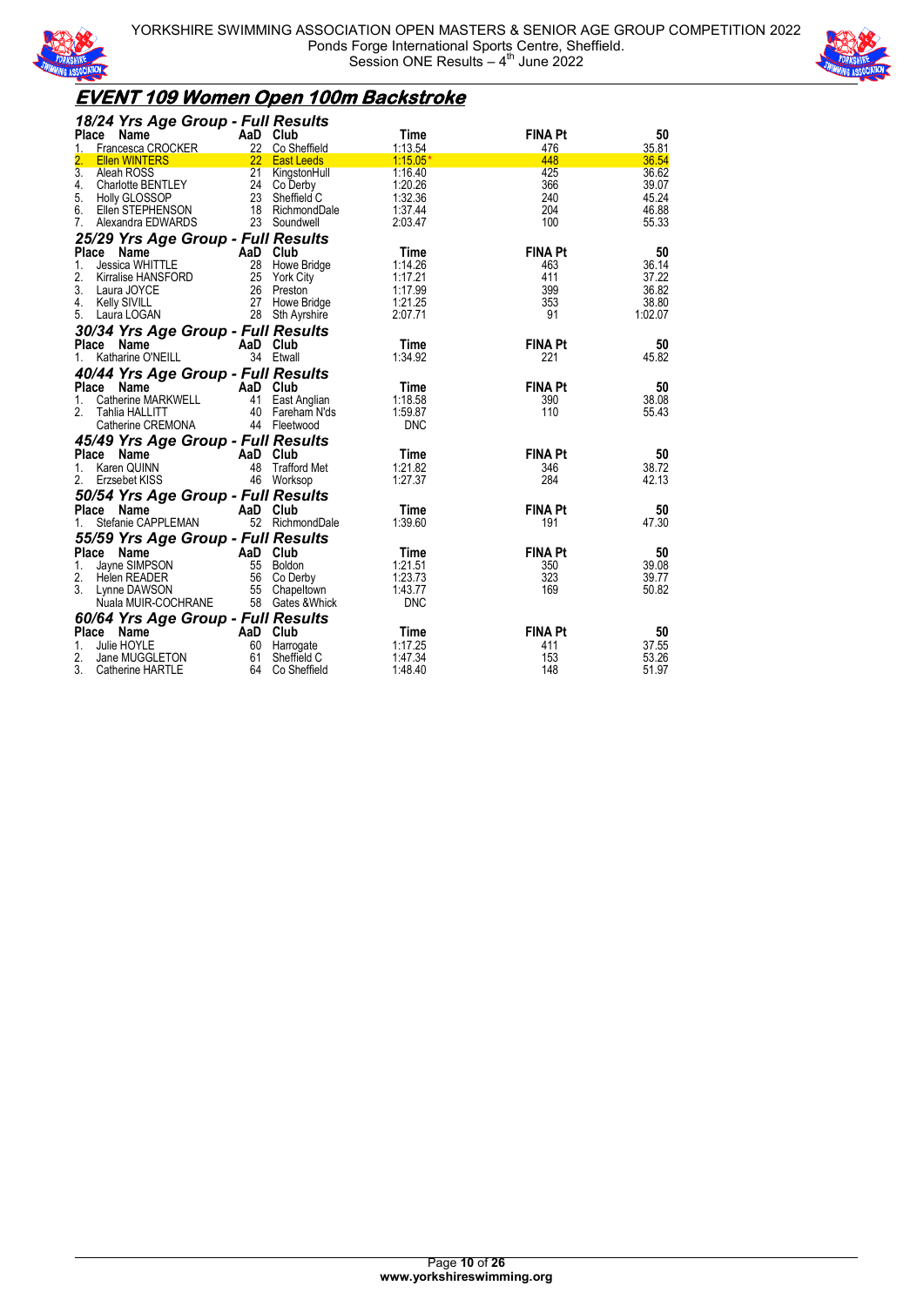



### **EVENT 109 Women Open 100m Backstroke**

| 18/24 Yrs Age Group - Full Results                               |     |                                |                    |                |                |
|------------------------------------------------------------------|-----|--------------------------------|--------------------|----------------|----------------|
| Name<br>Place                                                    |     | AaD Club                       | Time               | <b>FINA Pt</b> | 50             |
| Francesca CROCKER<br>1.                                          |     | 22 Co Sheffield                | 1:13.54            | 476            | 35.81          |
| $\overline{2}$ .<br><b>Ellen WINTERS</b>                         |     | 22 East Leeds                  | $1:15.05*$         | 448            | 36.54          |
| $\overline{3}$ .<br>Aleah ROSS<br>4.<br><b>Charlotte BENTLEY</b> |     | 21 KingstonHull<br>24 Co Derby | 1:16.40<br>1:20.26 | 425<br>366     | 36.62<br>39.07 |
| 5.<br>Holly GLOSSOP                                              |     | 23 Sheffield C                 | 1:32.36            | 240            | 45.24          |
| 6.<br>Ellen STEPHENSON                                           |     | 18 RichmondDale                | 1:37.44            | 204            | 46.88          |
| 7.<br>Alexandra EDWARDS                                          |     | 23 Soundwell                   | 2:03.47            | 100            | 55.33          |
| 25/29 Yrs Age Group - Full Results                               |     |                                |                    |                |                |
| Place<br><b>Name</b>                                             |     | AaD Club                       | Time               | <b>FINA Pt</b> | 50             |
| <b>Jessica WHITTLE</b><br>1.                                     | 28  | Howe Bridge                    | 1:14.26            | 463            | 36.14          |
| 2.<br>Kirralise HANSFORD                                         | 25  | York City                      | 1:17.21            | 411            | 37.22          |
| 3.<br>Laura JOYCE                                                | 26  | Preston                        | 1:17.99            | 399            | 36.82          |
| <b>Kelly SIVILL</b><br>4.                                        |     | 27 Howe Bridge                 | 1:21.25            | 353            | 38.80          |
| 5. Laura LOGAN                                                   |     | 28 Sth Ayrshire                | 2:07.71            | 91             | 1:02.07        |
| 30/34 Yrs Age Group - Full Results                               |     |                                |                    |                |                |
| Place Name                                                       |     | AaD Club                       | Time               | <b>FINA Pt</b> | 50             |
| Katharine O'NEILL<br>1.                                          |     | 34 Etwall                      | 1:34.92            | 221            | 45.82          |
| 40/44 Yrs Age Group - Full Results                               |     |                                |                    |                |                |
| Place<br>Name                                                    | AaD | Club                           | Time               | <b>FINA Pt</b> | 50             |
| Catherine MARKWELL<br>1.                                         | 41  | East Anglian                   | 1:18.58            | 390            | 38.08          |
| 2.<br>Tahlia HALLITT                                             | 40  | Fareham N'ds                   | 1:59.87            | 110            | 55.43          |
| Catherine CREMONA                                                |     | 44 Fleetwood                   | <b>DNC</b>         |                |                |
| 45/49 Yrs Age Group - Full Results                               |     |                                |                    |                |                |
| Place<br>Name                                                    | AaD | Club                           | Time               | <b>FINA Pt</b> | 50             |
| Karen QUINN<br>1.                                                | 48  | <b>Trafford Met</b>            | 1:21.82            | 346            | 38.72          |
| 2.<br>Erzsebet KISS                                              | 46  | Worksop                        | 1:27.37            | 284            | 42.13          |
| 50/54 Yrs Age Group - Full Results                               |     |                                |                    |                |                |
| Place Name                                                       |     | AaD Club                       | Time               | <b>FINA Pt</b> | 50             |
| Stefanie CAPPLEMAN                                               |     | 52 RichmondDale                | 1:39.60            | 191            | 47.30          |
| 55/59 Yrs Age Group - Full Results                               |     |                                |                    |                |                |
| Place<br>Name                                                    | AaD | Club<br>Boldon                 | Time<br>1:21.51    | <b>FINA Pt</b> | 50<br>39.08    |
| Jayne SIMPSON<br>1.<br>2.<br>Helen READER                        | 55  | 56 Co Derby                    | 1:23.73            | 350<br>323     | 39.77          |
| 3.<br>Lynne DAWSON                                               | 55  | Chapeltown                     | 1:43.77            | 169            | 50.82          |
| Nuala MUIR-COCHRANE                                              |     | 58 Gates & Whick               | <b>DNC</b>         |                |                |
| 60/64 Yrs Age Group - Full Results                               |     |                                |                    |                |                |
| Place Name                                                       |     | AaD Club                       | Time               | <b>FINA Pt</b> | 50             |
| Julie HOYLE<br>1.                                                | 60  | Harrogate                      | 1:17.25            | 411            | 37.55          |
| 2.<br>Jane MUGGLETON                                             | 61  | Sheffield C                    | 1:47.34            | 153            | 53.26          |
| 3.<br>Catherine HARTLE                                           | 64  | Co Sheffield                   | 1:48.40            | 148            | 51.97          |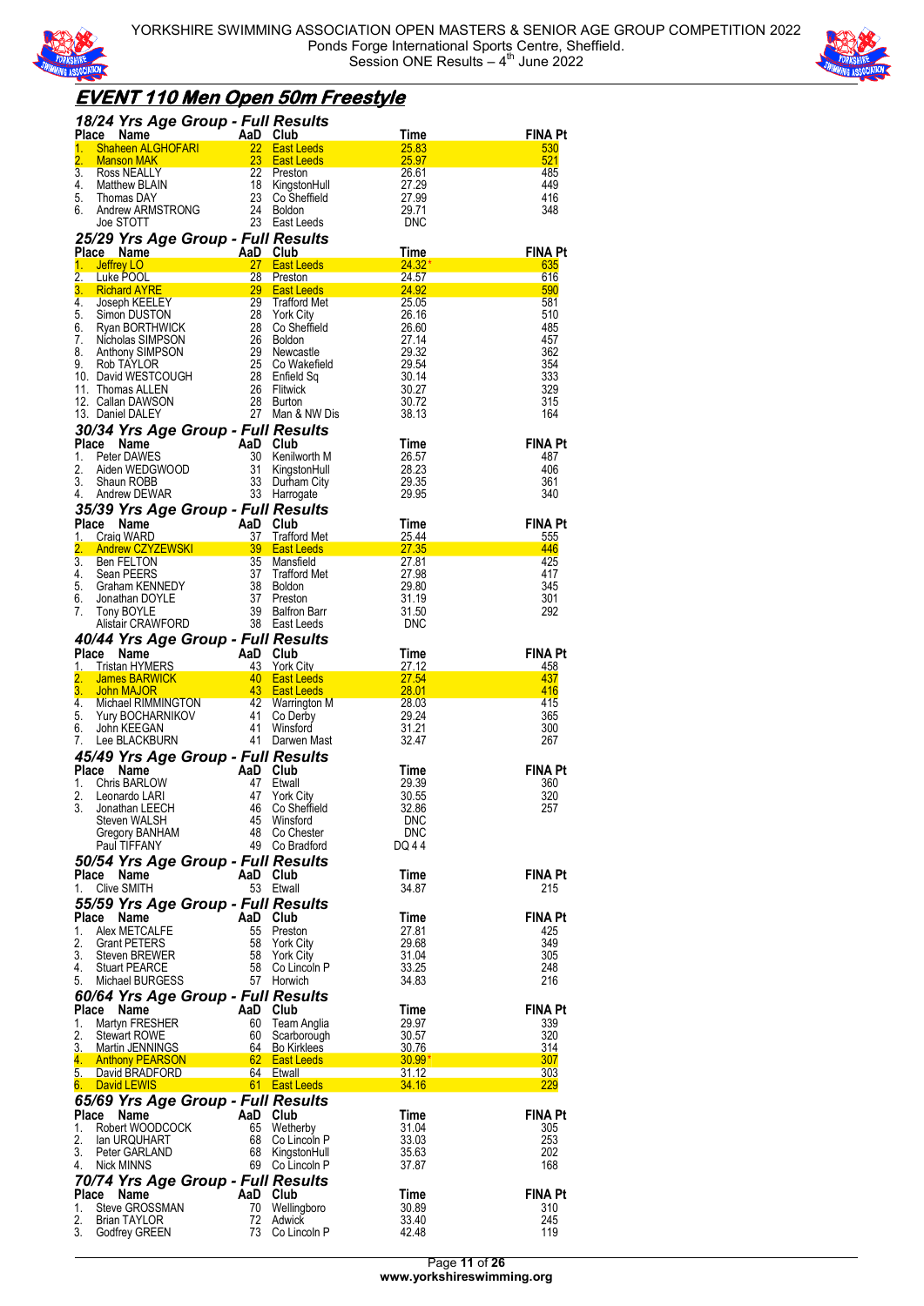



### **EVENT 110 Men Open 50m Freestyle**

|              | <b>18/24 Yrs Age Group - Full Results<br/> Place Name AaD Club<br/> 1. Shaheen ALGHOFARI 22 East Leeds 25.83<br/> 2. Manson MAK 23 East Leeds 25.97<br/> 3. Ross NEALLY 22 Preston 26.61<br/> 4. Matthew BLAIN 18 KingstonHull 27.29<br/> 5. Thomas DAY </b>                                     |                |                                                                                               |                              | FINA Pt<br>530                       |
|--------------|--------------------------------------------------------------------------------------------------------------------------------------------------------------------------------------------------------------------------------------------------------------------------------------------------|----------------|-----------------------------------------------------------------------------------------------|------------------------------|--------------------------------------|
|              |                                                                                                                                                                                                                                                                                                  |                |                                                                                               |                              | 521                                  |
|              |                                                                                                                                                                                                                                                                                                  |                |                                                                                               |                              | 485                                  |
|              |                                                                                                                                                                                                                                                                                                  |                |                                                                                               |                              | 449                                  |
| 6.           | Thomas DAY<br>Andrew ARMSTRONG<br>CITATT                                                                                                                                                                                                                                                         | 24             | <b>Boldon</b>                                                                                 | 29.71                        | 416<br>348                           |
|              | Joe STOTT                                                                                                                                                                                                                                                                                        |                | 23 East Leeds                                                                                 | DNC                          |                                      |
|              | 25/29 Yrs Age Group - Full Results                                                                                                                                                                                                                                                               |                |                                                                                               |                              |                                      |
|              | Place Name<br>AaD Club<br>27 East Leeds                                                                                                                                                                                                                                                          |                |                                                                                               | $\frac{7 \text{ime}}{24.32}$ | <b>FINA Pt</b>                       |
| 1.           | <b>Jeffrey LO</b>                                                                                                                                                                                                                                                                                |                |                                                                                               | $24.32*$                     | 635                                  |
|              |                                                                                                                                                                                                                                                                                                  |                |                                                                                               |                              | 616<br>590<br><b>Service Service</b> |
|              |                                                                                                                                                                                                                                                                                                  |                |                                                                                               |                              | 581                                  |
|              |                                                                                                                                                                                                                                                                                                  |                |                                                                                               |                              | 510                                  |
|              |                                                                                                                                                                                                                                                                                                  |                |                                                                                               |                              | 485<br>457                           |
|              |                                                                                                                                                                                                                                                                                                  |                |                                                                                               |                              | 362                                  |
|              |                                                                                                                                                                                                                                                                                                  |                |                                                                                               |                              | 354                                  |
|              |                                                                                                                                                                                                                                                                                                  |                |                                                                                               |                              | 333                                  |
|              |                                                                                                                                                                                                                                                                                                  |                |                                                                                               |                              | 329<br>315                           |
|              |                                                                                                                                                                                                                                                                                                  |                |                                                                                               |                              | 164                                  |
|              | <b>1. Jeffrey LO</b><br>2. Luke POOL<br>3. Richard AYRE<br>1. Joseph KEELEY<br>5. Simon DUSTON<br>5. Simon DUSTON<br>6. Ryan BORTHWICK<br>7. Nicholas SIMPSON<br>7. Nicholas SIMPSON<br>8. Anthony SIMPSON<br>8. Anthony SIMPSON<br>8. Anthony SIMPSON<br><br>30/34 Yrs Age Group - Full Results |                | <b>CONTRES</b><br><b>aD Club</b><br>30 Kenilworth M<br><sup>21</sup> KingstonHull<br>Ann City |                              |                                      |
| Place        | Compared to the Marine Compared to the Peter DAWES<br>Peter DAWES<br>Aiden WEDGWOOD 31 KingstonHull<br>Shaun ROBB 33 Durham City<br>Andrew DEWAR 33 Harroqate                                                                                                                                    |                |                                                                                               | Time                         | <b>FINA Pt</b>                       |
| 1.           |                                                                                                                                                                                                                                                                                                  |                |                                                                                               | 26.57                        | 487                                  |
| 2.<br>3.     |                                                                                                                                                                                                                                                                                                  |                |                                                                                               | 28.23<br>29.35               | 406<br>361                           |
| 4.           |                                                                                                                                                                                                                                                                                                  |                |                                                                                               | 29.95                        | 340                                  |
|              | 4. Andrew DEWING <b>Age Group - Full Results</b><br><b>35/39 Yrs Age Group - Full Results</b><br><b>1.</b> Craig WARD 37 Trafford Met<br><b>2. Andrew CZYZEWSKI</b> 39 East Leeds<br>3. Ben FELTON<br>4. Sean PEERS 35 Trafford Met<br>5. Graham KENNEDY 38 Bo                                   |                |                                                                                               |                              |                                      |
|              |                                                                                                                                                                                                                                                                                                  |                |                                                                                               |                              | <b>FINA Pt</b>                       |
|              |                                                                                                                                                                                                                                                                                                  |                |                                                                                               |                              | 555                                  |
|              |                                                                                                                                                                                                                                                                                                  |                |                                                                                               |                              | 446<br>425                           |
|              |                                                                                                                                                                                                                                                                                                  |                |                                                                                               |                              | 417                                  |
|              |                                                                                                                                                                                                                                                                                                  |                |                                                                                               |                              | 345                                  |
|              |                                                                                                                                                                                                                                                                                                  |                |                                                                                               |                              | 301                                  |
|              |                                                                                                                                                                                                                                                                                                  |                |                                                                                               |                              | 292                                  |
|              |                                                                                                                                                                                                                                                                                                  |                |                                                                                               |                              |                                      |
|              |                                                                                                                                                                                                                                                                                                  |                |                                                                                               |                              | <b>FINA Pt</b>                       |
|              |                                                                                                                                                                                                                                                                                                  |                |                                                                                               |                              | 458                                  |
|              |                                                                                                                                                                                                                                                                                                  |                |                                                                                               |                              | 437<br>416                           |
|              |                                                                                                                                                                                                                                                                                                  |                |                                                                                               |                              | 415                                  |
|              |                                                                                                                                                                                                                                                                                                  |                |                                                                                               |                              |                                      |
|              |                                                                                                                                                                                                                                                                                                  |                |                                                                                               |                              | 365                                  |
|              |                                                                                                                                                                                                                                                                                                  |                |                                                                                               |                              | 300                                  |
|              | 40/44 Yrs Age Group - Full Results<br>Place Name AaD Club Time<br>1. Tristan HYMERS 43 York City<br>2. James BARWICK 40 East Leeds 27.54<br>4. Michael RIMMINGTON 42 Warrington M<br>5. Yury BOCHARNIKOV 41 Co Derby<br>6. John KEEGAN 41                                                        |                |                                                                                               |                              | 267                                  |
|              | 45/49 Yrs Age Group - Full Results                                                                                                                                                                                                                                                               |                |                                                                                               |                              |                                      |
|              | Place Name                                                                                                                                                                                                                                                                                       | AaD Club       |                                                                                               | Time                         | <b>FINA Pt</b>                       |
| 1.<br>2.     | Chris BARLOW<br>Leonardo LARI                                                                                                                                                                                                                                                                    | 47<br>47       | Etwall<br><b>York City</b>                                                                    | 29.39<br>30.55               | 360<br>320                           |
|              | $\frac{1}{2}$<br>3. Jonathan LEECH                                                                                                                                                                                                                                                               |                | 46 Co Sheffield                                                                               | 32.86                        | 257                                  |
|              | Steven WALSH                                                                                                                                                                                                                                                                                     | 45             | Winsford                                                                                      | <b>DNC</b>                   |                                      |
|              | Gregory BANHAM<br>Paul TIFFANY                                                                                                                                                                                                                                                                   |                | 48 Co Chester<br>49 Co Bradford                                                               | <b>DNC</b><br>DQ 44          |                                      |
|              |                                                                                                                                                                                                                                                                                                  |                |                                                                                               |                              |                                      |
|              | 50/54 Yrs Age Group - Full Results<br>Place Name                                                                                                                                                                                                                                                 | AaD Club       |                                                                                               | Time                         | FINA Pt                              |
| 1.           | Clive SMITH                                                                                                                                                                                                                                                                                      |                | 53 Etwall                                                                                     | 34.87                        | 215                                  |
|              | 55/59 Yrs Age Group - Full Results                                                                                                                                                                                                                                                               |                |                                                                                               |                              |                                      |
| <b>Place</b> | Name                                                                                                                                                                                                                                                                                             | AaD Club       |                                                                                               | Time                         | <b>FINA Pt</b>                       |
| 1.<br>2.     | Alex METCALFE                                                                                                                                                                                                                                                                                    | 55<br>58       | Preston                                                                                       | 27.81<br>29.68               | 425<br>349                           |
| 3.           | <b>Grant PETERS</b><br>Steven BREWER                                                                                                                                                                                                                                                             | 58             | <b>York City</b><br><b>York City</b>                                                          | 31.04                        | 305                                  |
| 4.           | <b>Stuart PEARCE</b>                                                                                                                                                                                                                                                                             |                | 58 Co Lincoln P                                                                               | 33.25                        | 248                                  |
| 5.           | Michael BURGESS                                                                                                                                                                                                                                                                                  |                | 57 Horwich                                                                                    | 34.83                        | 216                                  |
|              | 60/64 Yrs Age Group - Full Results                                                                                                                                                                                                                                                               |                |                                                                                               |                              |                                      |
| Place<br>1.  | Name                                                                                                                                                                                                                                                                                             | AaD Club<br>60 | Team Anglia                                                                                   | Time<br>29.97                | <b>FINA Pt</b><br>339                |
| 2.           | Martyn FRESHER<br><b>Stewart ROWE</b>                                                                                                                                                                                                                                                            | 60             | Scarborough                                                                                   | 30.57                        | 320                                  |
| 3.           | Martin JENNINGS                                                                                                                                                                                                                                                                                  |                | 64 Bo Kirklees                                                                                | 30.76                        | 314                                  |
|              | 4. Anthony PEARSON                                                                                                                                                                                                                                                                               |                | 62 East Leeds<br>64 Etwall                                                                    | $30.99*$<br>31.12            | 307<br>303                           |
| 6.           | 5. David BRADFORD<br><b>David LEWIS</b>                                                                                                                                                                                                                                                          |                | 61 East Leeds                                                                                 | 34.16                        | <u> 229</u>                          |
|              | 65/69 Yrs Age Group - Full Results                                                                                                                                                                                                                                                               |                |                                                                                               |                              |                                      |
| Place        | Name                                                                                                                                                                                                                                                                                             | AaD Club       |                                                                                               | Time                         | FINA Pt                              |
| 1.           | Robert WOODCOCK                                                                                                                                                                                                                                                                                  |                | 65 Wetherby                                                                                   | 31.04                        | 305                                  |
| 2.<br>3.     | lan URQUHART                                                                                                                                                                                                                                                                                     |                | 68 Co Lincoln P                                                                               | 33.03                        | 253                                  |
| 4.           | Peter GARLAND<br>Nick MINNS                                                                                                                                                                                                                                                                      |                | 68 KingstonHull<br>69 Co Lincoln P                                                            | 35.63<br>37.87               | 202<br>168                           |
|              | 70/74 Yrs Age Group - Full Results                                                                                                                                                                                                                                                               |                |                                                                                               |                              |                                      |
| <b>Place</b> | Name                                                                                                                                                                                                                                                                                             | AaD Club       |                                                                                               | Time                         | <b>FINA Pt</b>                       |
| 1.<br>2.     | Steve GROSSMAN<br>Brian TAYLOR                                                                                                                                                                                                                                                                   | 70<br>72       | Wellingboro<br>Adwick                                                                         | 30.89<br>33.40               | 310<br>245                           |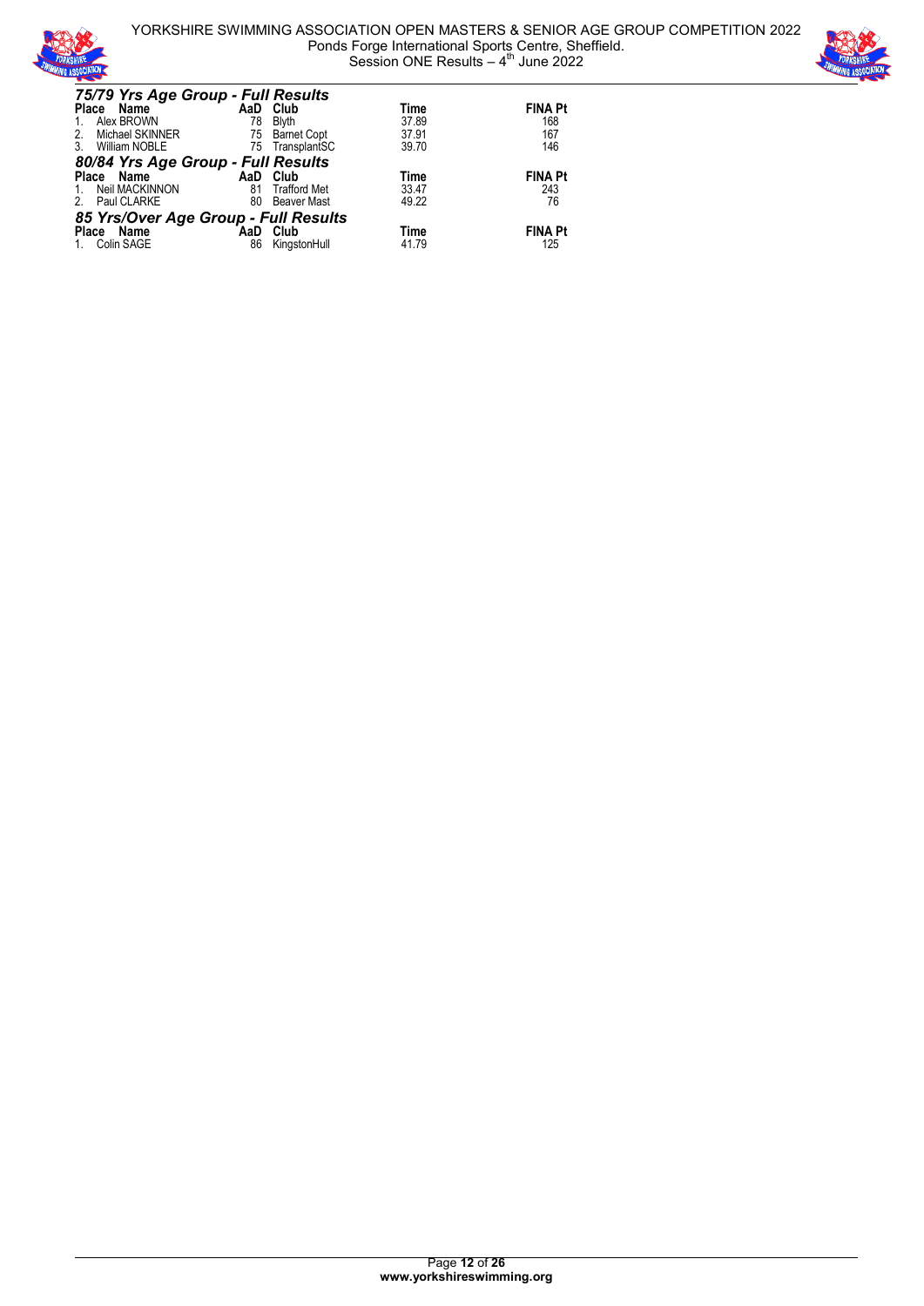

YORKSHIRE SWIMMING ASSOCIATION OPEN MASTERS & SENIOR AGE GROUP COMPETITION 2022 Ponds Forge International Sports Centre, Sheffield. Session ONE Results  $-4$ <sup>th</sup> June 2022



| 75/79 Yrs Age Group - Full Results   |     |                     |       |                |
|--------------------------------------|-----|---------------------|-------|----------------|
| Place Name                           |     | AaD Club            | Time  | <b>FINA Pt</b> |
| Alex BROWN                           | 78  | <b>Blyth</b>        | 37.89 | 168            |
| Michael SKINNER<br>2.                |     | 75 Barnet Copt      | 37.91 | 167            |
| <b>William NOBLE</b>                 |     | 75 TransplantSC     | 39.70 | 146            |
| 80/84 Yrs Age Group - Full Results   |     |                     |       |                |
| Place Name                           | AaD | Club                | Time  | <b>FINA Pt</b> |
| Neil MACKINNON                       | 81  | <b>Trafford Met</b> | 33.47 | 243            |
| Paul CLARKE                          | 80  | Beaver Mast         | 49.22 | 76             |
| 85 Yrs/Over Age Group - Full Results |     |                     |       |                |
| Place<br>Name                        | AaD | Club                | Time  | <b>FINA Pt</b> |
| Colin SAGE                           | 86  | KingstonHull        | 41.79 | 125            |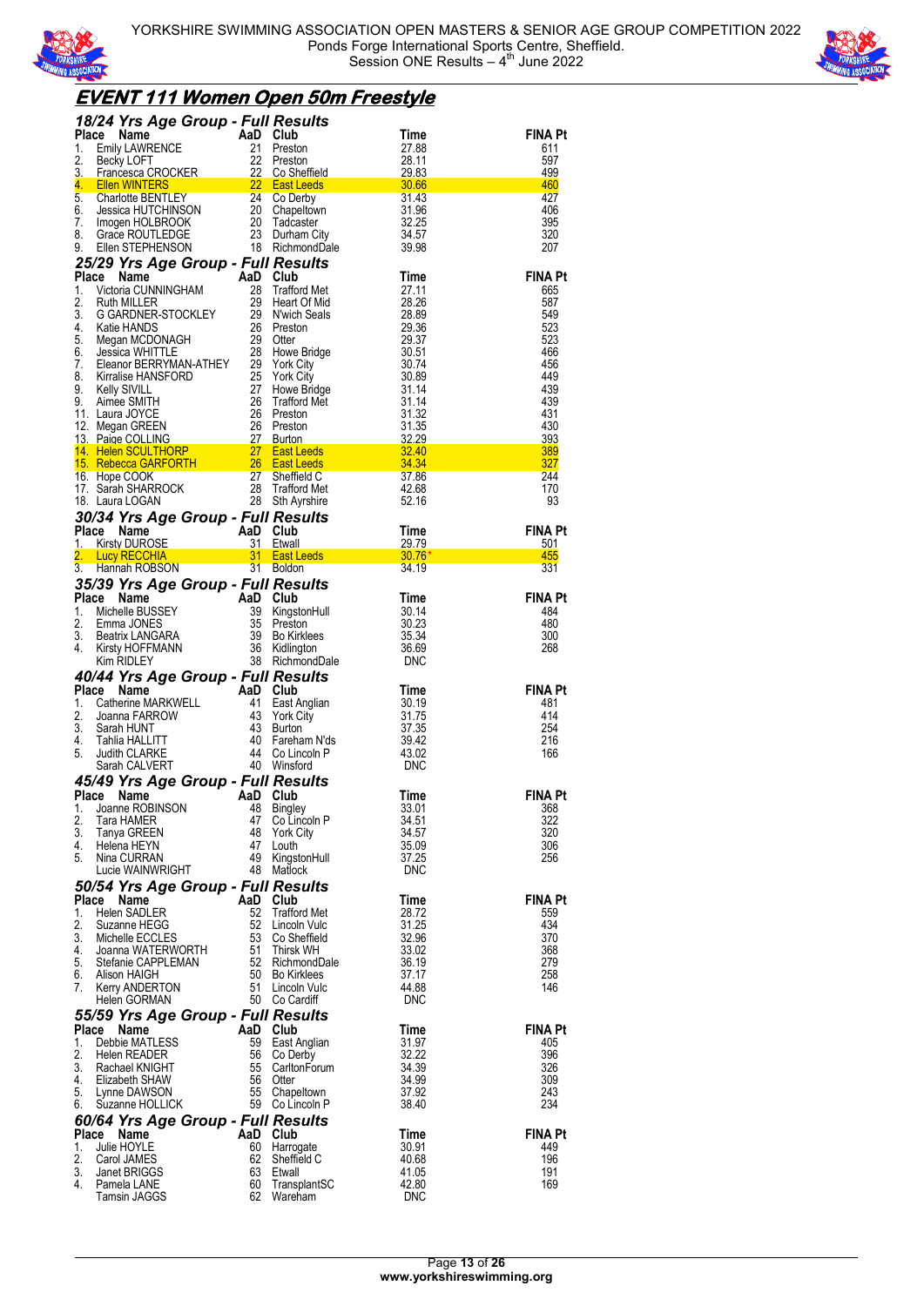



### **EVENT 111 Women Open 50m Freestyle**

|          | 18/24 Yrs Age Group - Full Results                                                                                                                                                                                                                                                   |                |                                    |                                                         |                       |
|----------|--------------------------------------------------------------------------------------------------------------------------------------------------------------------------------------------------------------------------------------------------------------------------------------|----------------|------------------------------------|---------------------------------------------------------|-----------------------|
|          | 18/24 Yrs Age Group - Full Results<br>Place Name<br>2. Becky LOFT 22 Preston 27.88<br>2. Becky LOFT 22 Preston 28.11<br>3. Francesca CROCKER 22 Co Sheffield 29.83<br>4. Ellen WINTERS 22 East Leeds 30.66<br>6. Charlotte BENTLEY 24 Co D                                           |                |                                    |                                                         | FINA Pt<br>611        |
|          |                                                                                                                                                                                                                                                                                      |                |                                    |                                                         | 597                   |
|          |                                                                                                                                                                                                                                                                                      |                |                                    |                                                         | 499                   |
|          |                                                                                                                                                                                                                                                                                      |                |                                    | a di Kabupatén Bandung                                  | 460<br>427            |
|          |                                                                                                                                                                                                                                                                                      |                |                                    |                                                         | 406                   |
|          |                                                                                                                                                                                                                                                                                      |                |                                    |                                                         | 395                   |
|          |                                                                                                                                                                                                                                                                                      |                |                                    |                                                         | 320<br>207            |
|          | 25/29 Yrs Age Group - Full Results                                                                                                                                                                                                                                                   |                |                                    |                                                         |                       |
|          | 25/29 Yrs Age Group - Full Results<br>1. Victoria CUNNINGHAM 28 Trafford Met<br>1. Victoria CUNNINGHAM 28 Trafford Met<br>2. Ruth MILLER 29 Heart Of Mid<br>3. G GARDNER-STOCKLEY 29 Nwich Seals<br>4. Katie HANDS 26 Preston 29.36<br>4.                                            |                |                                    |                                                         | <b>FINA Pt</b>        |
|          |                                                                                                                                                                                                                                                                                      |                |                                    |                                                         | 665                   |
|          |                                                                                                                                                                                                                                                                                      |                |                                    |                                                         | 587                   |
|          |                                                                                                                                                                                                                                                                                      |                |                                    |                                                         | 549<br>523            |
|          |                                                                                                                                                                                                                                                                                      |                |                                    |                                                         | 523                   |
|          |                                                                                                                                                                                                                                                                                      |                |                                    |                                                         | 466                   |
|          |                                                                                                                                                                                                                                                                                      |                |                                    |                                                         | 456<br>449            |
|          |                                                                                                                                                                                                                                                                                      |                |                                    |                                                         | 439                   |
|          |                                                                                                                                                                                                                                                                                      |                |                                    |                                                         | 439                   |
|          |                                                                                                                                                                                                                                                                                      |                |                                    |                                                         | 431                   |
|          |                                                                                                                                                                                                                                                                                      |                |                                    |                                                         | 430<br>393            |
|          |                                                                                                                                                                                                                                                                                      |                |                                    |                                                         | 389                   |
|          |                                                                                                                                                                                                                                                                                      |                |                                    |                                                         | <b>327</b>            |
|          |                                                                                                                                                                                                                                                                                      |                |                                    |                                                         | 244<br>170            |
|          |                                                                                                                                                                                                                                                                                      |                |                                    |                                                         | 93                    |
|          |                                                                                                                                                                                                                                                                                      |                |                                    |                                                         |                       |
|          |                                                                                                                                                                                                                                                                                      |                |                                    |                                                         | <b>FINA Pt</b>        |
|          |                                                                                                                                                                                                                                                                                      |                |                                    |                                                         | 501<br>455            |
|          |                                                                                                                                                                                                                                                                                      |                |                                    |                                                         | 331                   |
|          |                                                                                                                                                                                                                                                                                      |                |                                    |                                                         |                       |
|          |                                                                                                                                                                                                                                                                                      |                |                                    |                                                         | <b>FINA Pt</b>        |
|          |                                                                                                                                                                                                                                                                                      |                |                                    |                                                         | 484                   |
|          |                                                                                                                                                                                                                                                                                      |                |                                    |                                                         | 480<br>300            |
|          |                                                                                                                                                                                                                                                                                      |                |                                    |                                                         | 268                   |
|          |                                                                                                                                                                                                                                                                                      |                |                                    |                                                         |                       |
|          |                                                                                                                                                                                                                                                                                      |                |                                    |                                                         |                       |
|          |                                                                                                                                                                                                                                                                                      |                |                                    |                                                         |                       |
|          | 18. Laura LOGAN<br><b>30/34 Yrs Age Group - Full Results</b><br>Place Name<br>1. Kirsty DUROSE<br>1. Kirsty DUROSE<br>1. Kirsty DUROSE<br>3. Hannah ROBSON<br>31 Etwall<br>31 Etwall<br>31 Etwall<br>31 Etwall<br>31 Etwall<br>2. 29.79<br>3. Hannah ROBSON<br>                      |                |                                    | Time                                                    | <b>FINA Pt</b>        |
|          |                                                                                                                                                                                                                                                                                      |                |                                    |                                                         | 481                   |
|          |                                                                                                                                                                                                                                                                                      |                |                                    |                                                         | 414<br>254            |
|          |                                                                                                                                                                                                                                                                                      |                |                                    | $\frac{30.19}{31.75}$<br>$\frac{37.35}{37.35}$<br>39.42 | 216                   |
|          |                                                                                                                                                                                                                                                                                      |                |                                    | 43.02                                                   | 166                   |
|          | <b>40/44 Yrs Age Group - Full Results<br/> Place Name<br/> 1. Catherine MARKWELL<br/> 2. Joanna FARROW<br/> 3. Sarah HUNT<br/> 4. Tahlia HALLITT<br/> 4. Tahlia HALLITT<br/> 5. Judith CLARKE<br/> 5. Judith CLARKE<br/> 5. Judith CLARKE<br/> 1. CANGERT<br/> 1. CANGERT<br/> 1</b> |                |                                    | DNC                                                     |                       |
|          |                                                                                                                                                                                                                                                                                      |                |                                    | Time                                                    | <b>FINA Pt</b>        |
|          | Sarah CALVERT<br>45/49 Yrs Age Group - Full Results<br>AaD Club<br>1. Joanne ROBINSON 48 Bingley                                                                                                                                                                                     |                |                                    | 33.01                                                   | 368                   |
| 2.       | Tara HAMER                                                                                                                                                                                                                                                                           |                | 47 Co Lincoln P                    | 34.51                                                   | 322                   |
| 3.<br>4. | Tanya GREEN                                                                                                                                                                                                                                                                          |                | 48 York City                       | 34.57                                                   | 320                   |
| 5.       | Helena HEYN<br>Nina CURRAN                                                                                                                                                                                                                                                           | 47             | Louth<br>49 KingstonHull           | 35.09<br>37.25                                          | 306<br>256            |
|          | Lucie WAINWRIGHT                                                                                                                                                                                                                                                                     |                | 48 Matlock                         | DNC                                                     |                       |
|          | 50/54 Yrs Age Group - Full Results                                                                                                                                                                                                                                                   |                |                                    |                                                         |                       |
|          | Place Name                                                                                                                                                                                                                                                                           | AaD Club       |                                    | Time                                                    | <b>FINA Pt</b>        |
| 1.<br>2. | Helen SADLER<br>Suzanne HEGG                                                                                                                                                                                                                                                         |                | 52 Trafford Met<br>52 Lincoln Vulc | 28.72<br>31.25                                          | 559<br>434            |
| 3.       | Michelle ECCLES                                                                                                                                                                                                                                                                      |                |                                    | 32.96                                                   | 370                   |
| 4.       | Joanna WATERWORTH                                                                                                                                                                                                                                                                    |                | 53 Co Sheffield<br>51 Thirsk WH    | 33.02                                                   | 368                   |
| 5.<br>6. | Stefanie CAPPLEMAN<br>Alison HAIGH                                                                                                                                                                                                                                                   |                | 52 RichmondDale<br>50 Bo Kirklees  | 36.19<br>37.17                                          | 279<br>258            |
| 7.       | Kerry ANDERTON                                                                                                                                                                                                                                                                       |                | 51 Lincoln Vulc                    | 44.88                                                   | 146                   |
|          | Helen GORMAN                                                                                                                                                                                                                                                                         |                | 50 Co Cardiff                      | <b>DNC</b>                                              |                       |
|          | 55/59 Yrs Age Group - Full Results                                                                                                                                                                                                                                                   |                |                                    |                                                         |                       |
|          | Place Name<br>Debbie MATLESS                                                                                                                                                                                                                                                         | AaD Club<br>59 |                                    | Time<br>31.97                                           | <b>FINA Pt</b><br>405 |
| 1.<br>2. | Helen READER                                                                                                                                                                                                                                                                         |                | East Anglian<br>56 Co Derby        | 32.22                                                   | 396                   |
|          | 3. Rachael KNIGHT                                                                                                                                                                                                                                                                    |                | 55 CarltonForum                    | 34.39                                                   | 326                   |
|          | 4. Elizabeth SHAW                                                                                                                                                                                                                                                                    |                | 56 Otter                           | 34.99                                                   | 309                   |
|          | 5. Lynne DAWSON<br>6. Suzanne HOLLICK                                                                                                                                                                                                                                                |                | 55 Chapeltown<br>59 Co Lincoln P   | 37.92<br>38.40                                          | 243<br>234            |
|          | 60/64 Yrs Age Group - Full Results                                                                                                                                                                                                                                                   |                |                                    |                                                         |                       |
|          | Place Name                                                                                                                                                                                                                                                                           | AaD Club       |                                    | Time                                                    | <b>FINA Pt</b>        |
| 1.       | Julie HOYLE                                                                                                                                                                                                                                                                          | 60             | Harrogate                          | 30.91                                                   | 449                   |
| 2.<br>3. | Carol JAMES<br>Janet BRIGGS                                                                                                                                                                                                                                                          | 62             | Sheffield C<br>63 Etwall           | 40.68<br>41.05                                          | 196<br>191            |
| 4.       | Pamela LANE<br>Tamsin JAGGS                                                                                                                                                                                                                                                          |                | 60 TransplantSC<br>62 Wareham      | 42.80<br><b>DNC</b>                                     | 169                   |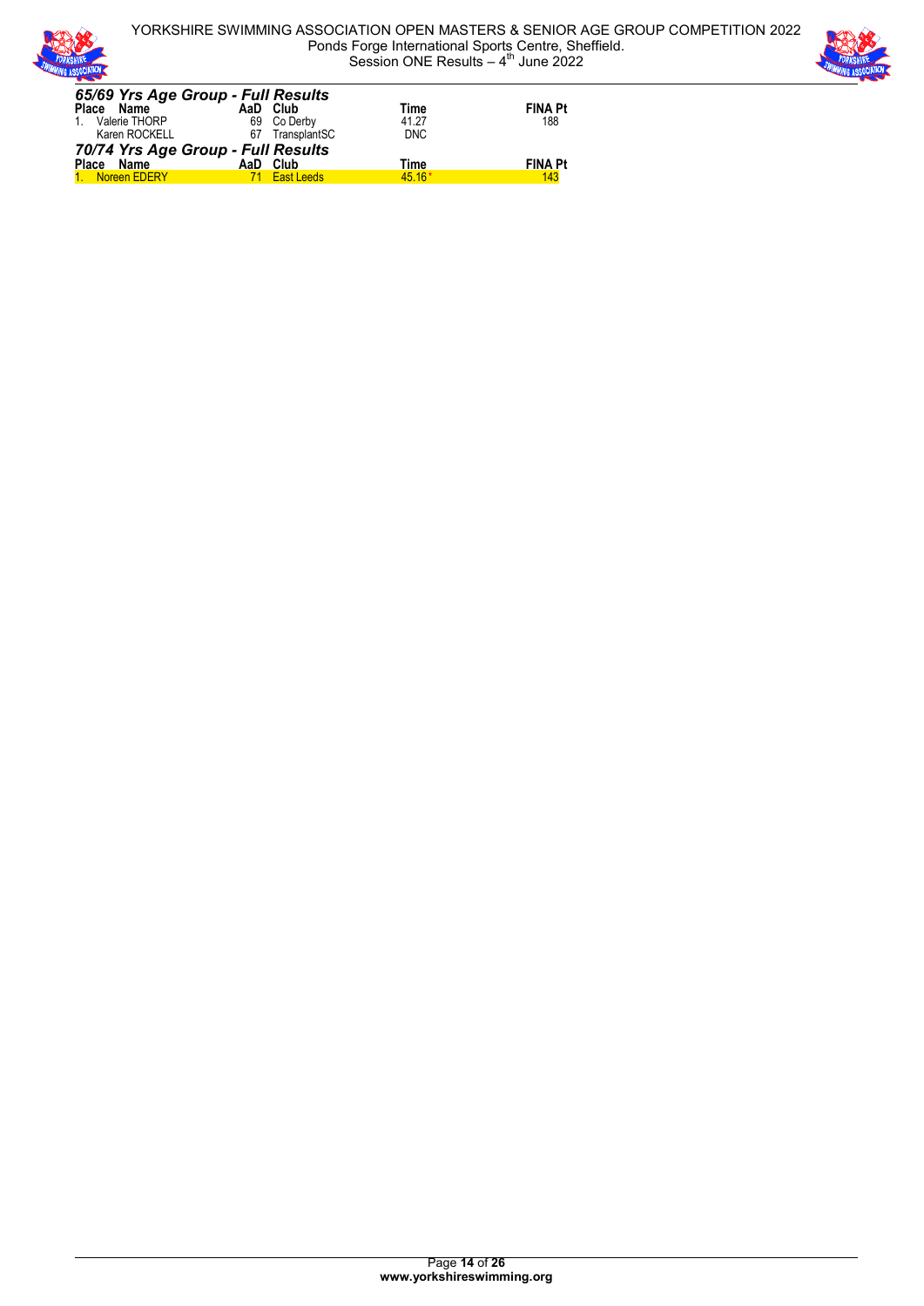

YORKSHIRE SWIMMING ASSOCIATION OPEN MASTERS & SENIOR AGE GROUP COMPETITION 2022 Ponds Forge International Sports Centre, Sheffield. Session ONE Results  $-4$ <sup>th</sup> June 2022



| 65/69 Yrs Age Group - Full Results |                 |            |                |
|------------------------------------|-----------------|------------|----------------|
| Place Name                         | AaD Club        | Time       | <b>FINA Pt</b> |
| 1. Valerie THORP                   | 69 Co Derby     | 41.27      | 188            |
| Karen ROCKELL                      | 67 TransplantSC | <b>DNC</b> |                |
| 70/74 Yrs Age Group - Full Results |                 |            |                |
| Place Name                         | AaD Club        | Time       | <b>FINA Pt</b> |
| 1. Noreen EDERY                    | 71 East Leeds   | $45.16*$   | 143            |
|                                    |                 |            |                |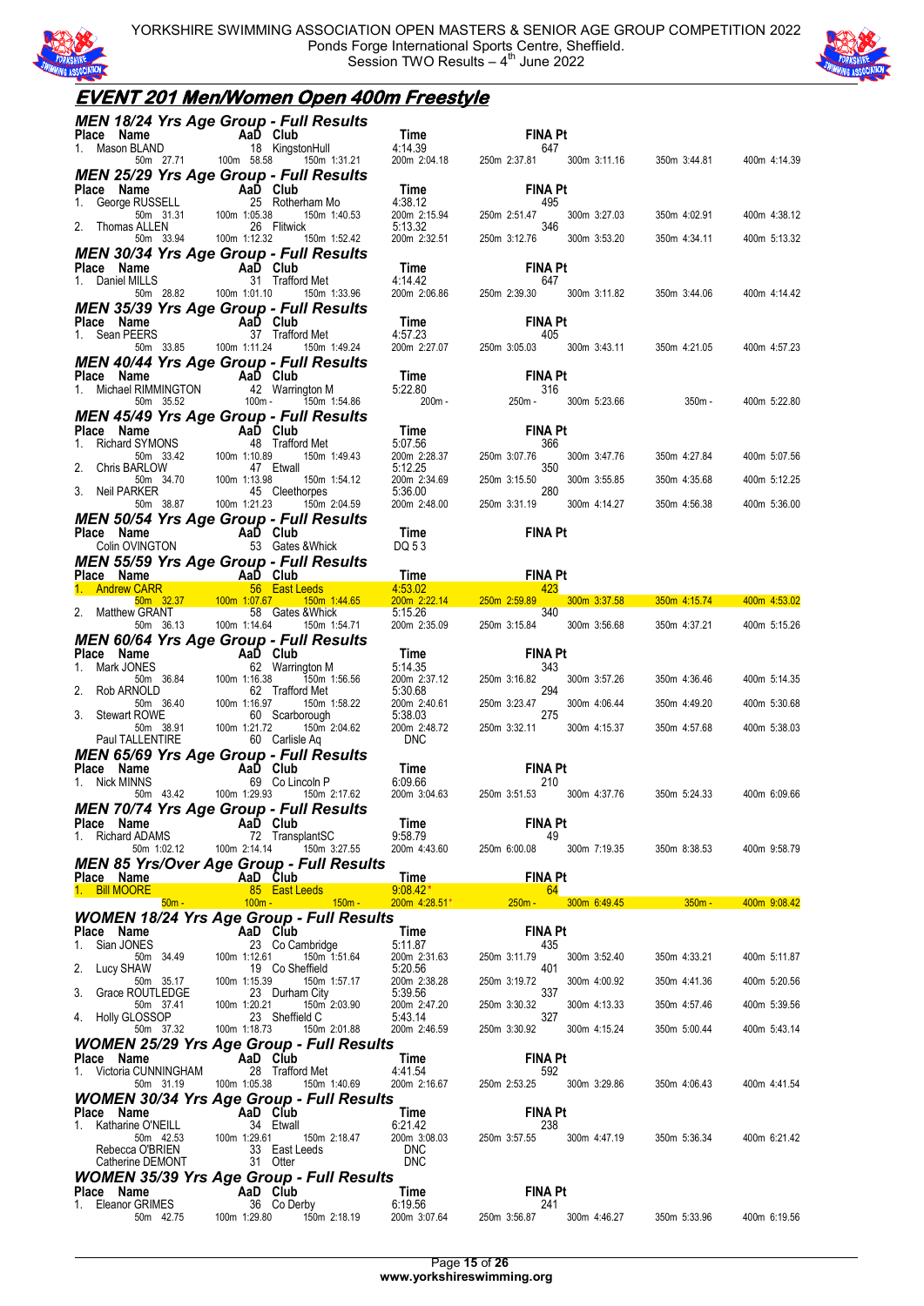

YORKSHIRE SWIMMING ASSOCIATION OPEN MASTERS & SENIOR AGE GROUP COMPETITION 2022 Ponds Forge International Sports Centre, Sheffield. Session TWO Results  $-4<sup>th</sup>$  June 2022



### **EVENT 201 Men/Women Open 400m Freestyle**

|                                                | <b>MEN 18/24 Yrs Age Group - Full Results</b>                                                                            |                         |                                                                                                                                                                                                                                                                 |              |              |
|------------------------------------------------|--------------------------------------------------------------------------------------------------------------------------|-------------------------|-----------------------------------------------------------------------------------------------------------------------------------------------------------------------------------------------------------------------------------------------------------------|--------------|--------------|
|                                                |                                                                                                                          |                         | Place Name<br>1. Mason BLAND<br>1. Mason BLAND 18 KingstonHull 4:14.39<br>50m 27.71 100m 58.58 150m 1:31.21 200m 2:04.18 250m 2:37.81 300m 3:11.16 350m 3:44.81 400m 4:14.39                                                                                    |              |              |
|                                                | <b>MEN 25/29 Yrs Age Group - Full Results</b>                                                                            |                         |                                                                                                                                                                                                                                                                 |              |              |
|                                                |                                                                                                                          |                         |                                                                                                                                                                                                                                                                 |              |              |
|                                                |                                                                                                                          |                         |                                                                                                                                                                                                                                                                 | 350m 4:02.91 | 400m 4:38.12 |
|                                                |                                                                                                                          |                         | <b>MEN 25/29 Yrs Age Group - FUII Results<br/> Place Name Aal Club<br/> 1. George RUSSELL<br/> 50m 31.31 100m 1:05.38 150m 1:40.53 200m 2:15.94 250m 2:51.47 300m 3:27.03<br/> 2. Thomas ALLEN 26 Flitwick<br/> 2. Thomas ALLEN 26 Flitwick<br/> 2. Thom</b>    |              |              |
|                                                |                                                                                                                          |                         |                                                                                                                                                                                                                                                                 | 350m 4:34.11 | 400m 5:13.32 |
|                                                | <b>MEN 30/34 Yrs Age Group - Full Results</b>                                                                            |                         |                                                                                                                                                                                                                                                                 |              |              |
|                                                |                                                                                                                          |                         | 1. Daniel MILLS<br>1. Daniel MILLS<br>1. Daniel MILLS 31 Trafford Met 4:14.42<br>1. Daniel MILLS 31 Trafford Met 4:14.42<br>1. Daniel MILLS 50m 28.82<br>100m 1:01.10 1:05 1:05 200m 2:06.86 250m 2:39.30 300m 3:11.82 350m 3:44.06 400m                        |              |              |
|                                                |                                                                                                                          |                         |                                                                                                                                                                                                                                                                 |              |              |
|                                                | <b>MEN 35/39 Yrs Age Group - Full Results</b>                                                                            |                         |                                                                                                                                                                                                                                                                 |              |              |
|                                                |                                                                                                                          |                         | Place Name AaD Club<br>1. Sean PEERS 37 Trafford Met 4:57.23<br>50m 33.85 100m 1:11.24 150m 1:49.24 200m 2:27.07 250m 3:05.03 300m 3:43.11 350m 4:21.05 400m 4:57.23                                                                                            |              |              |
|                                                |                                                                                                                          |                         | MEN 40/44 Yrs Age Group - Full Results<br>Place Name (1.11.24 150m 1:49.24 200m 2:27.07 250m 3:0503 300m 3:43.11 350m 4:21.05<br>Time FINA Pt<br>1. Michael RIMMINGTON 42 Warrington M<br>5.22.80 50m 35.52 100m - 150m 1:54.86 200m -                          |              |              |
|                                                |                                                                                                                          |                         |                                                                                                                                                                                                                                                                 |              |              |
|                                                |                                                                                                                          |                         |                                                                                                                                                                                                                                                                 |              | 400m 5:22.80 |
|                                                |                                                                                                                          |                         |                                                                                                                                                                                                                                                                 |              |              |
|                                                |                                                                                                                          |                         |                                                                                                                                                                                                                                                                 |              |              |
|                                                |                                                                                                                          |                         |                                                                                                                                                                                                                                                                 |              | 400m 5:07.56 |
|                                                |                                                                                                                          |                         |                                                                                                                                                                                                                                                                 |              |              |
|                                                |                                                                                                                          |                         |                                                                                                                                                                                                                                                                 |              | 400m 5:12.25 |
|                                                |                                                                                                                          |                         |                                                                                                                                                                                                                                                                 |              | 400m 5:36.00 |
|                                                | <b>MEN 50/54 Yrs Age Group - Full Results<br/>Place Name AaD Club Time<br/>Colin OVINGTON 53 Gates &amp; Whick DQ 53</b> |                         | <b>FINA Pt</b>                                                                                                                                                                                                                                                  |              |              |
|                                                |                                                                                                                          |                         |                                                                                                                                                                                                                                                                 |              |              |
|                                                |                                                                                                                          |                         |                                                                                                                                                                                                                                                                 |              |              |
|                                                |                                                                                                                          |                         |                                                                                                                                                                                                                                                                 |              |              |
|                                                |                                                                                                                          |                         | MENT SURVEYORS Age Group - Full Results<br>Place Name CARR 56 East Leeds<br>1. Andrew CARR 56 East Leeds<br>2. Matthew GRANT 58 Gates & Whick 5:15.26<br>2. Matthew GRANT 58 Gates & Whick 5:15.26<br>2. Matthew GRANT 58 Gates & Whick                         |              |              |
|                                                |                                                                                                                          |                         |                                                                                                                                                                                                                                                                 |              |              |
|                                                |                                                                                                                          |                         | <b>MEN 60/64 Yrs Age Group - Full Results</b><br>1. Mark JONES<br>1. Mark JONES<br>50m 36.84<br>50m 36.84<br>100m 1:16.38<br>100m 1:16.38<br>100m 1:16.38<br>100m 1:16.97<br>100m 1:16.97<br>100m 1:16.97<br>100m 1:16.97<br>100m 1:16.97<br>100m 1:16.97<br>10 |              |              |
|                                                |                                                                                                                          |                         |                                                                                                                                                                                                                                                                 |              |              |
|                                                |                                                                                                                          |                         |                                                                                                                                                                                                                                                                 | 350m 4:36.46 | 400m 5:14.35 |
|                                                |                                                                                                                          |                         |                                                                                                                                                                                                                                                                 | 350m 4:49.20 | 400m 5:30.68 |
|                                                |                                                                                                                          |                         |                                                                                                                                                                                                                                                                 |              |              |
|                                                |                                                                                                                          |                         |                                                                                                                                                                                                                                                                 | 350m 4:57.68 | 400m 5:38.03 |
|                                                |                                                                                                                          |                         | <b>MEN 65/69 Yrs Age Group - Full Results<br/> Place Name AaD Club Time FINA Pt<br/> 1. Nick MINNS 69 Co Lincoln P 6:09.66 210<br/> 50m 4:342 100m 1:29.93 150m 2:17.62 200m 3:04.63 250m 3:51.53 300m 4:37.76 350m 5:24.33 400m 6:09.66</b>                    |              |              |
|                                                |                                                                                                                          |                         |                                                                                                                                                                                                                                                                 |              |              |
|                                                |                                                                                                                          |                         |                                                                                                                                                                                                                                                                 |              |              |
|                                                | MEN 70/74 Yrs Age Group - Full Results                                                                                   |                         |                                                                                                                                                                                                                                                                 |              |              |
| <b>Place Name</b><br>1. Richard ADAMS 72 Trans | 72 TransplantSC                                                                                                          | Time<br>9:58.79         | <b>FINA Pt</b><br>49                                                                                                                                                                                                                                            |              |              |
| 50m 1:02.12                                    | 100m 2:14.14<br>150m 3:27.55                                                                                             | 200m 4:43.60            | 250m 6:00.08<br>300m 7:19.35                                                                                                                                                                                                                                    | 350m 8:38.53 | 400m 9:58.79 |
| Place Name                                     | <b>MEN 85 Yrs/Over Age Group - Full Results</b><br>AaD Club                                                              | <b>Time</b>             | <b>FINA Pt</b>                                                                                                                                                                                                                                                  |              |              |
| 1. Bill MOORE                                  | 85 East Leeds                                                                                                            | $9:08.42*$              | 64                                                                                                                                                                                                                                                              |              |              |
| $50m -$                                        | $100m -$<br>$150m -$<br><b>WOMEN 18/24 Yrs Age Group - Full Results</b>                                                  | $200m$ 4:28.51*         | $250m -$<br>300m 6:49.45                                                                                                                                                                                                                                        | $350m -$     | 400m 9:08.42 |
| Place Name                                     | AaD Club                                                                                                                 | Time                    | <b>FINA Pt</b>                                                                                                                                                                                                                                                  |              |              |
| Sian JONES<br>1.                               | 23 Co Cambridge                                                                                                          | 5:11.87                 | 435                                                                                                                                                                                                                                                             |              |              |
| 50m 34.49<br>2.<br>Lucy SHAW                   | 100m 1:12.61<br>150m 1:51.64                                                                                             | 200m 2:31.63            | 250m 3:11.79<br>300m 3:52.40                                                                                                                                                                                                                                    | 350m 4:33.21 | 400m 5:11.87 |
| 50m 35.17                                      | 19 Co Sheffield                                                                                                          | 5:20.56                 | 401                                                                                                                                                                                                                                                             |              |              |
|                                                | 100m 1:15.39<br>150m 1:57.17                                                                                             | 200m 2:38.28            | 250m 3:19.72<br>300m 4:00.92                                                                                                                                                                                                                                    | 350m 4:41.36 | 400m 5:20.56 |
| 3. Grace ROUTLEDGE<br>50m 37.41                | 23 Durham City<br>100m 1:20.21<br>150m 2:03.90                                                                           | 5:39.56<br>200m 2:47.20 | 337<br>250m 3:30.32<br>300m 4:13.33                                                                                                                                                                                                                             | 350m 4:57.46 | 400m 5:39.56 |
| Holly GLOSSOP<br>4.                            | 23 Sheffield C                                                                                                           | 5:43.14                 | 327                                                                                                                                                                                                                                                             |              |              |
| 50m 37.32                                      | 100m 1:18.73<br>150m 2:01.88                                                                                             | 200m 2:46.59            | 250m 3:30.92<br>300m 4:15.24                                                                                                                                                                                                                                    | 350m 5:00.44 | 400m 5:43.14 |
| Place Name                                     | <b>WOMEN 25/29 Yrs Age Group - Full Results</b><br>AaD Club                                                              | Time                    | <b>FINA Pt</b>                                                                                                                                                                                                                                                  |              |              |
| 1. Victoria CUNNINGHAM<br>50m 31.19            | 28 Trafford Met<br>100m 1:05.38<br>150m 1:40.69                                                                          | 4:41.54<br>200m 2:16.67 | 592<br>250m 2:53.25<br>300m 3:29.86                                                                                                                                                                                                                             | 350m 4:06.43 | 400m 4:41.54 |
|                                                | <b>WOMEN 30/34 Yrs Age Group - Full Results</b>                                                                          |                         |                                                                                                                                                                                                                                                                 |              |              |
| Place Name                                     | AaD Club                                                                                                                 | Time                    | <b>FINA Pt</b>                                                                                                                                                                                                                                                  |              |              |
| 1. Katharine O'NEILL<br>50m 42.53              | 34 Etwall<br>100m 1:29.61 150m 2:18.47                                                                                   | 6:21.42<br>200m 3:08.03 | 238<br>250m 3:57.55<br>300m 4:47.19                                                                                                                                                                                                                             | 350m 5:36.34 | 400m 6:21.42 |
| Rebecca O'BRIEN                                | 33 East Leeds                                                                                                            | <b>DNC</b>              |                                                                                                                                                                                                                                                                 |              |              |
| Catherine DEMONT                               | 31 Otter                                                                                                                 | <b>DNC</b>              |                                                                                                                                                                                                                                                                 |              |              |
| Place Name<br>1. Eleanor GRIMES                | <b>WOMEN 35/39 Yrs Age Group - Full Results</b><br>AaD Club<br>36 Co Derby                                               | Time<br>6:19.56         | <b>FINA Pt</b><br>241                                                                                                                                                                                                                                           |              |              |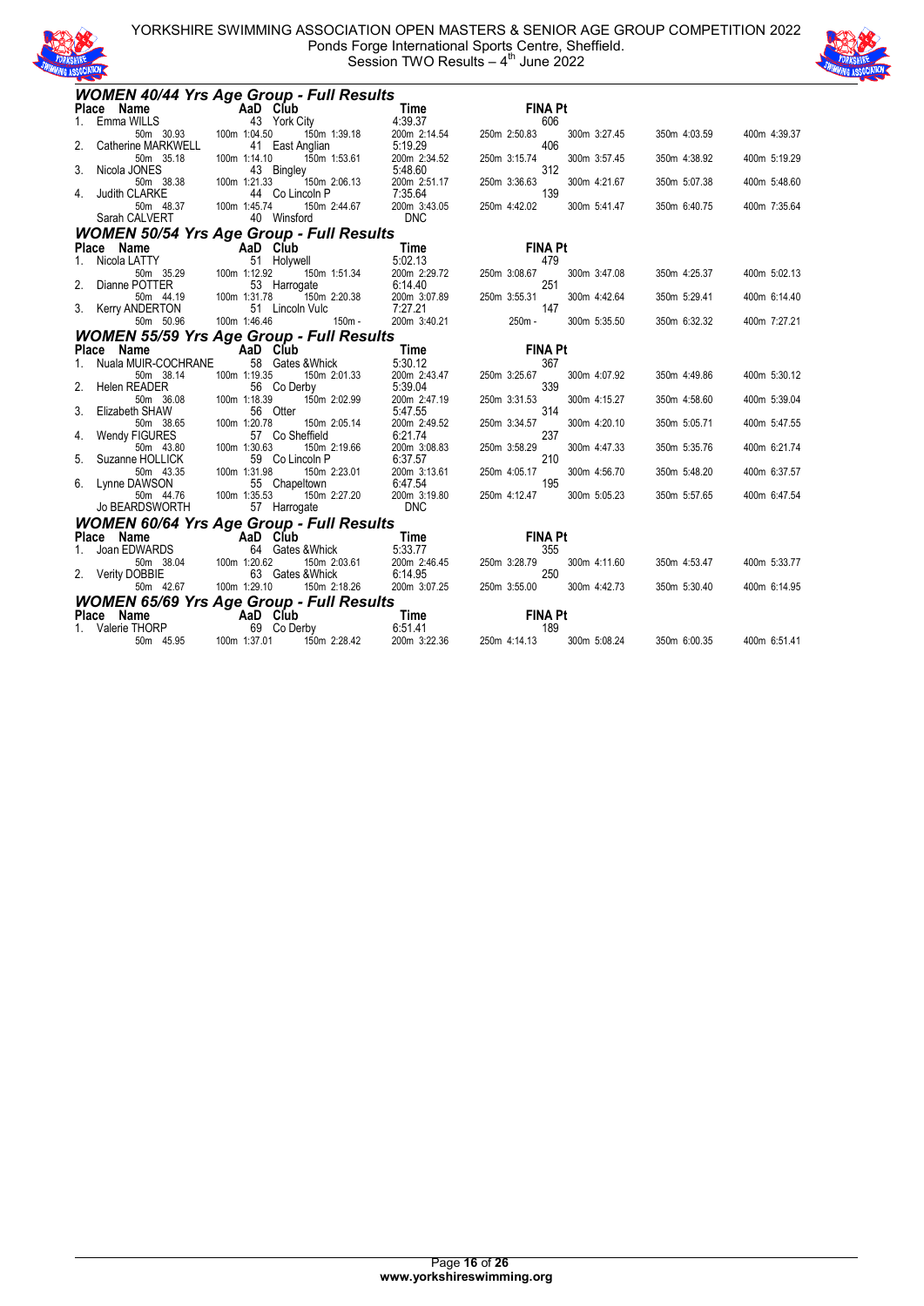



|         | <b>WOMEN 40/44 Yrs Age Group - Full Results</b>               |                                 |                  |                         |              |                |              |              |              |
|---------|---------------------------------------------------------------|---------------------------------|------------------|-------------------------|--------------|----------------|--------------|--------------|--------------|
|         | Place Name                                                    | AaD Club                        |                  | Time                    |              | <b>FINA Pt</b> |              |              |              |
| $1_{-}$ | Emma WILLS                                                    | 43 York City                    |                  | 4:39.37                 |              | 606            |              |              |              |
|         | 50m 30.93                                                     | 100m 1:04.50                    | 150m 1:39.18     | 200m 2:14.54            | 250m 2:50.83 |                | 300m 3:27.45 | 350m 4:03.59 | 400m 4:39.37 |
| 2.      | Catherine MARKWELL                                            | 41 East Anglian                 |                  | 5:19.29                 |              | 406            |              |              |              |
|         | 50m 35.18                                                     | 100m 1:14.10                    | 150m 1:53.61     | 200m 2:34.52            | 250m 3:15.74 |                | 300m 3:57.45 | 350m 4:38.92 | 400m 5:19.29 |
|         | 3. Nicola JONES                                               | 43 Bingley                      |                  | 5:48.60                 |              | 312            |              |              |              |
|         | 50m 38.38<br>4. Judith CLARKE                                 | 100m 1:21.33<br>44 Co Lincoln P | 150m 2:06.13     | 200m 2:51.17<br>7:35.64 | 250m 3:36.63 | 139            | 300m 4:21.67 | 350m 5:07.38 | 400m 5:48.60 |
|         | 50m 48.37                                                     | 100m 1:45.74                    | 150m 2:44.67     | 200m 3:43.05            | 250m 4:42.02 |                | 300m 5:41.47 | 350m 6:40.75 | 400m 7:35.64 |
|         | Sarah CALVERT                                                 | 40 Winsford                     |                  | <b>DNC</b>              |              |                |              |              |              |
|         |                                                               |                                 |                  |                         |              |                |              |              |              |
|         | <b>WOMEN 50/54 Yrs Age Group - Full Results</b><br>Place Name |                                 |                  | Time                    |              | <b>FINA Pt</b> |              |              |              |
| 1.      | Nicola LATTY                                                  | AaD Club<br>51 Holywell         |                  | 5:02.13                 |              | 479            |              |              |              |
|         | 50m 35.29                                                     | 100m 1:12.92                    | 150m 1:51.34     | 200m 2:29.72            | 250m 3:08.67 |                | 300m 3:47.08 | 350m 4:25.37 | 400m 5:02.13 |
| 2.      | Dianne POTTER                                                 | 53 Harrogate                    |                  | 6:14.40                 |              | 251            |              |              |              |
|         | 50m 44.19                                                     | 100m 1:31.78                    | 150m 2:20.38     | 200m 3:07.89            | 250m 3:55.31 |                | 300m 4:42.64 | 350m 5:29.41 | 400m 6:14.40 |
|         | 3. Kerry ANDERTON                                             | 51 Lincoln Vulc                 |                  | 7:27.21                 |              | 147            |              |              |              |
|         | 50m 50.96                                                     | 100m 1:46.46                    | $150m -$         | 200m 3:40.21            | 250m -       |                | 300m 5:35.50 | 350m 6:32.32 | 400m 7:27.21 |
|         | <b>WOMEN 55/59 Yrs Age Group - Full Results</b>               |                                 |                  |                         |              |                |              |              |              |
|         | Place Name                                                    | AaD Club                        |                  | Time                    |              | <b>FINA Pt</b> |              |              |              |
|         | Nuala MUIR-COCHRANE                                           |                                 | 58 Gates & Whick | 5:30.12                 |              | 367            |              |              |              |
|         | 50m 38.14                                                     | 100m 1:19.35                    | 150m 2:01.33     | 200m 2:43.47            | 250m 3:25.67 |                | 300m 4:07.92 | 350m 4:49.86 | 400m 5:30.12 |
|         | 2. Helen READER                                               | 56 Co Derby                     |                  | 5:39.04                 |              | 339            |              |              |              |
|         | 50m 36.08                                                     | 100m 1:18.39                    | 150m 2:02.99     | 200m 2:47.19            | 250m 3:31.53 |                | 300m 4:15.27 | 350m 4:58.60 | 400m 5:39.04 |
|         | 3. Elizabeth SHAW                                             | 56 Otter                        |                  | 5:47.55                 |              | 314            |              |              |              |
|         | 50m 38.65                                                     | 100m 1:20.78                    | 150m 2:05.14     | 200m 2:49.52            | 250m 3:34.57 |                | 300m 4:20.10 | 350m 5:05.71 | 400m 5:47.55 |
| 4.      | Wendy FIGURES                                                 | 57 Co Sheffield                 |                  | 6:21.74                 |              | 237            |              |              |              |
|         | 50m 43.80                                                     | 100m 1:30.63                    | 150m 2:19.66     | 200m 3:08.83            | 250m 3:58.29 |                | 300m 4:47.33 | 350m 5:35.76 | 400m 6:21.74 |
| 5.      | Suzanne HOLLICK<br>50m 43.35                                  | 59 Co Lincoln P                 | 150m 2:23.01     | 6:37.57<br>200m 3:13.61 | 250m 4:05.17 | 210            | 300m 4:56.70 |              |              |
|         | 6. Lynne DAWSON                                               | 100m 1:31.98<br>55 Chapeltown   |                  | 6:47.54                 |              | 195            |              | 350m 5:48.20 | 400m 6:37.57 |
|         | 50m 44.76                                                     | 100m 1:35.53                    | 150m 2:27.20     | 200m 3:19.80            | 250m 4:12.47 |                | 300m 5:05.23 | 350m 5:57.65 | 400m 6:47.54 |
|         | <b>Jo BEARDSWORTH</b>                                         | 57 Harrogate                    |                  | <b>DNC</b>              |              |                |              |              |              |
|         | <b>WOMEN 60/64 Yrs Age Group - Full Results</b>               |                                 |                  |                         |              |                |              |              |              |
|         | Place Name                                                    | <b>Example 2</b> AaD Club       |                  | Time                    |              | <b>FINA Pt</b> |              |              |              |
|         | Joan EDWARDS                                                  |                                 | 64 Gates & Whick | 5:33.77                 |              | 355            |              |              |              |
|         | 50m 38.04                                                     | 100m 1:20.62                    | 150m 2:03.61     | 200m 2:46.45            | 250m 3:28.79 |                | 300m 4:11.60 | 350m 4:53.47 | 400m 5:33.77 |
|         | 2. Verity DOBBIE                                              |                                 | 63 Gates & Whick | 6:14.95                 |              | 250            |              |              |              |
|         | 50m 42.67                                                     | 100m 1:29.10                    | 150m 2:18.26     | 200m 3:07.25            | 250m 3:55.00 |                | 300m 4:42.73 | 350m 5:30.40 | 400m 6:14.95 |
|         | <b>WOMEN 65/69 Yrs Age Group - Full Results</b>               |                                 |                  |                         |              |                |              |              |              |
|         | Place Name                                                    | <b>Example 2</b> AaD Club       |                  | Time                    |              | <b>FINA Pt</b> |              |              |              |
|         | 1. Valerie THORP                                              | 69 Co Derby                     |                  | 6:51.41                 |              | 189            |              |              |              |
|         | 50m 45.95                                                     | 100m 1:37.01                    | 150m 2:28.42     | 200m 3:22.36            | 250m 4:14.13 |                | 300m 5:08.24 | 350m 6:00.35 | 400m 6:51.41 |
|         |                                                               |                                 |                  |                         |              |                |              |              |              |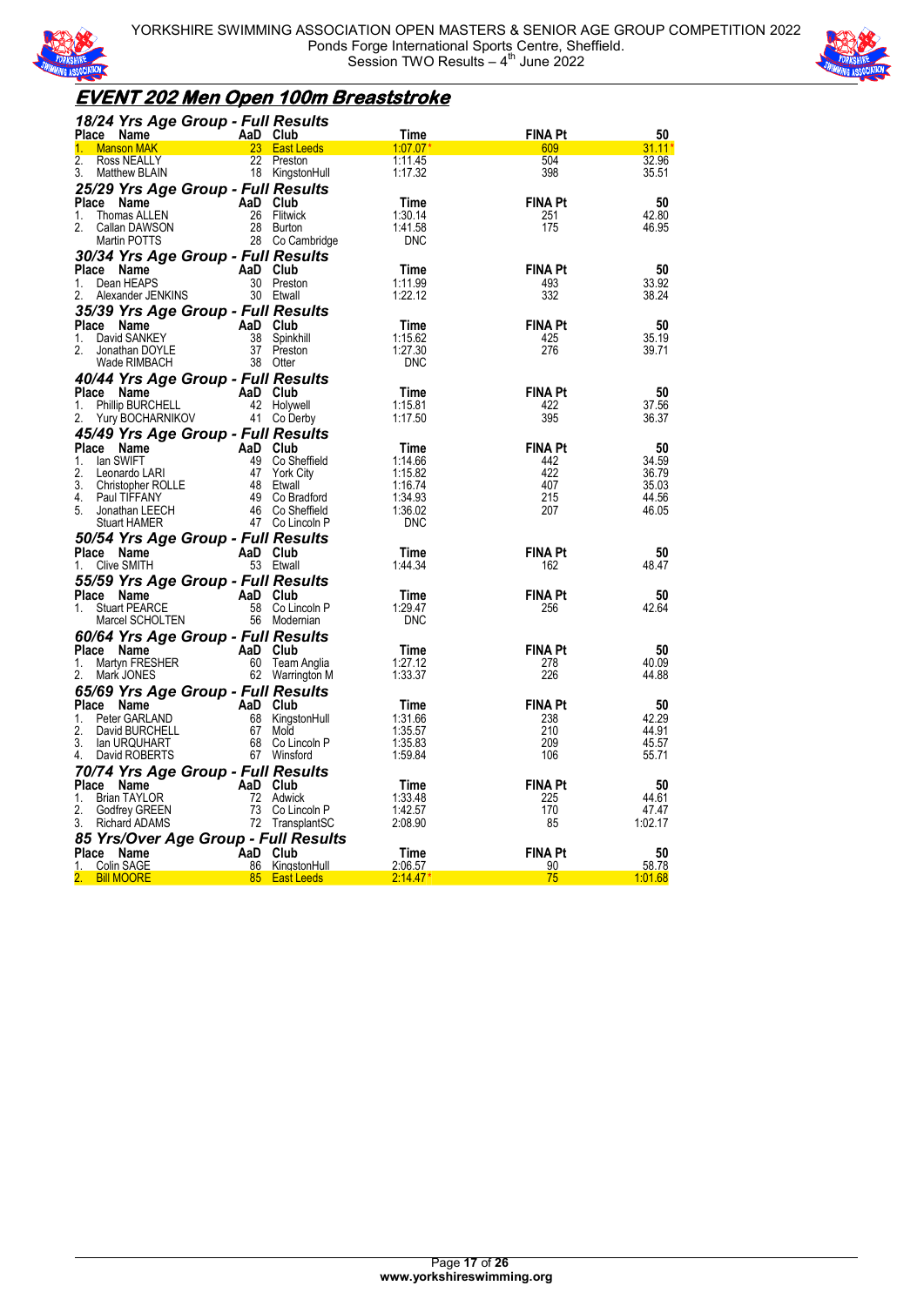



### **EVENT 202 Men Open 100m Breaststroke**

| 18/24 Yrs Age Group - Full Results                                                 |                       |                                  |                    |                       |                |
|------------------------------------------------------------------------------------|-----------------------|----------------------------------|--------------------|-----------------------|----------------|
| AaD Club<br>23 East L<br>Place Name                                                |                       |                                  | Time               | <b>FINA Pt</b>        | 50             |
| <b>Manson MAK</b>                                                                  |                       | 23 East Leeds                    | 1.07.07            | 609                   | $31.11*$       |
| 2.<br>Ross NEALLY<br>3.                                                            |                       | 22 Preston                       | 1:11.45            | 504<br>398            | 32.96          |
| Matthew BLAIN                                                                      |                       | 18 KingstonHull                  | 1:17.32            |                       | 35.51          |
| 25/29 Yrs Age Group - Full Results                                                 |                       |                                  |                    |                       |                |
| Place Name<br>1.<br>Thomas ALLEN                                                   | AaD Club              | 26 Flitwick                      | Time<br>1:30.14    | <b>FINA Pt</b><br>251 | 50<br>42.80    |
| 2.<br>Callan DAWSON                                                                |                       | 28 Burton                        | 1:41.58            | 175                   | 46.95          |
| Martin POTTS                                                                       |                       | 28 Co Cambridge                  | <b>DNC</b>         |                       |                |
| 30/34 Yrs Age Group - Full Results                                                 |                       |                                  |                    |                       |                |
| Place Name                                                                         | AaD Club              |                                  | Time               | <b>FINA Pt</b>        | 50             |
| Dean HEAPS<br>1.                                                                   |                       | 30 Preston                       | 1:11.99            | 493                   | 33.92          |
| Alexander JENKINS<br>2.                                                            |                       | 30 Etwall                        | 1:22.12            | 332                   | 38.24          |
| 35/39 Yrs Age Group - Full Results                                                 |                       |                                  |                    |                       |                |
| Place Name                                                                         |                       | AaD Club                         | Time               | <b>FINA Pt</b>        | 50             |
| 1.<br>David SANKEY                                                                 |                       | 38 Spinkhill                     | 1:15.62            | 425                   | 35.19          |
| 2.<br>Jonathan DOYLE                                                               |                       | 37 Preston                       | 1:27.30            | 276                   | 39.71          |
| Wade RIMBACH                                                                       |                       | 38 Otter                         | DNC                |                       |                |
| 40/44 Yrs Age Group - Full Results                                                 |                       |                                  |                    |                       |                |
| Place Name                                                                         | AaD Club              |                                  | Time               | <b>FINA Pt</b>        | 50             |
| Phillip BURCHELL<br>1.                                                             |                       | 42 Holywell                      | 1:15.81            | 422                   | 37.56          |
| Yury BOCHARNIKOV<br>2.                                                             |                       | 41 Co Derby                      | 1:17.50            | 395                   | 36.37          |
| 45/49 Yrs Age Group - Full Results                                                 |                       |                                  |                    |                       |                |
| Place Name<br>AaD Club<br>49 Co Sheffield<br>47 York City                          |                       |                                  | Time               | <b>FINA Pt</b>        | 50             |
| lan SWIFT<br>1.                                                                    |                       |                                  | 1:14.66            | 442                   | 34.59          |
| 2.<br>Leonardo LARI<br>Christopher ROLLE 48 Etwall<br>The ANY 49 Co Bradford<br>3. |                       |                                  | 1:15.82<br>1:16.74 | 422<br>407            | 36.79<br>35.03 |
| 4.                                                                                 |                       |                                  | 1:34.93            | 215                   | 44.56          |
| 5.<br>Jonathan LEECH                                                               |                       | 46 Co Sheffield                  | 1:36.02            | 207                   | 46.05          |
| <b>Stuart HAMER</b>                                                                |                       | 47 Co Lincoln P                  | <b>DNC</b>         |                       |                |
| 50/54 Yrs Age Group - Full Results                                                 |                       |                                  |                    |                       |                |
| Place Name                                                                         |                       | AaD Club                         | Time               | <b>FINA Pt</b>        | 50             |
| Clive SMITH<br>1.                                                                  |                       | 53 Etwall                        | 1:44.34            | 162                   | 48.47          |
| 55/59 Yrs Age Group - Full Results                                                 |                       |                                  |                    |                       |                |
| Place Name                                                                         |                       | AaD Club                         | Time               | <b>FINA Pt</b>        | 50             |
| <b>Stuart PEARCE</b><br>1.                                                         |                       | 58 Co Lincoln P                  | 1:29.47            | 256                   | 42.64          |
| Marcel SCHOLTEN                                                                    |                       | 56 Modernian                     | <b>DNC</b>         |                       |                |
| 60/64 Yrs Age Group - Full Results                                                 |                       |                                  |                    |                       |                |
| Place Name                                                                         |                       | AaD Club                         | Time               | <b>FINA Pt</b>        | 50             |
| $1_{-}$<br>Martyn FRESHER                                                          |                       | 60 Team Anglia                   | 1:27.12            | 278                   | 40.09          |
| 2.<br>Mark JONES                                                                   |                       | 62 Warrington M                  | 1:33.37            | 226                   | 44.88          |
| 65/69 Yrs Age Group - Full Results                                                 |                       |                                  |                    |                       |                |
| Place Name                                                                         | AaD Club<br>68 Kingst |                                  | Time               | <b>FINA Pt</b>        | 50             |
| Peter GARLAND<br>1.<br>2.<br>David BURCHELL                                        |                       | 68 KingstonHull<br>67 Mold       | 1:31.66<br>1:35.57 | 238<br>210            | 42.29<br>44.91 |
| 3.<br>lan URQUHART                                                                 |                       | 68 Co Lincoln P                  | 1:35.83            | 209                   | 45.57          |
| 4.<br>David ROBERTS                                                                |                       | 67 Winsford                      | 1:59.84            | 106                   | 55.71          |
| 70/74 Yrs Age Group - Full Results                                                 |                       |                                  |                    |                       |                |
| Place Name                                                                         | AaD Club              |                                  | Time               | <b>FINA Pt</b>        | 50             |
| 1.<br><b>Brian TAYLOR</b>                                                          |                       | 72 Adwick                        | 1:33.48            | 225                   | 44.61          |
| 2.<br>Godfrey GREEN                                                                |                       | 73 Co Lincoln P                  | 1:42.57            | 170                   | 47.47          |
| 3.<br>Richard ADAMS                                                                |                       | 72 TransplantSC                  | 2:08.90            | 85                    | 1:02.17        |
| 85 Yrs/Over Age Group - Full Results                                               |                       |                                  |                    |                       |                |
| Place Name                                                                         | AaD Club<br>86 Kingst |                                  | Time               | <b>FINA Pt</b>        | 50             |
| 1. Colin SAGE                                                                      |                       | 86 KingstonHull                  | 2:06.57            | 90                    | 58.78          |
| <b>Bill MOORE</b>                                                                  |                       | 85 East Leeds <b>East Allege</b> | $2:14.47*$         | 75                    | 1:01.68        |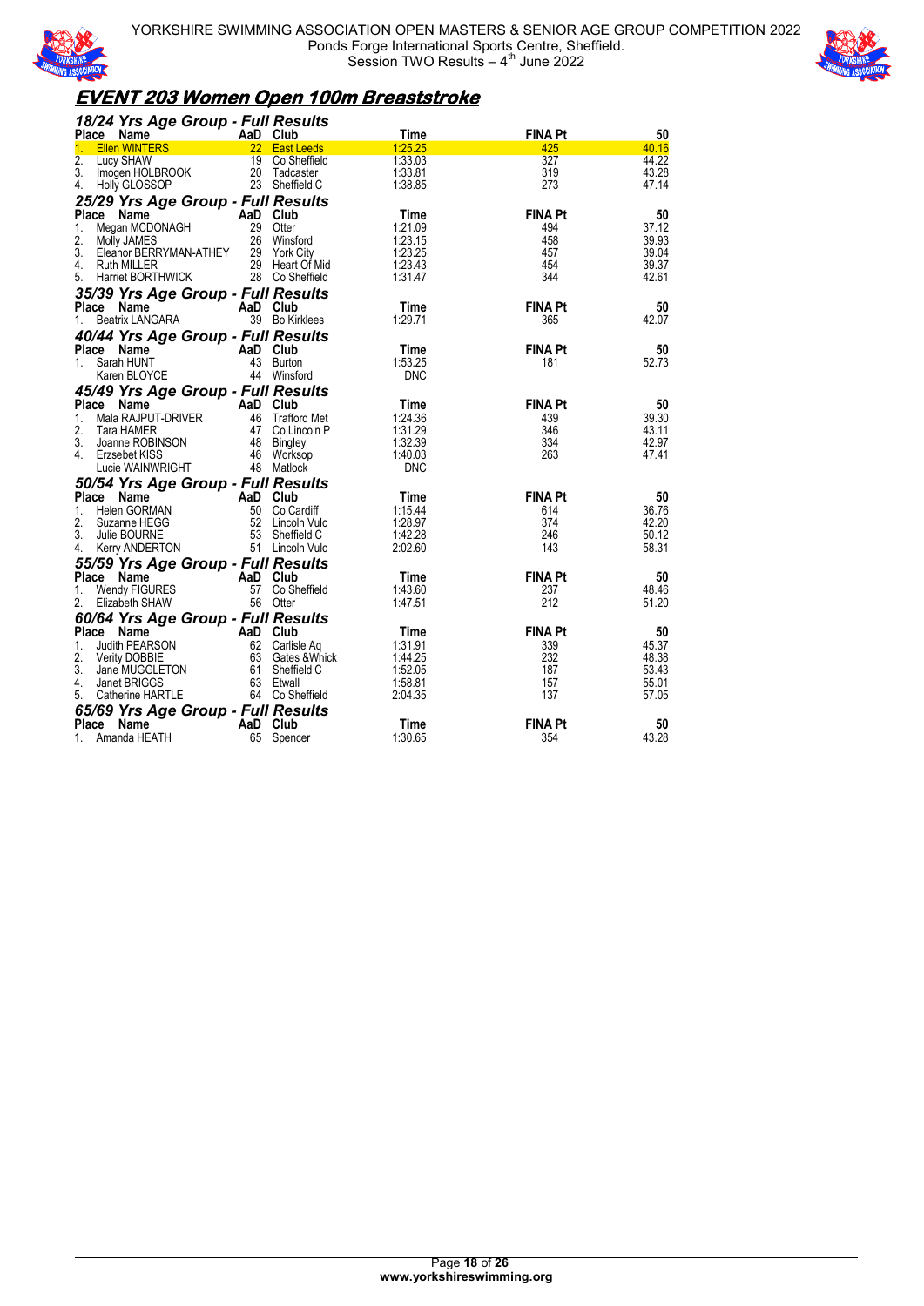



### **EVENT 203 Women Open 100m Breaststroke**

| 18/24 Yrs Age Group - Full Results        |    |                          |                    |                |                |
|-------------------------------------------|----|--------------------------|--------------------|----------------|----------------|
| Place Name                                |    | AaD Club                 | Time               | <b>FINA Pt</b> | 50             |
| <b>Ellen WINTERS</b><br>1.                |    | 22 East Leeds            | 1:25.25            | 425            | 40.16          |
| 2.<br>Lucy SHAW                           | 19 | Co Sheffield             | 1:33.03            | 327            | 44.22          |
| 3.<br>Imogen HOLBROOK                     | 20 | Tadcaster                | 1:33.81            | 319            | 43.28          |
| Holly GLOSSOP<br>4.                       |    | 23 Sheffield C           | 1:38.85            | 273            | 47.14          |
| 25/29 Yrs Age Group - Full Results        |    |                          |                    |                |                |
| Place Name                                |    | AaD Club                 | Time               | <b>FINA Pt</b> | 50             |
| Megan MCDONAGH<br>1.                      |    | 29 Otter                 | 1:21.09            | 494            | 37.12          |
| 2.<br>Molly JAMES                         |    | 26 Winsford              | 1:23.15            | 458            | 39.93          |
| 3.<br>Eleanor BERRYMAN-ATHEY              |    | 29 York City             | 1:23.25            | 457            | 39.04          |
| 4.<br><b>Ruth MILLER</b>                  |    | 29 Heart Of Mid          | 1:23.43            | 454            | 39.37          |
| 5.<br>Harriet BORTHWICK                   |    | 28 Co Sheffield          | 1:31.47            | 344            | 42.61          |
| 35/39 Yrs Age Group - Full Results        |    |                          |                    |                |                |
| Place Name                                |    | AaD Club                 | Time               | <b>FINA Pt</b> | 50             |
| Beatrix LANGARA<br>1.                     |    | 39 Bo Kirklees           | 1.29.71            | 365            | 42.07          |
| 40/44 Yrs Age Group - Full Results        |    |                          |                    |                |                |
| Place Name                                |    | AaD Club                 | Time               | <b>FINA Pt</b> | 50             |
| Sarah HUNT<br>1.                          |    | 43 Burton                | 1:53.25            | 181            | 52.73          |
| Karen BLOYCE                              |    | 44 Winsford              | <b>DNC</b>         |                |                |
|                                           |    |                          |                    |                |                |
| 45/49 Yrs Age Group - Full Results        |    |                          |                    |                |                |
| <b>Place</b><br>Name                      |    | AaD Club                 | Time               | <b>FINA Pt</b> | 50             |
| Mala RAJPUT-DRIVER<br>$1_{-}$             |    | 46 Trafford Met          | 1:24.36            | 439            | 39.30          |
| 2.<br>Tara HAMER<br>3.<br>Joanne ROBINSON |    | 47 Co Lincoln P          | 1:31.29<br>1:32.39 | 346<br>334     | 43.11<br>42.97 |
| 4.                                        |    | 48 Bingley               | 1:40.03            | 263            | 47.41          |
| Erzsebet KISS<br>Lucie WAINWRIGHT         |    | 46 Worksop<br>48 Matlock | <b>DNC</b>         |                |                |
|                                           |    |                          |                    |                |                |
| 50/54 Yrs Age Group - Full Results        |    |                          |                    |                |                |
| <b>Place</b><br>Name                      |    | AaD Club                 | Time               | <b>FINA Pt</b> | 50             |
| Helen GORMAN<br>1.                        | 50 | Co Cardiff               | 1:15.44            | 614            | 36.76          |
| 2.<br>Suzanne HEGG                        | 52 | Lincoln Vulc             | 1:28.97            | 374            | 42.20          |
| 3.<br>Julie BOURNE                        |    | 53 Sheffield C           | 1:42.28            | 246            | 50.12          |
| 4.<br>Kerry ANDERTON                      |    | 51 Lincoln Vulc          | 2:02.60            | 143            | 58.31          |
| 55/59 Yrs Age Group - Full Results        |    |                          |                    |                |                |
| Place Name                                |    | AaD Club                 | Time               | <b>FINA Pt</b> | 50             |
| Wendy FIGURES<br>1.                       | 57 | Co Sheffield             | 1:43.60            | 237            | 48.46          |
| 2.<br>Elizabeth SHAW                      |    | 56 Otter                 | 1:47.51            | 212            | 51.20          |
| 60/64 Yrs Age Group - Full Results        |    |                          |                    |                |                |
| Place Name                                |    | AaD Club                 | Time               | <b>FINA Pt</b> | 50             |
| Judith PEARSON<br>1.                      |    | 62 Carlisle Ag           | 1:31.91            | 339            | 45.37          |
| 2.<br><b>Verity DOBBIE</b>                |    | 63 Gates & Whick         | 1:44.25            | 232            | 48.38          |
| 3.<br>Jane MUGGLETON                      | 61 | Sheffield C              | 1:52.05            | 187            | 53.43          |
| 4.<br>Janet BRIGGS                        |    | 63 Etwall                | 1:58.81            | 157            | 55.01          |
| Catherine HARTLE<br>5.                    |    | 64 Co Sheffield          | 2:04.35            | 137            | 57.05          |
| 65/69 Yrs Age Group - Full Results        |    |                          |                    |                |                |
| <b>Place</b><br>Name                      |    | AaD Club                 | Time               | <b>FINA Pt</b> | 50             |
| Amanda HEATH<br>1.                        | 65 | Spencer                  | 1:30.65            | 354            | 43.28          |
|                                           |    |                          |                    |                |                |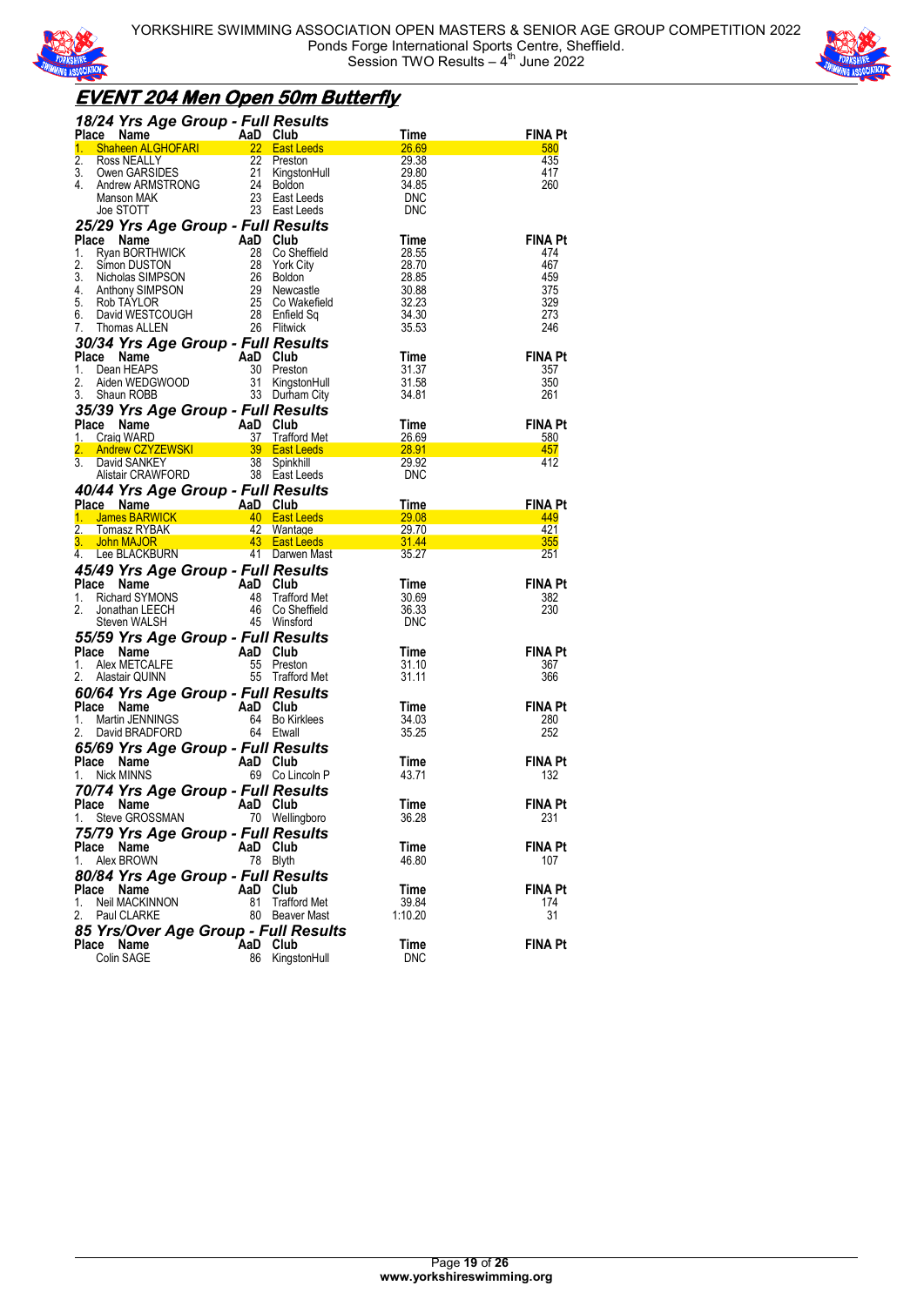



### **EVENT 204 Men Open 50m Butterfly**

| 18/24 Yrs Age Group - Full Results                                                                                                                                                                                                                                                                                                                   |           |                             |                                                    |                       |
|------------------------------------------------------------------------------------------------------------------------------------------------------------------------------------------------------------------------------------------------------------------------------------------------------------------------------------------------------|-----------|-----------------------------|----------------------------------------------------|-----------------------|
| ce Name ALGHOFARI AaD Club<br>Shaheen ALGHOFARI 22 East Leeds<br>Place                                                                                                                                                                                                                                                                               |           |                             | Time                                               | <b>FINA Pt</b>        |
| 1.<br>2.                                                                                                                                                                                                                                                                                                                                             |           |                             | 26.69<br>29.38                                     | 580<br>435            |
| 3.                                                                                                                                                                                                                                                                                                                                                   |           |                             | 29.80                                              | 417                   |
| 4.                                                                                                                                                                                                                                                                                                                                                   |           |                             | 34.85                                              | 260                   |
| <b>SHATES TRACTS AND SERVER SERVER SERVER SERVER SERVER SERVER SERVER SERVER SERVER SERVER SERVER SERVER SERVER SERVER SERVER SERVER SERVER SERVER SERVER SERVER SERVER SERVER SERVER SERVER SERVER SERVER SERVER SERVER SERVER </b>                                                                                                                 |           |                             | <b>DNC</b>                                         |                       |
|                                                                                                                                                                                                                                                                                                                                                      |           |                             | <b>DNC</b>                                         |                       |
| 25/29 Yrs Age Group - Full Results                                                                                                                                                                                                                                                                                                                   |           |                             |                                                    |                       |
|                                                                                                                                                                                                                                                                                                                                                      |           |                             | Time                                               | <b>FINA Pt</b>        |
|                                                                                                                                                                                                                                                                                                                                                      |           |                             | 28.55                                              | 474<br>467            |
|                                                                                                                                                                                                                                                                                                                                                      |           |                             | 28.70<br>28.70<br>28.85<br>30.88<br>32.23<br>34.30 | 459                   |
|                                                                                                                                                                                                                                                                                                                                                      |           |                             |                                                    | 375                   |
|                                                                                                                                                                                                                                                                                                                                                      |           |                             |                                                    | 329                   |
|                                                                                                                                                                                                                                                                                                                                                      |           |                             | 34.30                                              | 273                   |
| 25/29 Yrs Age Group - Fun Results<br>Place Name AaD Club<br>1. Ryan BORTHWICK 28 Co Sheffield<br>3. Simon DUSTON 28 York City<br>3. Nicholas SIMPSON 26 Boldon<br>4. Anthony SIMPSON 29 Newcastle<br>5. Rob TAYLOR 25 Co Wakefield<br>6. Dav                                                                                                         |           |                             | 35.53                                              | 246                   |
| The <b>SACT STAGE CROWN - Full Results</b><br><b>Place Name</b><br><b>Place Name</b><br><b>Place Name</b><br><b>AaD Club</b><br><b>Place Name</b><br><b>AaD Club</b><br><b>AD Club</b><br><b>AD Club</b><br><b>AD Club</b><br><b>AD Club</b><br><b>AD Club</b><br><b>AD Club</b><br><b>AD Club</b><br><b>AD Club</b><br><b>AD Club</b><br><b>AD </b> |           |                             | Time                                               | <b>FINA Pt</b>        |
|                                                                                                                                                                                                                                                                                                                                                      |           |                             | 31.37                                              | 357                   |
|                                                                                                                                                                                                                                                                                                                                                      |           |                             | 31.58                                              | 350                   |
|                                                                                                                                                                                                                                                                                                                                                      |           |                             | 34.81                                              | 261                   |
|                                                                                                                                                                                                                                                                                                                                                      |           |                             |                                                    |                       |
|                                                                                                                                                                                                                                                                                                                                                      |           |                             |                                                    | <b>FINA Pt</b>        |
|                                                                                                                                                                                                                                                                                                                                                      |           |                             |                                                    | 580                   |
| CONSULTER THE CRIP CONSULTER THE CRIP CONSULTING THE CRIP CAN CRIP CAN CRIP CAN CRIP CAN CRIP CAN CRIP CAN CRIP CAN CRIP CAN CRIP CAN CRIP CAN CRIP CAN CRIP CAN CRIP CAN CRIP CAN CRIP CAN CRIP CAN CRIP CAN CRIP CAN CRIP CA                                                                                                                       |           |                             |                                                    | 457<br>412            |
|                                                                                                                                                                                                                                                                                                                                                      |           |                             |                                                    |                       |
| 40/44 Yrs Age Group - Full Results                                                                                                                                                                                                                                                                                                                   |           |                             |                                                    |                       |
|                                                                                                                                                                                                                                                                                                                                                      |           |                             |                                                    | <b>FINA Pt</b>        |
| Place Name<br>1. James BARWICK 40 East Leeds 29.08<br>1. James BARWICK 40 East Leeds 29.08                                                                                                                                                                                                                                                           |           |                             |                                                    | 449                   |
|                                                                                                                                                                                                                                                                                                                                                      |           |                             |                                                    | 421                   |
|                                                                                                                                                                                                                                                                                                                                                      |           |                             |                                                    | 355                   |
|                                                                                                                                                                                                                                                                                                                                                      |           |                             |                                                    | 251                   |
| 45/49 Yrs Age Group - Full Results                                                                                                                                                                                                                                                                                                                   |           |                             | Time                                               | <b>FINA Pt</b>        |
|                                                                                                                                                                                                                                                                                                                                                      |           |                             | 30.69                                              | 382                   |
|                                                                                                                                                                                                                                                                                                                                                      |           |                             | 36.33                                              | 230                   |
| Place Name<br>1. Richard SYMONS<br>2. Jonathan LEECH<br>2. Steven WALSH<br>2. Steven WALSH<br>45 Winsford                                                                                                                                                                                                                                            |           |                             | DNC                                                |                       |
| <b>55/59 Yrs Age Group - Full Results<br/> Place Name AaD Club<br/> 1. Alex METCALFE 55 Preston<br/> 2. Alastair QUINN 55 Trafford Met</b>                                                                                                                                                                                                           |           |                             |                                                    |                       |
|                                                                                                                                                                                                                                                                                                                                                      |           |                             | Time                                               | <b>FINA Pt</b>        |
|                                                                                                                                                                                                                                                                                                                                                      |           |                             | 31.10                                              | 367                   |
|                                                                                                                                                                                                                                                                                                                                                      |           |                             | 31.11                                              | 366                   |
|                                                                                                                                                                                                                                                                                                                                                      |           |                             |                                                    |                       |
|                                                                                                                                                                                                                                                                                                                                                      |           |                             | Time<br>34.03                                      | <b>FINA Pt</b><br>280 |
| <b>60/64 Yrs Age Group - Full Results<br/> Place Name<br/> 1. Martin JENNINGS<br/> 2. David BRADFORD 64 Etwall<br/> 2. David BRADFORD 64 Etwall</b>                                                                                                                                                                                                  |           |                             | 35.25                                              | 252                   |
|                                                                                                                                                                                                                                                                                                                                                      |           |                             |                                                    |                       |
| <b>65/69 Yrs Age Group - Full Results<br/>Place Name AaD Club<br/>1 Nick MINNS 69 Collippole P</b>                                                                                                                                                                                                                                                   |           |                             | Time                                               | <b>FINA Pt</b>        |
| 1. Nick MINNS                                                                                                                                                                                                                                                                                                                                        |           | 69 Co Lincoln P             | 43.71                                              | 132                   |
| 70/74 Yrs Age Group - Full Results                                                                                                                                                                                                                                                                                                                   |           |                             |                                                    |                       |
| Place Name AaD Club                                                                                                                                                                                                                                                                                                                                  |           |                             | Time                                               | <b>FINA Pt</b>        |
| Steve GROSSMAN<br>1.                                                                                                                                                                                                                                                                                                                                 |           | 70 Wellingboro              | 36.28                                              | 231                   |
| 75/79 Yrs Age Group - Full Results                                                                                                                                                                                                                                                                                                                   |           |                             |                                                    |                       |
| Place Name                                                                                                                                                                                                                                                                                                                                           |           | AaD Club                    | Time                                               | FINA Pt               |
| Alex BROWN<br>1.                                                                                                                                                                                                                                                                                                                                     |           | 78 Blyth                    | 46.80                                              | 107                   |
| 80/84 Yrs Age Group - Full Results                                                                                                                                                                                                                                                                                                                   |           |                             |                                                    |                       |
| Place<br>Name<br>1.<br>Neil MACKINNON                                                                                                                                                                                                                                                                                                                | AaD<br>81 | Club<br><b>Trafford Met</b> | Time<br>39.84                                      | <b>FINA Pt</b><br>174 |
| 2.<br>Paul CLARKE                                                                                                                                                                                                                                                                                                                                    |           | 80 Beaver Mast              | 1:10.20                                            | 31                    |
| 85 Yrs/Over Age Group - Full Results                                                                                                                                                                                                                                                                                                                 |           |                             |                                                    |                       |
| Place<br>Name                                                                                                                                                                                                                                                                                                                                        | AaD Club  |                             | Time                                               | <b>FINA Pt</b>        |
| Colin SAGE                                                                                                                                                                                                                                                                                                                                           |           | 86 KingstonHull             | DNC                                                |                       |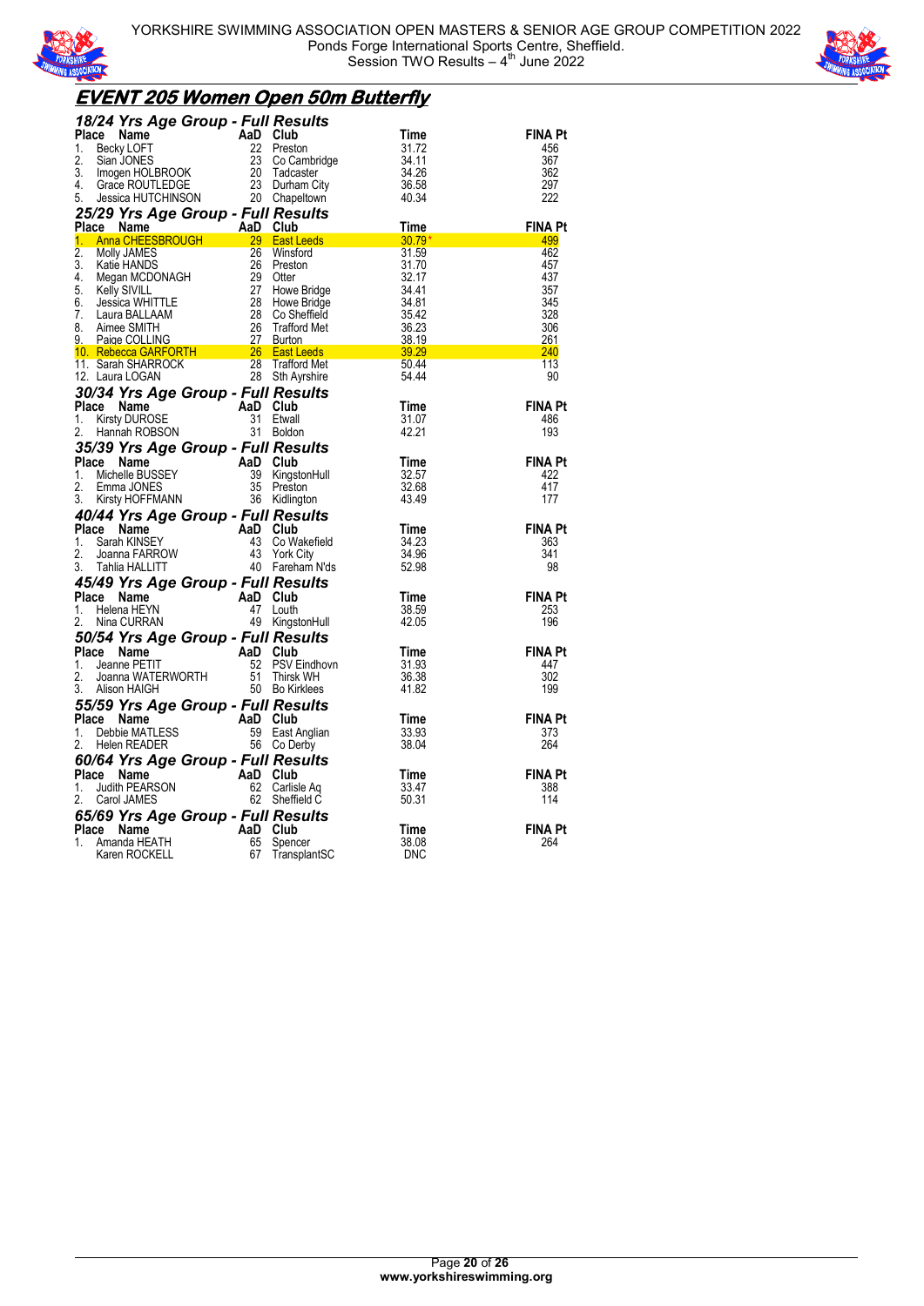



### **EVENT 205 Women Open 50m Butterfly**

| <b>18/24 Yrs Age Group - Full Results<br/> Place Name<br/> 1. Becky LOFT 22 Preston 31.72<br/> 2. Sian JONES 23 Co Cambridge 34.11<br/> 3. Imogen HOLBROOK 20 Tadcaster 4. Grace ROUTLEDGE 23 Durham City<br/> 5. Jessica HUTCHINSON 20 Chapeltown </b> |                                 |                |                |
|---------------------------------------------------------------------------------------------------------------------------------------------------------------------------------------------------------------------------------------------------------|---------------------------------|----------------|----------------|
|                                                                                                                                                                                                                                                         |                                 |                | <b>FINA Pt</b> |
|                                                                                                                                                                                                                                                         |                                 |                | 456            |
|                                                                                                                                                                                                                                                         |                                 |                | 367            |
|                                                                                                                                                                                                                                                         |                                 |                | 362<br>297     |
|                                                                                                                                                                                                                                                         |                                 |                | 222            |
|                                                                                                                                                                                                                                                         |                                 |                |                |
| Usson United States United States (Note 120 Case Natural Control of the States Case of the MADS)<br>Molly JAMES 26 Winsford<br>Katie HANDS 26 Preston 31.1.7<br>Megan MCDONAGH 29 Otter 324.11<br>Megan MCDONAGH 27 Howe Bridge 34.41<br>               |                                 |                | <b>FINA Pt</b> |
|                                                                                                                                                                                                                                                         |                                 |                | 499<br>462     |
|                                                                                                                                                                                                                                                         |                                 |                | 457            |
|                                                                                                                                                                                                                                                         |                                 |                | 437            |
|                                                                                                                                                                                                                                                         |                                 |                | 357            |
|                                                                                                                                                                                                                                                         |                                 |                | 345            |
|                                                                                                                                                                                                                                                         |                                 |                | 328<br>306     |
|                                                                                                                                                                                                                                                         |                                 |                | 261            |
|                                                                                                                                                                                                                                                         |                                 |                | 240            |
|                                                                                                                                                                                                                                                         |                                 |                | 113            |
|                                                                                                                                                                                                                                                         |                                 |                | 90             |
|                                                                                                                                                                                                                                                         |                                 |                |                |
|                                                                                                                                                                                                                                                         |                                 |                | <b>FINA Pt</b> |
|                                                                                                                                                                                                                                                         |                                 |                | 486<br>193     |
|                                                                                                                                                                                                                                                         |                                 |                |                |
|                                                                                                                                                                                                                                                         |                                 | Time           | <b>FINA Pt</b> |
|                                                                                                                                                                                                                                                         |                                 | 32.57          | 422            |
|                                                                                                                                                                                                                                                         |                                 | 32.68          | 417            |
| <b>35/39 Yrs Age Group - Full Results<br/> Place Name AaD Club<br/> 1. Michelle BUSSEY 39 KingstonHull<br/> 2. Emma JONES 35 Preston<br/> 3. Kirsty HOFFMANN 36 Kidlington</b>                                                                          |                                 | 43.49          | 177            |
| <b>40/44 Yrs Age Group - Full Results<br/> Place Name AaD Club<br/> 1. Sarah KINSEY 43 Co Wakefield<br/> 2. Joanna FARROW 43 York City<br/> 3. Tahlia HALLITT 40 Fareham N'ds</b>                                                                       |                                 |                |                |
|                                                                                                                                                                                                                                                         |                                 | Time           | <b>FINA Pt</b> |
|                                                                                                                                                                                                                                                         | 43 Co Wakefield<br>43 York City | 34.23<br>34.96 | 363<br>341     |
|                                                                                                                                                                                                                                                         |                                 | 52.98          | 98             |
| 45/49 Yrs Age Group - Full Results                                                                                                                                                                                                                      |                                 |                |                |
| Place Name                                                                                                                                                                                                                                              |                                 | Time           | <b>FINA Pt</b> |
| 1.                                                                                                                                                                                                                                                      |                                 | 38.59          | 253            |
| ce Name<br>Helena HEYN 47 Louth<br>Helena HEYN 47 Louth<br>Nina CURRAN 49 Kingst<br>2.                                                                                                                                                                  | 49 KingstonHull                 | 42.05          | 196            |
| <b>50/54 Yrs Age Group - Full Results<br/> Place Name<br/> 1. Jeanne PETIT<br/> 2. Joanna WATERWORTH<br/> 3. Alison HAIGH<br/> 3. Alison HAIGH<br/> 3. Alison HAIGH<br/> 3. Alison HAIGH<br/> 50 Bo Kirklees</b>                                        |                                 |                |                |
|                                                                                                                                                                                                                                                         |                                 | Time           | <b>FINA Pt</b> |
|                                                                                                                                                                                                                                                         | PSV Eindhovn                    | 31.93<br>36.38 | 447<br>302     |
|                                                                                                                                                                                                                                                         |                                 | 41.82          | 199            |
|                                                                                                                                                                                                                                                         |                                 |                |                |
| <b>55/59 Yrs Age Group - Full Results<br/> Place Name AaD Club<br/> 1. Debbie MATLESS 59 East Anglian<br/> 2. Helen READER 56 Co Derby</b>                                                                                                              |                                 | Time           | <b>FINA Pt</b> |
|                                                                                                                                                                                                                                                         | 59 East Anglian                 | 33.93          | 373            |
|                                                                                                                                                                                                                                                         |                                 | 38.04          | 264            |
|                                                                                                                                                                                                                                                         |                                 |                |                |
|                                                                                                                                                                                                                                                         |                                 | Time           | <b>FINA Pt</b> |
| <b>60/64 Yrs Age Group - Full Results<br/> Place Name AaD Club<br/> 1. Judith PEARSON 62 Carlisle Aq<br/> 2. Carol JAMES 62 Sheffield C</b>                                                                                                             |                                 | 33.47<br>50.31 | 388<br>114     |
|                                                                                                                                                                                                                                                         |                                 |                |                |
|                                                                                                                                                                                                                                                         |                                 | Time           | <b>FINA Pt</b> |
|                                                                                                                                                                                                                                                         |                                 | 38.08          | 264            |
| <b>65/69 Yrs Age Group - Full Results<br/> Place Name AaD Club<br/> 1. Amanda HEATH 65 Spencer<br/> Karen ROCKELL 67 TransplantSC</b>                                                                                                                   |                                 | <b>DNC</b>     |                |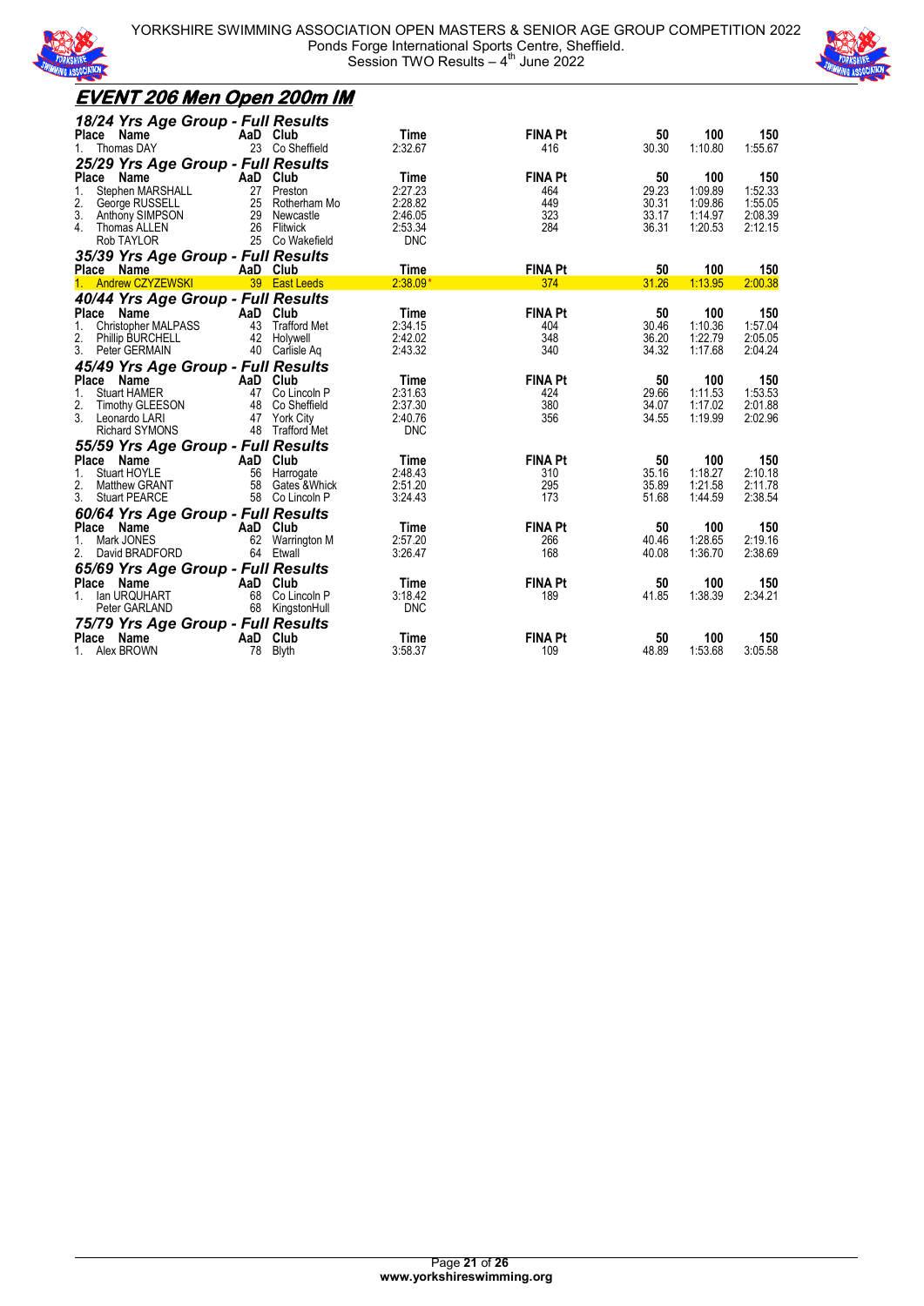



| <u>EVENT 206 Men Open 200m IM</u>                   |                     |                     |                    |                       |                |                    |                    |
|-----------------------------------------------------|---------------------|---------------------|--------------------|-----------------------|----------------|--------------------|--------------------|
| 18/24 Yrs Age Group - Full Results                  |                     |                     |                    |                       |                |                    |                    |
| Place<br>Name                                       | AaD Club            |                     | Time               | <b>FINA Pt</b>        | 50             | 100                | 150                |
| Thomas DAY<br>1.                                    |                     | 23 Co Sheffield     | 2:32.67            | 416                   | 30.30          | 1:10.80            | 1:55.67            |
| 25/29 Yrs Age Group - Full Results                  |                     |                     |                    |                       |                |                    |                    |
| Place<br>Name                                       | AaD Club            |                     | Time               | <b>FINA Pt</b>        | 50             | 100                | 150                |
| 1.<br>Stephen MARSHALL                              | 27                  | Preston             | 2:27.23            | 464                   | 29.23          | 1:09.89            | 1:52.33            |
| 2.<br>George RUSSELL<br>3.                          | 25                  | Rotherham Mo        | 2:28.82            | 449                   | 30.31          | 1:09.86            | 1:55.05            |
| Anthony SIMPSON<br>4.<br>Thomas ALLEN               | 29<br>26 Flitwick   | Newcastle           | 2:46.05<br>2:53.34 | 323<br>284            | 33.17<br>36.31 | 1:14.97<br>1:20.53 | 2:08.39<br>2:12.15 |
| Rob TAYLOR                                          |                     | 25 Co Wakefield     | <b>DNC</b>         |                       |                |                    |                    |
| 35/39 Yrs Age Group - Full Results                  |                     |                     |                    |                       |                |                    |                    |
| Place Name                                          | AaD Club            |                     | Time               | <b>FINA Pt</b>        | 50             | 100                | 150                |
| <b>Andrew CZYZEWSKI</b>                             |                     | 39 East Leeds       | 2:38.09            | 374                   | 31.26          | 1:13.95            | 2:00.38            |
| 40/44 Yrs Age Group - Full Results                  |                     |                     |                    |                       |                |                    |                    |
| Place Name                                          | AaD Club            |                     | Time               | <b>FINA Pt</b>        | 50             | 100                | 150                |
| $1_{-}$<br><b>Christopher MALPASS</b>               | 43                  | <b>Trafford Met</b> | 2:34.15            | 404                   | 30.46          | 1:10.36            | 1:57.04            |
| 2.<br><b>Phillip BURCHELL</b>                       | 42                  | Holywell            | 2:42.02            | 348                   | 36.20          | 1:22.79            | 2:05.05            |
| 3.<br>Peter GERMAIN                                 | 40 Carlisle Aq      |                     | 2:43.32            | 340                   | 34.32          | 1:17.68            | 2:04.24            |
| 45/49 Yrs Age Group - Full Results<br>Place<br>Name | AaD Club            |                     | Time               | <b>FINA Pt</b>        | 50             | 100                | 150                |
| <b>Stuart HAMER</b><br>1.                           | 47                  | Co Lincoln P        | 2:31.63            | 424                   | 29.66          | 1:11.53            | 1:53.53            |
| 2.<br><b>Timothy GLEESON</b>                        | 48                  | Co Sheffield        | 2:37.30            | 380                   | 34.07          | 1:17.02            | 2:01.88            |
| 3.<br>Leonardo LARI                                 | 47                  | <b>York City</b>    | 2:40.76            | 356                   | 34.55          | 1:19.99            | 2:02.96            |
| <b>Richard SYMONS</b>                               | 48                  | <b>Trafford Met</b> | <b>DNC</b>         |                       |                |                    |                    |
| 55/59 Yrs Age Group - Full Results                  |                     |                     |                    |                       |                |                    |                    |
| Place<br>Name                                       | AaD Club            |                     | Time               | <b>FINA Pt</b>        | 50             | 100                | 150                |
| Stuart HOYLE<br>1.                                  | 56                  | Harrogate           | 2:48.43            | 310                   | 35.16          | 1:18.27            | 2:10.18            |
| 2.<br><b>Matthew GRANT</b>                          | 58                  | Gates & Whick       | 2:51.20            | 295                   | 35.89          | 1:21.58            | 2:11.78            |
| 3.<br><b>Stuart PEARCE</b>                          |                     | 58 Co Lincoln P     | 3:24.43            | 173                   | 51.68          | 1:44.59            | 2:38.54            |
| 60/64 Yrs Age Group - Full Results                  |                     |                     |                    |                       |                |                    |                    |
| Place<br>Name<br>Mark JONES<br>1.                   | AaD Club<br>62      |                     | Time<br>2:57.20    | <b>FINA Pt</b><br>266 | 50<br>40.46    | 100<br>1:28.65     | 150<br>2:19.16     |
| David BRADFORD                                      | 64<br>Etwall        | Warrington M        | 3:26.47            | 168                   | 40.08          | 1:36.70            | 2:38.69            |
|                                                     |                     |                     |                    |                       |                |                    |                    |
| 65/69 Yrs Age Group - Full Results<br>Place<br>Name | AaD<br>Club         |                     | Time               | <b>FINA Pt</b>        | 50             | 100                | 150                |
| $1_{-}$<br>lan URQUHART                             | 68                  | Co Lincoln P        | 3:18.42            | 189                   | 41.85          | 1:38.39            | 2:34.21            |
| Peter GARLAND                                       | 68                  | KingstonHull        | <b>DNC</b>         |                       |                |                    |                    |
| 75/79 Yrs Age Group - Full Results                  |                     |                     |                    |                       |                |                    |                    |
| <b>Place</b><br>Name                                | Club<br>AaD         |                     | Time               | <b>FINA Pt</b>        | 50             | 100                | 150                |
| Alex BROWN<br>1.                                    | 78<br><b>B</b> lvth |                     | 3:58.37            | 109                   | 48.89          | 1:53.68            | 3:05.58            |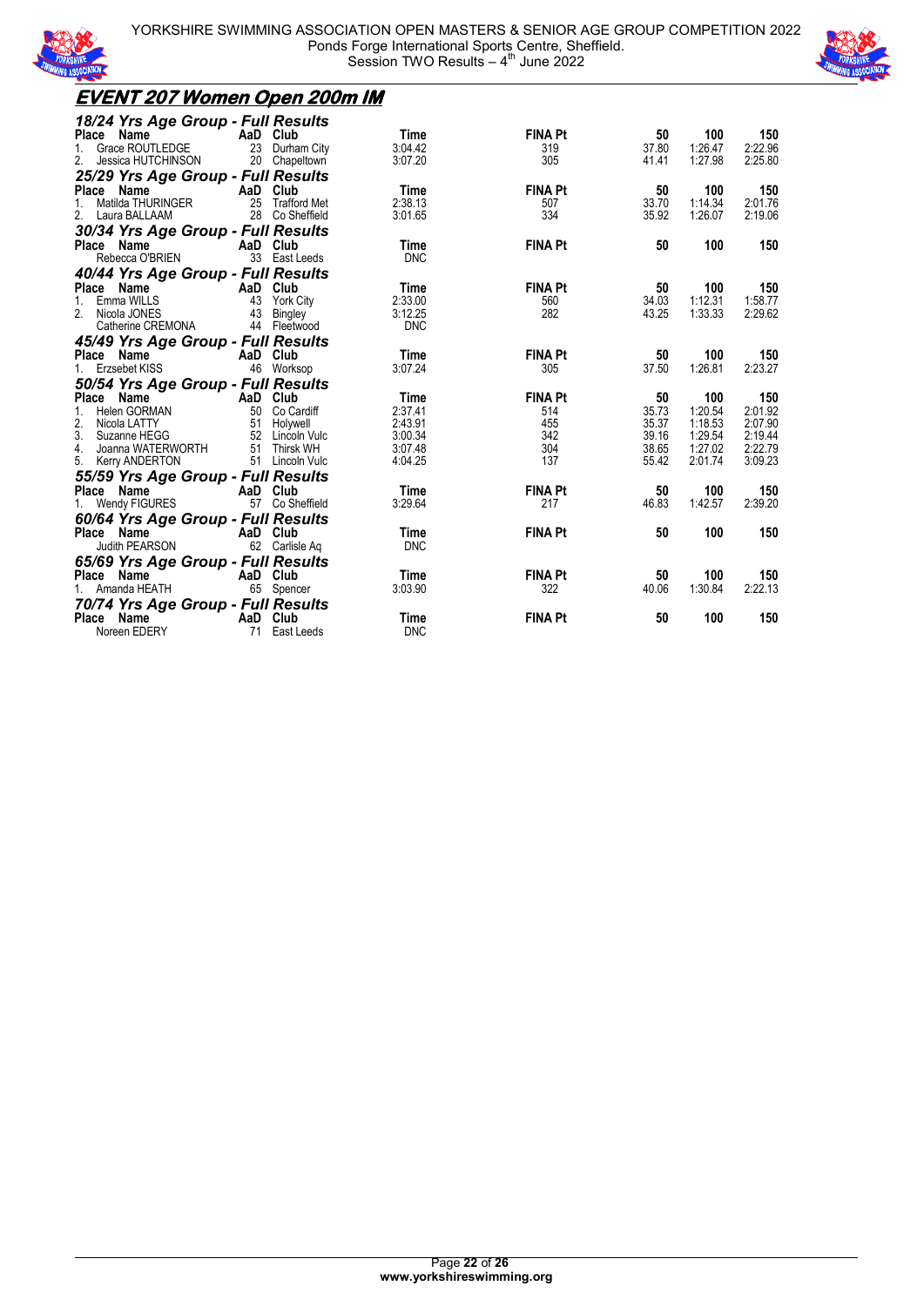



#### **EVENT 207 Women Open 200m IM** *18/24 Yrs Age Group - Full Results* **Place Name 1. AaD Club 1. Time 1. FINA Pt 50 100 150**<br>1. Grace ROUTLEDGE 23 Durham City 3:04.42 1. 319 37.80 1:26.47 2:22.96 1. Grace ROUTLEDGE 23 Durham City 3:04.42 3.04.42 319 37.80 1:26.47 2:22.96<br>2. Jessica HUTCHINSON 20 Chapeltown 3:07.20 305 41.41 1:27.98 2:25.80 Jessica HUTCHINSON *25/29 Yrs Age Group - Full Results* **Place Name 19 150 100 150**<br>1. Matilda THURINGER 125 Trafford Met 12:38.13<br>2. Laura BALLAAM 2.01.76 2.3 Co Sheffield 3:01.65 334 35.92 1:26.07 2:19.06 1. Matilda THURINGER 25 Trafford Met 2:38.13 507 33.70 1:14.34 2:01.76 Laura BALLAAM 28 Co Sheffield 3:01.65 334 334 35.92 1:26.07 *30/34 Yrs Age Group - Full Results* **Place Name AaD Club Time FINA Pt 50 100 150** Rebecca O'BRIEN 33 East Leeds DNC *40/44 Yrs Age Group - Full Results* **Place Name AaD Club Time FINA Pt 50 100 150**<br>1. Emma WILLS 43 York City 2:33.00<br>2. Nicola JONES 43 Bingley 3:12.25 282 43.25 1:33.33 2:29.62 1. Emma WILLS 43 York City 2:33.00 560 34.03 1:12.31 1:58.77 2. Nicola JONES 43 Bingley 3:12.25 282 43.25 1:33.33 2:29.62 Catherine CREMONA 44 Fleetwood DNC *45/49 Yrs Age Group - Full Results* **Place Name AaD Club Time FINA Pt 50 100 150** 1. Erzsebet KISS 46 Worksop 3:07.24 305 37.50 1:26.81 2:23.27 *50/54 Yrs Age Group - Full Results* **Place Name AaD Club Time FINA Pt 50 100 150** 1. Helen GORMAN 50 Co Cardiff 2:37.41 514 35.73 1:20.54 2:01.92 2. Nicola LATTY 51 Holywell 2:43.91 455 35.37 1:18.53 2:07.90 3. Suzanne HEGG 52 Lincoln Vulc 3:00.34 342 39.16 1:29.54 2:19.44 Joanna WATERWORTH 5. Kerry ANDERTON 51 Lincoln Vulc 4:04.25 137 55.42 2:01.74 3:09.23 *55/59 Yrs Age Group - Full Results* **Place Science AaD Club Time FINA Pt 50 100 150**<br>57 Co Sheffield 3:29.64 217 46.83 1:42.57 2:39.20 1. Wendy FIGURES 57 Co Sheffield 3:29.64 217 46.83 1:42.57 2:39.20 *60/64 Yrs Age Group - Full Results* **Place Name AaD Club Time FINA Pt 50 100 150**<br>
Judith PEARSON 62 Carlisle Ag DNC AaD Club Time<br>
62 Carlisle Aq DNC *65/69 Yrs Age Group - Full Results*<br>Place Name AaD Club Time FINA Pt 50 100 150 1. Amanda HEATH 65 Spencer 3:03.90 322 40.06 1:30.84 2:22.13 *70/74 Yrs Age Group - Full Results* **Place Name AaD Club Time FINA Pt 50 100 150**<br>Noreen EDERY 71 East Leeds DNC normal<br>T1 East Leeds DNC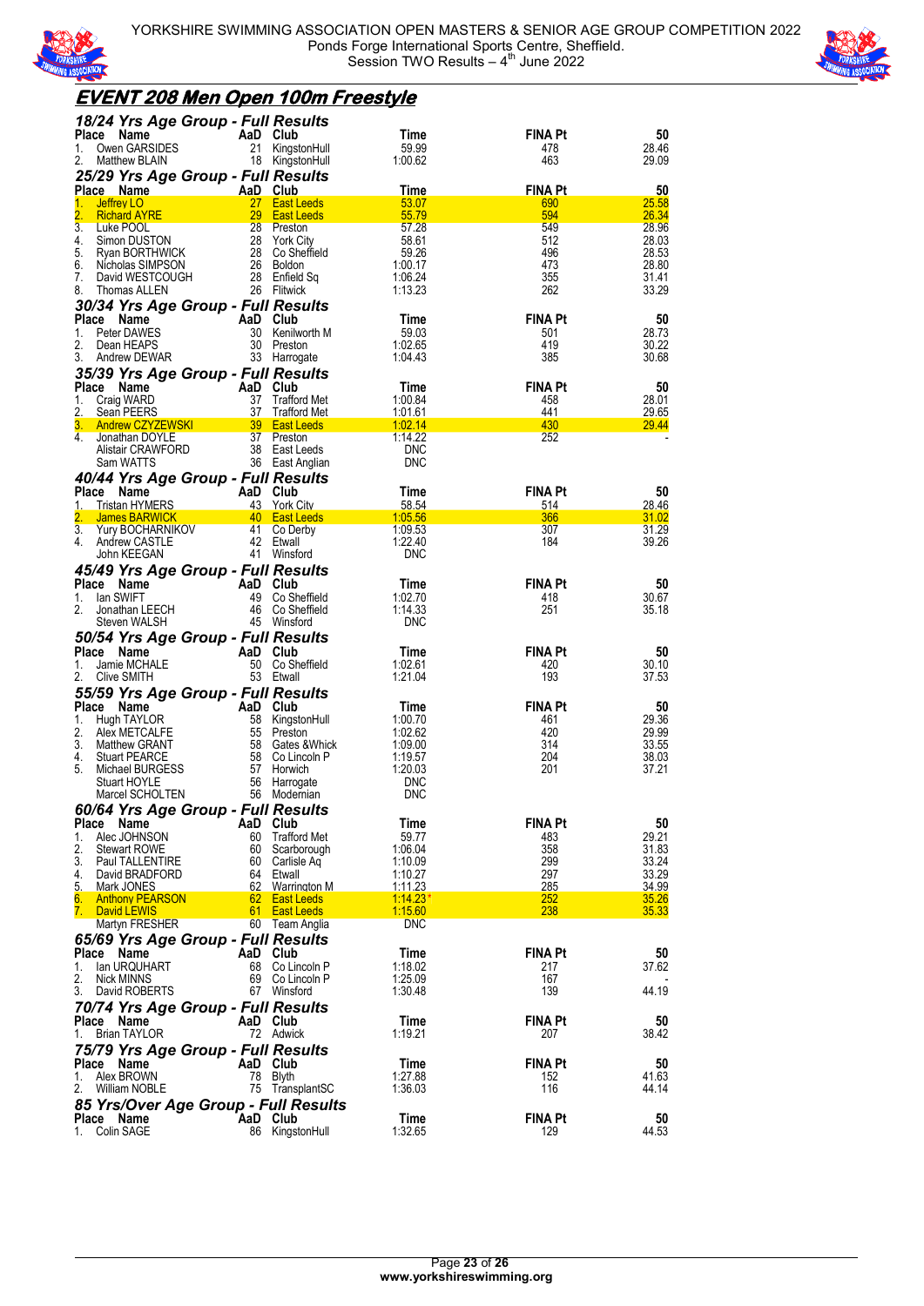



### **EVENT 208 Men Open 100m Freestyle**

| 18/24 Yrs Age Group - Full Results<br><b>Place</b><br>Name | AaD Club  |                     | Time            | <b>FINA Pt</b>        | 50          |
|------------------------------------------------------------|-----------|---------------------|-----------------|-----------------------|-------------|
|                                                            |           |                     |                 |                       |             |
| Owen GARSIDES<br>1.                                        |           | 21 KingstonHull     | 59.99           | 478                   | 28.46       |
| 2.<br>Matthew BLAIN                                        |           | 18 KingstonHull     | 1:00.62         | 463                   | 29.09       |
| 25/29 Yrs Age Group - Full Results                         |           |                     |                 |                       |             |
| Place Name<br><b>Example 2</b> AaD Club                    |           |                     | Time            | <b>FINA Pt</b>        | 50          |
| 1.<br>Jeffrey LO                                           |           | 27 East Leeds       | 53.07           | 690                   | 25.58       |
| 2.<br><b>Richard AYRE</b>                                  |           | 29 East Leeds       | 55.79           | 594                   | 26.34       |
| 3.<br>Luke POOL                                            |           | 28 Preston          | 57.28           | 549                   | 28.96       |
| 4.<br>Simon DUSTON                                         |           | 28 York City        | 58.61           | 512                   | 28.03       |
| 5.<br>Ryan BORTHWICK                                       |           | 28 Co Sheffield     | 59.26           | 496                   | 28.53       |
| 6.<br>Nicholas SIMPSON                                     |           | 26 Boldon           | 1:00.17         | 473                   | 28.80       |
| 7.<br>David WESTCOUGH                                      |           | 28 Enfield Sq       | 1:06.24         | 355                   | 31.41       |
| 8.<br>Thomas ALLEN                                         |           | 26 Flitwick         | 1:13.23         | 262                   | 33.29       |
|                                                            |           |                     |                 |                       |             |
| 30/34 Yrs Age Group - Full Results                         |           |                     |                 |                       |             |
| Place<br>Name                                              | AaD Club  |                     | Time            | <b>FINA Pt</b>        | 50          |
| Peter DAWES<br>1.                                          |           | 30 Kenilworth M     | 59.03           | 501                   | 28.73       |
| 2.<br>Dean HEAPS                                           |           | 30 Preston          | 1:02.65         | 419                   | 30.22       |
| 3.<br>Andrew DEWAR                                         |           | 33 Harrogate        | 1.04.43         | 385                   | 30.68       |
| 35/39 Yrs Age Group - Full Results                         |           |                     |                 |                       |             |
| Place Name                                                 | AaD Club  |                     | Time            | <b>FINA Pt</b>        | 50          |
| Craig WARD<br>1.                                           | 37        | Trafford Met        | 1:00.84         | 458                   | 28.01       |
| 2.<br>Sean PEERS                                           | 37        | <b>Trafford Met</b> | 1:01.61         | 441                   | 29.65       |
| 3.<br>Andrew CZYZEWSKI 39 East Leeds                       |           |                     | 1:02.14         | 430                   | 29.44       |
| 4.<br>Jonathan DOYLE                                       |           | 37 Preston          | 1:14.22         | 252                   |             |
| Alistair CRAWFORD                                          |           | 38 East Leeds       | <b>DNC</b>      |                       |             |
| Sam WATTS                                                  |           | 36 East Anglian     | <b>DNC</b>      |                       |             |
|                                                            |           |                     |                 |                       |             |
| 40/44 Yrs Age Group - Full Results                         |           |                     |                 |                       |             |
| Place<br>Name                                              | AaD Club  |                     | Time            | <b>FINA Pt</b>        | 50          |
| <b>Tristan HYMERS</b><br>1.                                |           | 43 York City        | 58.54           | 514                   | 28.46       |
| 2.<br>James BARWICK 40 East Leeds                          |           |                     | 1:05.56         | 366                   | 31.02       |
| 3.<br>Yury BOCHARNIKOV                                     |           | 41 Co Derby         | 1:09.53         | 307                   | 31.29       |
| 4.<br>Andrew CASTLE                                        | 42 Etwall |                     | 1:22.40         | 184                   | 39.26       |
| John KEEGAN                                                |           | 41 Winsford         | <b>DNC</b>      |                       |             |
| 45/49 Yrs Age Group - Full Results                         |           |                     |                 |                       |             |
| Place Name                                                 | AaD Club  |                     | Time            | <b>FINA Pt</b>        | 50          |
|                                                            |           |                     |                 |                       |             |
| lan SWIFT<br>1.<br>2.                                      |           | 49 Co Sheffield     | 1:02.70         | 418                   | 30.67       |
| Jonathan LEECH                                             |           | 46 Co Sheffield     | 1:14.33         | 251                   | 35.18       |
| Steven WALSH                                               |           | 45 Winsford         | <b>DNC</b>      |                       |             |
| 50/54 Yrs Age Group - Full Results                         |           |                     |                 |                       |             |
| Place Name                                                 | AaD Club  |                     | Time            | <b>FINA Pt</b>        | 50          |
| Jamie MCHALE<br>1.                                         |           | 50 Co Sheffield     | 1:02.61         | 420                   | 30.10       |
| 2.<br>Clive SMITH                                          | 53 Etwall |                     | 1:21.04         | 193                   | 37.53       |
|                                                            |           |                     |                 |                       |             |
|                                                            |           |                     |                 |                       |             |
| 55/59 Yrs Age Group - Full Results                         |           |                     |                 |                       |             |
| Place Name                                                 | AaD Club  |                     | Time            | <b>FINA Pt</b>        | 50          |
| 1.<br>Hugh TAYLOR                                          |           | 58 KingstonHull     | 1:00.70         | 461                   | 29.36       |
| 2.<br>Alex METCALFE                                        |           | 55 Preston          | 1:02.62         | 420                   | 29.99       |
| 3.<br>Matthew GRANT                                        |           | 58 Gates & Whick    | 1:09.00         | 314                   | 33.55       |
| 4.<br><b>Stuart PEARCE</b>                                 |           | 58 Co Lincoln P     | 1:19.57         | 204                   | 38.03       |
| 5.<br>Michael BURGESS                                      |           | 57 Horwich          | 1:20.03         | 201                   | 37.21       |
| Stuart HOYLE                                               |           | 56 Harrogate        | <b>DNC</b>      |                       |             |
| Marcel SCHOLTEN                                            |           | 56 Modernian        | <b>DNC</b>      |                       |             |
|                                                            |           |                     |                 |                       |             |
| 60/64 Yrs Age Group - Full Results                         |           |                     |                 |                       |             |
| <b>Place</b><br>Name                                       | AaD Club  |                     | Time            | <b>FINA Pt</b>        | 50          |
| Alec JOHNSON<br>1.                                         |           | 60 Trafford Met     | 59.77           | 483                   | 29.21       |
| 2.<br><b>Stewart ROWE</b>                                  |           | 60 Scarborough      | 1:06.04         | 358                   | 31.83       |
| 3.<br>Paul TALLENTIRE                                      |           | 60 Carlisle Aq      | 1:10.09         | 299                   | 33.24       |
| 4.<br>David BRADFORD                                       | 64 Etwall |                     | 1:10.27         | 297                   | 33.29       |
| 5.<br>Mark JONES                                           |           | 62 Warrington M     | 1:11.23         | 285                   | 34.99       |
| <b>Anthony PEARSON</b><br>6.                               |           | 62 East Leeds       | $1:14.23*$      | <b>252</b>            | 35.26       |
| 7. David LEWIS                                             |           | 61 East Leeds       | 1:15.60         | 238                   | 35.33       |
| <b>Martyn FRESHER</b>                                      |           | 60 Team Anglia      | <b>DNC</b>      |                       |             |
| 65/69 Yrs Age Group - Full Results                         |           |                     |                 |                       |             |
| Place Name                                                 | AaD Club  |                     | Time            | <b>FINA Pt</b>        | 50          |
| lan URQUHART<br>1.                                         |           | 68 Co Lincoln P     | 1:18.02         | 217                   | 37.62       |
| 2.<br><b>Nick MINNS</b>                                    |           | 69 Co Lincoln P     | 1:25.09         | 167                   |             |
| 3.<br>David ROBERTS                                        |           | 67 Winsford         | 1:30.48         | 139                   | 44.19       |
|                                                            |           |                     |                 |                       |             |
| 70/74 Yrs Age Group - Full Results                         |           |                     |                 |                       |             |
| Place Name                                                 | AaD Club  |                     | Time            | <b>FINA Pt</b>        | 50          |
| <b>Brian TAYLOR</b><br>1.                                  |           | 72 Adwick           | 1:19.21         | 207                   | 38.42       |
|                                                            |           |                     |                 |                       |             |
| 75/79 Yrs Age Group - Full Results                         |           |                     |                 |                       |             |
| Place Name                                                 | AaD Club  |                     | Time            | <b>FINA Pt</b>        | 50          |
| Alex BROWN<br>1.                                           | 78 Blyth  |                     | 1:27.88         | 152                   | 41.63       |
| 2.<br>William NOBLE                                        |           | 75 TransplantSC     | 1:36.03         | 116                   | 44.14       |
| 85 Yrs/Over Age Group - Full Results                       |           |                     |                 |                       |             |
| Place Name<br>Colin SAGE<br>1.                             | AaD Club  | 86 KingstonHull     | Time<br>1:32.65 | <b>FINA Pt</b><br>129 | 50<br>44.53 |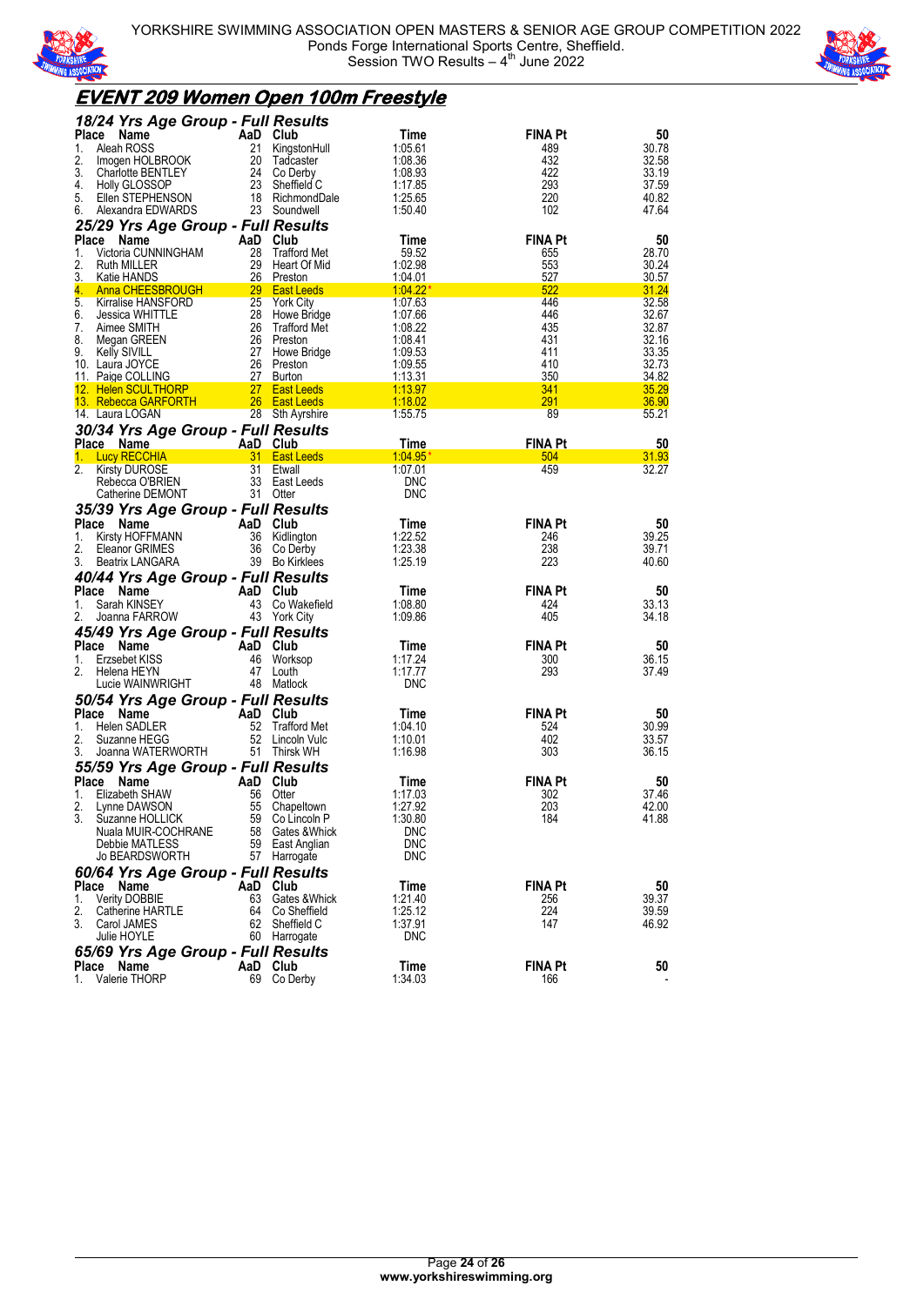



### **EVENT 209 Women Open 100m Freestyle**

| 18/24 Yrs Age Group - Full Results               |          |                                |                       |                       |                |
|--------------------------------------------------|----------|--------------------------------|-----------------------|-----------------------|----------------|
| <b>Place</b><br>Name                             |          | AaD Club                       | Time                  | <b>FINA Pt</b>        | 50             |
| Aleah ROSS<br>1.                                 | 21       | KingstonHull                   | 1:05.61               | 489                   | 30.78          |
| 2.<br>Imogen HOLBROOK                            | 20       | Tadcaster                      | 1:08.36               | 432                   | 32.58          |
| 3.<br>Charlotte BENTLEY                          | 24       | Co Derby                       | 1:08.93               | 422                   | 33.19          |
| 4.<br><b>Holly GLOSSOP</b><br>5.                 | 23       | Sheffield C<br>18 RichmondDale | 1:17.85<br>1:25.65    | 293<br>220            | 37.59<br>40.82 |
| Ellen STEPHENSON<br>6.<br>Alexandra EDWARDS      |          | 23 Soundwell                   | 1:50.40               | 102                   | 47.64          |
| 25/29 Yrs Age Group - Full Results               |          |                                |                       |                       |                |
| Place Name                                       |          | AaD Club                       | Time                  | <b>FINA Pt</b>        | 50             |
| 1.<br>Victoria CUNNINGHAM                        | 28       | <b>Trafford Met</b>            | 59.52                 | 655                   | 28.70          |
| 2.<br>Ruth MILLER                                | 29       | Heart Of Mid                   | 1:02.98               | 553                   | 30.24          |
| 3.<br><b>Katie HANDS</b>                         |          | 26 Preston                     | <u>1.04.01</u>        | 527                   | 30.57          |
| 4.<br>Anna CHEESBROUGH                           |          | 29 East Leeds                  | $1.04.22*$            | 522                   | 31.24          |
| 5.<br>Kirralise HANSFORD                         | 25       | York City                      | 1:07.63               | 446                   | 32.58          |
| 6.<br>Jessica WHITTLE                            |          | 28 Howe Bridge                 | 1:07.66               | 446                   | 32.67          |
| 7.<br>Aimee SMITH                                | 26       | Trafford Met                   | 1:08.22               | 435                   | 32.87          |
| 8.<br>Megan GREEN<br>9.                          |          | 26 Preston<br>27 Howe Bridge   | 1:08.41<br>1:09.53    | 431<br>411            | 32.16<br>33.35 |
| <b>Kelly SIVILL</b><br>10. Laura JOYCE           |          | 26 Preston                     | 1:09.55               | 410                   | 32.73          |
| 11. Paige COLLING                                | 27       | Burton                         | 1:13.31               | 350                   | 34.82          |
| 12. Helen SCULTHORP                              |          | 27 East Leeds                  | 1:13.97               | 341                   | 35.29          |
| 13. Rebecca GARFORTH                             |          | 26 East Leeds                  | 1:18.02               | 291                   | 36.90          |
| 14. Laura LOGAN                                  |          | 28 Sth Ayrshire                | 1:55.75               | 89                    | 55.21          |
| 30/34 Yrs Age Group - Full Results               |          |                                |                       |                       |                |
| Place Name                                       |          | AaD Club                       | Time                  | <b>FINA Pt</b>        | 50             |
| <b>Lucy RECCHIA</b><br>1.                        | 31.      | <b>East Leeds</b>              | 1:04.95               | 504                   | 31.93          |
| 2.<br><b>Kirsty DUROSE</b>                       | 31       | Etwall                         | 1:07.01               | 459                   | 32.27          |
| Rebecca O'BRIEN                                  |          | 33 East Leeds                  | <b>DNC</b>            |                       |                |
| Catherine DEMONT                                 |          | 31 Otter                       | <b>DNC</b>            |                       |                |
| 35/39 Yrs Age Group - Full Results               |          |                                |                       |                       |                |
| Place<br>Name                                    |          | AaD Club                       | Time                  | <b>FINA Pt</b>        | 50             |
| 1.<br>Kirsty HOFFMANN<br>2.<br>Eleanor GRIMES    |          | 36 Kidlington<br>36 Co Derby   | 1:22.52<br>1:23.38    | 246<br>238            | 39.25<br>39.71 |
| 3.<br>Beatrix LANGARA                            |          | 39 Bo Kirklees                 | 1:25.19               | 223                   | 40.60          |
|                                                  |          |                                |                       |                       |                |
|                                                  |          |                                |                       |                       |                |
| 40/44 Yrs Age Group - Full Results               |          |                                |                       |                       |                |
| Place Name                                       |          | AaD Club                       | Time                  | <b>FINA Pt</b>        | 50             |
| Sarah KINSEY<br>1.                               | 43       | Co Wakefield                   | 1:08.80               | 424                   | 33.13          |
| 2.<br>Joanna FARROW                              |          | 43 York City                   | 1:09.86               | 405                   | 34.18          |
| 45/49 Yrs Age Group - Full Results               |          |                                |                       |                       |                |
| Place Name                                       |          | AaD Club                       | Time                  | <b>FINA Pt</b>        | 50             |
| 1.<br>Erzsebet KISS<br>2.                        | 46<br>47 | Worksop                        | 1:17.24               | 300                   | 36.15          |
| Helena HEYN<br>Lucie WAINWRIGHT                  |          | Louth<br>48 Matlock            | 1:17.77<br><b>DNC</b> | 293                   | 37.49          |
|                                                  |          |                                |                       |                       |                |
| 50/54 Yrs Age Group - Full Results<br>Place Name |          | AaD Club                       | Time                  | <b>FINA Pt</b>        | 50             |
| Helen SADLER<br>1.                               | 52       | <b>Trafford Met</b>            | 1:04.10               | 524                   | 30.99          |
| 2.<br>Suzanne HEGG                               | 52       | Lincoln Vulc                   | 1:10.01               | 402                   | 33.57          |
| Joanna WATERWORTH<br>3.                          |          | 51 Thirsk WH                   | 1:16.98               | 303                   | 36.15          |
| 55/59 Yrs Age Group - Full Results               |          |                                |                       |                       |                |
| Place<br>Name                                    |          | AaD Club                       | Time                  | <b>FINA Pt</b>        | 50             |
| Elizabeth SHAW<br>1.                             | 56       | Otter                          | 1:17.03               | 302                   | 37.46          |
| 2.<br>Lynne DAWSON                               |          | 55 Chapeltown                  | 1:27.92               | 203                   | 42.00          |
| 3.<br>Suzanne HOLLICK                            |          | 59 Co Lincoln P                | 1:30.80               | 184                   | 41.88          |
| Nuala MUIR-COCHRANE                              | 58       | Gates &Whick                   | <b>DNC</b>            |                       |                |
| Debbie MATLESS                                   |          | 59 East Anglian                | <b>DNC</b>            |                       |                |
| <b>Jo BEARDSWORTH</b>                            |          | 57 Harrogate                   | <b>DNC</b>            |                       |                |
| 60/64 Yrs Age Group - Full Results               |          |                                |                       |                       |                |
| Place<br>Name<br>1.                              | 63       | AaD Club                       | Time                  | <b>FINA Pt</b>        | 50             |
| <b>Verity DOBBIE</b><br>2.<br>Catherine HARTLE   | 64       | Gates & Whick<br>Co Sheffield  | 1:21.40<br>1:25.12    | 256<br>224            | 39.37<br>39.59 |
| 3.<br>Carol JAMES                                | 62       | Sheffield C                    | 1:37.91               | 147                   | 46.92          |
| Julie HOYLE                                      |          | 60 Harrogate                   | <b>DNC</b>            |                       |                |
| 65/69 Yrs Age Group - Full Results               |          |                                |                       |                       |                |
| Place Name<br>Valerie THORP<br>1.                |          | AaD Club<br>69 Co Derby        | Time<br>1:34.03       | <b>FINA Pt</b><br>166 | 50             |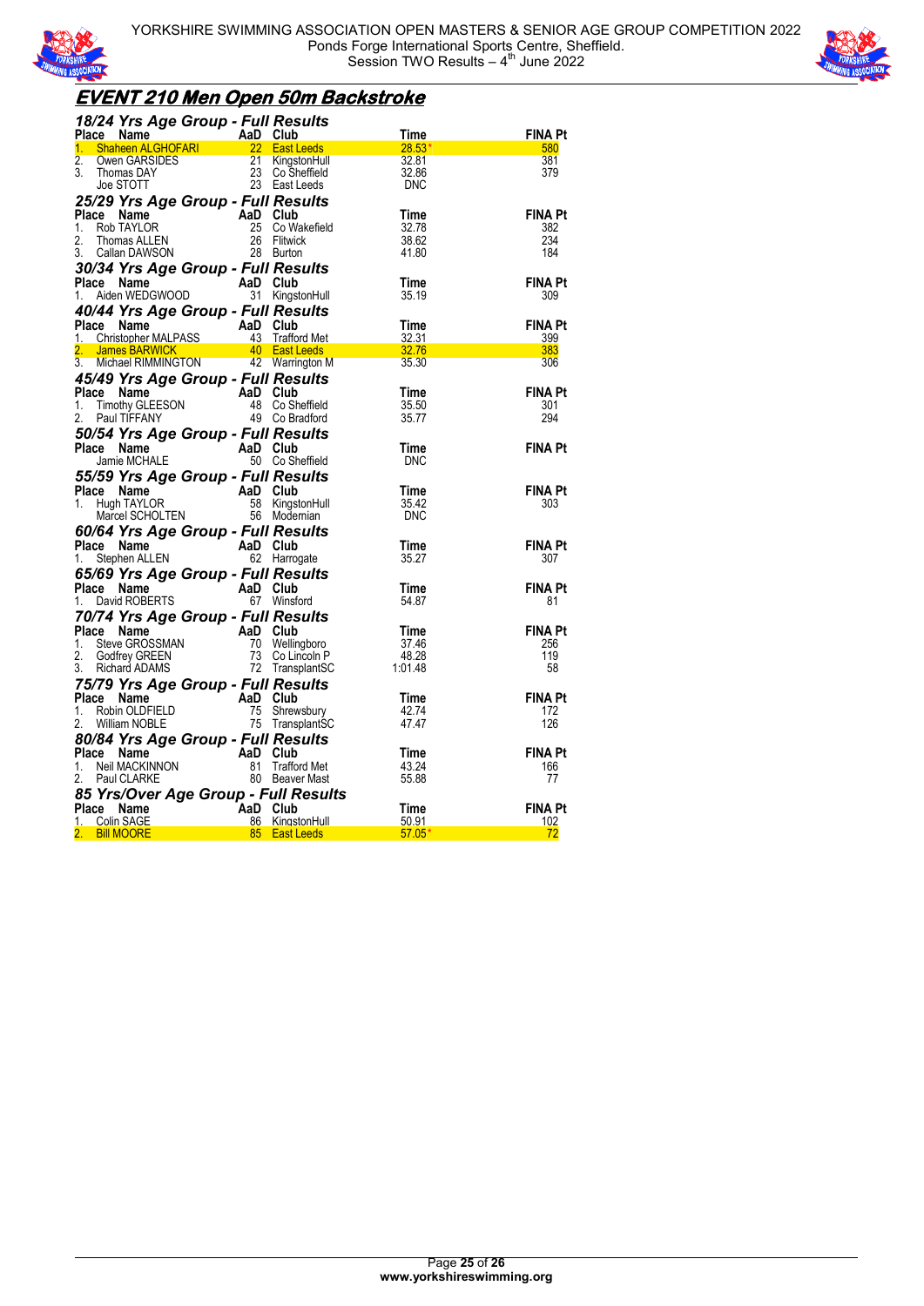



### **EVENT 210 Men Open 50m Backstroke**

| 18/24 Yrs Age Group - Full Results                                                                                                                                                                                |                                                                   |                              |                       |
|-------------------------------------------------------------------------------------------------------------------------------------------------------------------------------------------------------------------|-------------------------------------------------------------------|------------------------------|-----------------------|
| Place Name Map Club Time<br>Place Name AaD Club Time<br>1. Shaheen ALGHOFARI 22 East Leeds 28.53*<br>2. Owen GARSIDES 21 KingstonHull 32.81<br>3. Thomas DAY 23 Co Sheffield 32.86<br>Joe STOTT 23 East Leeds DNC |                                                                   |                              | <b>FINA Pt</b>        |
|                                                                                                                                                                                                                   |                                                                   |                              | 580<br>381            |
|                                                                                                                                                                                                                   |                                                                   |                              | 379                   |
|                                                                                                                                                                                                                   |                                                                   |                              |                       |
| 25/29 Yrs Age Group - Full Results                                                                                                                                                                                |                                                                   |                              |                       |
| Comparison of the Manusov Company of the Manusov Comparison and Club<br>Rob TAYLOR 25 Co Wak<br>Thomas ALLEN 26 Flitwick<br>Callan DAWSON 28 Burton<br>Place                                                      | F <i>ull Results</i><br>aD Club<br>25 Co Wakefield<br>26 Elitwick | Time                         | <b>FINA Pt</b>        |
| 1.                                                                                                                                                                                                                |                                                                   | 32.78                        | 382                   |
| 2 <sup>2</sup><br>3.                                                                                                                                                                                              |                                                                   | 38.62<br>41.80               | 234<br>184            |
| 30/34 Yrs Age Group - Full Results                                                                                                                                                                                |                                                                   |                              |                       |
| Place Name                                                                                                                                                                                                        |                                                                   | Time                         | <b>FINA Pt</b>        |
| <b>Ce Name</b> AaD Club<br>Aiden WEDGWOOD 31 Kingst<br>1.                                                                                                                                                         | a <b>p Grup</b><br>31 KingstonHull                                | 35.19                        | 309                   |
| 40/44 Yrs Age Group - Full Results                                                                                                                                                                                |                                                                   |                              |                       |
|                                                                                                                                                                                                                   |                                                                   |                              | <b>FINA Pt</b>        |
|                                                                                                                                                                                                                   |                                                                   | $\frac{7 \text{ime}}{32.31}$ | 399                   |
| Place Name<br>1. Christopher MALPASS<br>1. Christopher MALPASS<br>2. James BARWICK<br>3. Michael RIMMINGTON<br>2. Warrington M                                                                                    |                                                                   | 35.30                        | 383<br>306            |
| 45/49 Yrs Age Group - Full Results                                                                                                                                                                                |                                                                   |                              |                       |
| Place Name                                                                                                                                                                                                        |                                                                   | Time                         | <b>FINA Pt</b>        |
| Ce Name AaD Club<br>Timothy GLEESON 48 Co Sheffield<br>Paul TIFFANY 49 Co Bradford<br>1.                                                                                                                          |                                                                   | 35.50                        | 301                   |
| 2.                                                                                                                                                                                                                |                                                                   | 35.77                        | 294                   |
| 50/54 Yrs Age Group - Full Results                                                                                                                                                                                |                                                                   |                              |                       |
| Ce Name AaD Club<br>Jamie MCHALE 50 Co Sheffield<br>Place Name                                                                                                                                                    |                                                                   | Time                         | <b>FINA Pt</b>        |
|                                                                                                                                                                                                                   |                                                                   | <b>DNC</b>                   |                       |
| 55/59 Yrs Age Group - Full Results                                                                                                                                                                                |                                                                   |                              |                       |
| Place Name<br>$1_{-}$                                                                                                                                                                                             |                                                                   | Time<br>35.42                | <b>FINA Pt</b><br>303 |
| Ce Name<br>Hugh TAYLOR 58 KingstonHull<br>Marcel SCHOLTEN 56 Modernian                                                                                                                                            |                                                                   | DNC                          |                       |
| 60/64 Yrs Age Group - Full Results                                                                                                                                                                                |                                                                   |                              |                       |
| ce Name<br>Stephen ALLEN 62 Harrogate<br>Place Name                                                                                                                                                               |                                                                   | Time                         | <b>FINA Pt</b>        |
| 1.                                                                                                                                                                                                                |                                                                   | 35.27                        | 307                   |
| 65/69 Yrs Age Group - Full Results                                                                                                                                                                                |                                                                   |                              |                       |
| <b>Ce Name</b> David ROBERTS<br>David ROBERTS 67 Winsford<br>Place Name                                                                                                                                           |                                                                   | Time                         | <b>FINA Pt</b>        |
| 1.                                                                                                                                                                                                                |                                                                   | 54.87                        | 81                    |
| 70/74 Yrs Age Group - Full Results<br>Place                                                                                                                                                                       |                                                                   |                              | <b>FINA Pt</b>        |
| 1.                                                                                                                                                                                                                |                                                                   | Time<br>37.46                | 256                   |
| 2.                                                                                                                                                                                                                |                                                                   | 48.28                        | 119                   |
| Compared to the Name And Club<br>Steve GROSSMAN 70 Wellingboro<br>Godfrey GREEN 73 Co Lincoln P<br>Richard ADAMS 72 TransplantSC<br>3.                                                                            |                                                                   | 1:01.48                      | 58                    |
| <b>75/79 Yrs Age Group - Full Results<br/> Place Name AaD Club<br/> 1. Robin OLDFIELD 75 Shrewsbury<br/> 2. William NOBLE 75 TransplantSC</b>                                                                     |                                                                   |                              |                       |
|                                                                                                                                                                                                                   |                                                                   | Time                         | <b>FINA Pt</b>        |
|                                                                                                                                                                                                                   |                                                                   | 42.74<br>47.47               | 172                   |
|                                                                                                                                                                                                                   |                                                                   |                              | 126                   |
| <b>80/84 Yrs Age Group - Full Results<br/> Place Name AaD Club<br/> 1. Neil MACKINNON 81 Trafford Met<br/> 2. Paul CLARKE 80 Beaver Mast</b>                                                                      |                                                                   | Time                         | <b>FINA Pt</b>        |
|                                                                                                                                                                                                                   |                                                                   | 43.24                        | 166                   |
|                                                                                                                                                                                                                   |                                                                   | 55.88                        | 77                    |
| <b>85 Yrs/Over Age Group - Full Results<br/> Place Name AaD Club<br/> 1. Colin SAGE 1. 86 KingstonHull<br/> 2. Bill MOORE 85 East Leeds</b>                                                                       |                                                                   |                              |                       |
|                                                                                                                                                                                                                   |                                                                   | Time                         | <b>FINA Pt</b>        |
|                                                                                                                                                                                                                   |                                                                   | 50.91                        | 102                   |
|                                                                                                                                                                                                                   |                                                                   | $57.05*$                     | <u>72</u>             |